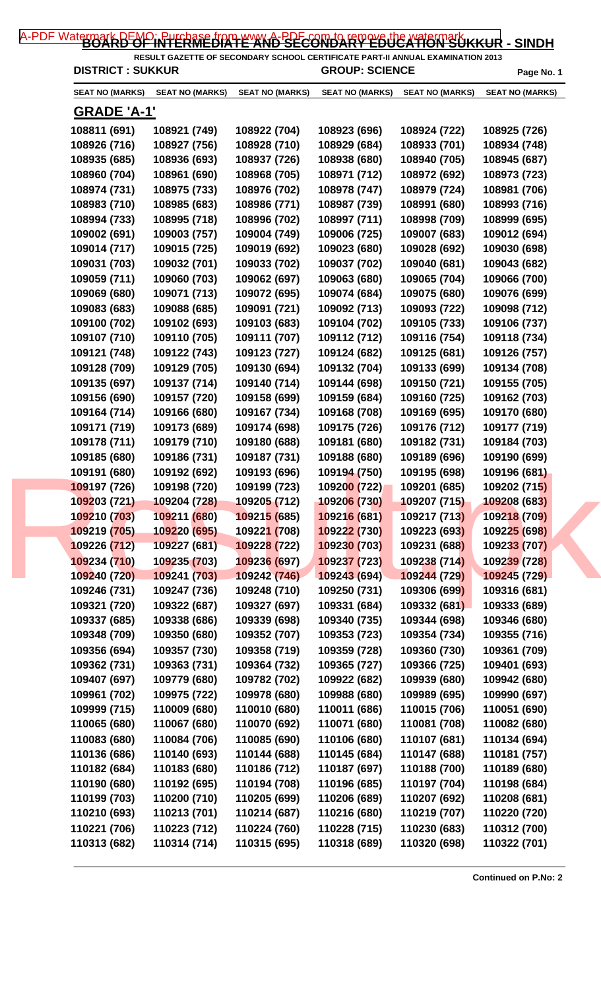| <b>DISTRICT: SUKKUR</b>      |                              | RESULT GAZETTE OF SECONDARY SCHOOL CERTIFICATE PART-II ANNUAL EXAMINATION 2013 | <b>GROUP: SCIENCE</b>        |                        | Page No. 1                   |
|------------------------------|------------------------------|--------------------------------------------------------------------------------|------------------------------|------------------------|------------------------------|
| <b>SEAT NO (MARKS)</b>       | <b>SEAT NO (MARKS)</b>       | <b>SEAT NO (MARKS)</b>                                                         | <b>SEAT NO (MARKS)</b>       | <b>SEAT NO (MARKS)</b> | <b>SEAT NO (MARKS)</b>       |
| <b>GRADE 'A-1'</b>           |                              |                                                                                |                              |                        |                              |
| 108811 (691)                 | 108921 (749)                 | 108922 (704)                                                                   | 108923 (696)                 | 108924 (722)           | 108925 (726)                 |
| 108926 (716)                 | 108927 (756)                 | 108928 (710)                                                                   | 108929 (684)                 | 108933 (701)           | 108934 (748)                 |
| 108935 (685)                 | 108936 (693)                 | 108937 (726)                                                                   | 108938 (680)                 | 108940 (705)           | 108945 (687)                 |
| 108960 (704)                 | 108961 (690)                 | 108968 (705)                                                                   | 108971 (712)                 | 108972 (692)           | 108973 (723)                 |
| 108974 (731)                 | 108975 (733)                 | 108976 (702)                                                                   | 108978 (747)                 | 108979 (724)           | 108981 (706)                 |
| 108983 (710)                 | 108985 (683)                 | 108986 (771)                                                                   | 108987 (739)                 | 108991 (680)           | 108993 (716)                 |
| 108994 (733)                 | 108995 (718)                 | 108996 (702)                                                                   | 108997 (711)                 | 108998 (709)           | 108999 (695)                 |
| 109002 (691)                 | 109003 (757)                 | 109004 (749)                                                                   | 109006 (725)                 | 109007 (683)           | 109012 (694)                 |
| 109014 (717)                 | 109015 (725)                 | 109019 (692)                                                                   | 109023 (680)                 | 109028 (692)           | 109030 (698)                 |
| 109031 (703)                 | 109032 (701)                 | 109033 (702)                                                                   | 109037 (702)                 | 109040 (681)           | 109043 (682)                 |
| 109059 (711)                 | 109060 (703)                 | 109062 (697)                                                                   | 109063 (680)                 | 109065 (704)           | 109066 (700)                 |
| 109069 (680)                 | 109071 (713)                 | 109072 (695)                                                                   | 109074 (684)                 | 109075 (680)           | 109076 (699)                 |
| 109083 (683)                 | 109088 (685)                 | 109091 (721)                                                                   | 109092 (713)                 | 109093 (722)           | 109098 (712)                 |
| 109100 (702)                 | 109102 (693)                 | 109103 (683)                                                                   | 109104 (702)                 | 109105 (733)           | 109106 (737)                 |
| 109107 (710)                 | 109110 (705)                 | 109111 (707)                                                                   | 109112 (712)                 | 109116 (754)           | 109118 (734)                 |
| 109121 (748)                 | 109122 (743)                 | 109123 (727)                                                                   | 109124 (682)                 | 109125 (681)           | 109126 (757)                 |
|                              |                              |                                                                                |                              |                        |                              |
| 109128 (709)                 | 109129 (705)                 | 109130 (694)                                                                   | 109132 (704)                 | 109133 (699)           | 109134 (708)                 |
| 109135 (697)                 | 109137 (714)                 | 109140 (714)                                                                   | 109144 (698)                 | 109150 (721)           | 109155 (705)                 |
| 109156 (690)                 | 109157 (720)                 | 109158 (699)                                                                   | 109159 (684)                 | 109160 (725)           | 109162 (703)                 |
| 109164 (714)                 | 109166 (680)                 | 109167 (734)                                                                   | 109168 (708)                 | 109169 (695)           | 109170 (680)                 |
| 109171 (719)                 | 109173 (689)                 | 109174 (698)                                                                   | 109175 (726)                 | 109176 (712)           | 109177 (719)                 |
| 109178 (711)                 | 109179 (710)                 | 109180 (688)                                                                   | 109181 (680)                 | 109182 (731)           | 109184 (703)                 |
| 109185 (680)                 | 109186 (731)                 | 109187 (731)                                                                   | 109188 (680)                 | 109189 (696)           | 109190 (699)                 |
| 109191 (680)                 | 109192 (692)                 | 109193 (696)                                                                   | 109194 (750)                 | 109195 (698)           | 109196 (681)                 |
| 109197 (726)                 | 109198 (720)                 | 109199 (723)                                                                   | 109200 (722)                 | 109201 (685)           | 109202 (715)                 |
| 109203 (721)                 | 109204 (728)                 | 109205 (712)                                                                   | 109206 (730)                 | 109207 (715)           | 109208 (683)                 |
| 109210 (703)                 | 109211 (680)                 | 109215 (685)                                                                   | 109216 (681)                 | 109217 (713)           | 109218 (709)                 |
| 109219 (705)                 | 109220 (695)                 | 109221 (708)                                                                   | 109222 (730)                 | 109223 (693)           | 109225 (698)                 |
| 109226 (712)                 | 109227 (681)                 | 109228 (722)                                                                   | 109230 (703)                 | 109231 (688)           | 109233 (707)                 |
| 109234 (710)                 | 109235 (703)                 | 109236 (697)                                                                   | 109237 (723)                 | 109238 (714)           | 109239 (728)                 |
| 109240 (720)                 | 109241 (703)                 | 109242 (746)                                                                   | 109243 (694)                 | 109244 (729)           | 109245 (729)                 |
| 109246 (731)                 | 109247 (736)                 | 109248 (710)                                                                   | 109250 (731)                 | 109306 (699)           | 109316 (681)                 |
| 109321 (720)                 | 109322 (687)                 | 109327 (697)                                                                   | 109331 (684)                 | 109332 (681)           | 109333 (689)                 |
| 109337 (685)                 | 109338 (686)                 | 109339 (698)                                                                   | 109340 (735)                 | 109344 (698)           | 109346 (680)                 |
| 109348 (709)                 | 109350 (680)                 | 109352 (707)                                                                   | 109353 (723)                 | 109354 (734)           | 109355 (716)                 |
| 109356 (694)                 | 109357 (730)                 | 109358 (719)                                                                   | 109359 (728)                 | 109360 (730)           | 109361 (709)                 |
| 109362 (731)                 | 109363 (731)                 | 109364 (732)                                                                   | 109365 (727)                 | 109366 (725)           | 109401 (693)                 |
| 109407 (697)                 | 109779 (680)                 | 109782 (702)                                                                   | 109922 (682)                 | 109939 (680)           | 109942 (680)                 |
| 109961 (702)                 | 109975 (722)                 | 109978 (680)                                                                   | 109988 (680)                 | 109989 (695)           | 109990 (697)                 |
| 109999 (715)                 | 110009 (680)                 | 110010 (680)                                                                   | 110011 (686)                 | 110015 (706)           | 110051 (690)                 |
| 110065 (680)                 | 110067 (680)                 | 110070 (692)                                                                   | 110071 (680)                 | 110081 (708)           | 110082 (680)                 |
| 110083 (680)                 | 110084 (706)                 | 110085 (690)                                                                   | 110106 (680)                 | 110107 (681)           | 110134 (694)                 |
| 110136 (686)                 | 110140 (693)                 | 110144 (688)                                                                   | 110145 (684)                 | 110147 (688)           | 110181 (757)                 |
| 110182 (684)                 | 110183 (680)                 | 110186 (712)                                                                   | 110187 (697)                 | 110188 (700)           | 110189 (680)                 |
|                              | 110192 (695)                 |                                                                                | 110196 (685)                 | 110197 (704)           | 110198 (684)                 |
| 110190 (680)                 |                              | 110194 (708)                                                                   |                              | 110207 (692)           |                              |
| 110199 (703)                 | 110200 (710)                 | 110205 (699)                                                                   | 110206 (689)                 | 110219 (707)           | 110208 (681)                 |
|                              |                              |                                                                                |                              |                        |                              |
| 110210 (693)<br>110221 (706) | 110213 (701)<br>110223 (712) | 110214 (687)<br>110224 (760)                                                   | 110216 (680)<br>110228 (715) | 110230 (683)           | 110220 (720)<br>110312 (700) |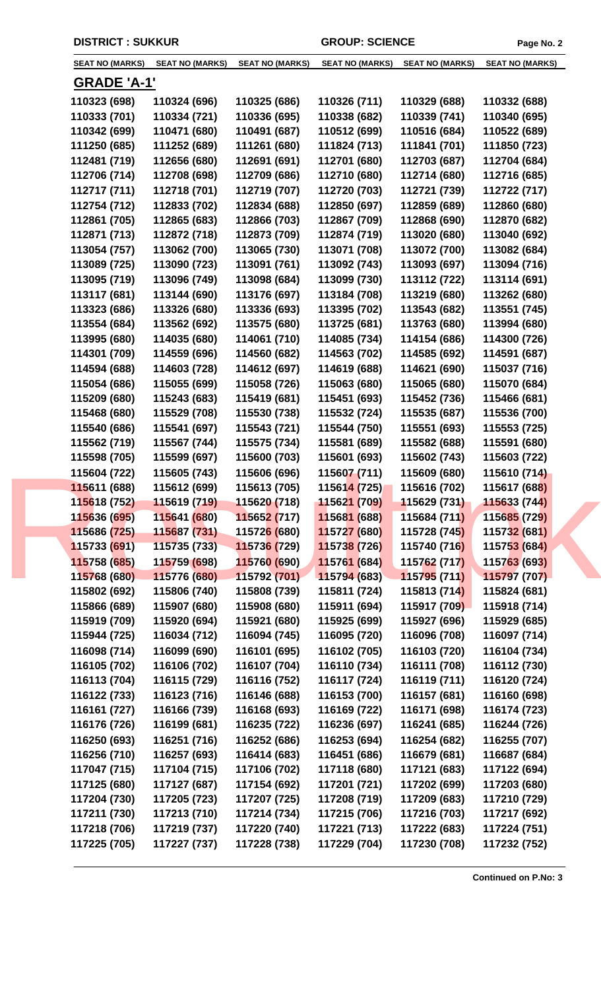| <b>SEAT NO (MARKS)</b>       | <b>SEAT NO (MARKS)</b>       | <b>SEAT NO (MARKS)</b>       | <b>SEAT NO (MARKS)</b>       | <b>SEAT NO (MARKS)</b>       | <b>SEAT NO (MARKS)</b> |
|------------------------------|------------------------------|------------------------------|------------------------------|------------------------------|------------------------|
| <b>GRADE 'A-1'</b>           |                              |                              |                              |                              |                        |
| 110323 (698)                 | 110324 (696)                 | 110325 (686)                 | 110326 (711)                 | 110329 (688)                 | 110332 (688)           |
| 110333 (701)                 | 110334 (721)                 | 110336 (695)                 | 110338 (682)                 | 110339 (741)                 | 110340 (695)           |
| 110342 (699)                 | 110471 (680)                 | 110491 (687)                 | 110512 (699)                 | 110516 (684)                 | 110522 (689)           |
| 111250 (685)                 | 111252 (689)                 | 111261 (680)                 | 111824 (713)                 | 111841 (701)                 | 111850 (723)           |
| 112481 (719)                 | 112656 (680)                 | 112691 (691)                 | 112701 (680)                 | 112703 (687)                 | 112704 (684)           |
| 112706 (714)                 | 112708 (698)                 | 112709 (686)                 | 112710 (680)                 | 112714 (680)                 | 112716 (685)           |
| 112717 (711)                 | 112718 (701)                 | 112719 (707)                 | 112720 (703)                 | 112721 (739)                 | 112722 (717)           |
| 112754 (712)                 | 112833 (702)                 | 112834 (688)                 | 112850 (697)                 | 112859 (689)                 | 112860 (680)           |
| 112861 (705)                 | 112865 (683)                 | 112866 (703)                 | 112867 (709)                 | 112868 (690)                 | 112870 (682)           |
| 112871 (713)                 | 112872 (718)                 | 112873 (709)                 | 112874 (719)                 | 113020 (680)                 | 113040 (692)           |
| 113054 (757)                 | 113062 (700)                 | 113065 (730)                 | 113071 (708)                 | 113072 (700)                 | 113082 (684)           |
| 113089 (725)                 | 113090 (723)                 | 113091 (761)                 | 113092 (743)                 | 113093 (697)                 | 113094 (716)           |
| 113095 (719)                 | 113096 (749)                 | 113098 (684)                 | 113099 (730)                 | 113112 (722)                 | 113114 (691)           |
| 113117 (681)                 | 113144 (690)                 | 113176 (697)                 | 113184 (708)                 | 113219 (680)                 | 113262 (680)           |
| 113323 (686)                 | 113326 (680)                 | 113336 (693)                 | 113395 (702)                 | 113543 (682)                 | 113551 (745)           |
| 113554 (684)                 | 113562 (692)                 | 113575 (680)                 | 113725 (681)                 | 113763 (680)                 | 113994 (680)           |
| 113995 (680)                 | 114035 (680)                 | 114061 (710)                 | 114085 (734)                 | 114154 (686)                 | 114300 (726)           |
| 114301 (709)                 | 114559 (696)                 | 114560 (682)                 | 114563 (702)                 | 114585 (692)                 | 114591 (687)           |
| 114594 (688)                 | 114603 (728)                 | 114612 (697)                 | 114619 (688)                 | 114621 (690)                 | 115037 (716)           |
| 115054 (686)                 | 115055 (699)                 | 115058 (726)                 | 115063 (680)                 | 115065 (680)                 | 115070 (684)           |
| 115209 (680)                 | 115243 (683)                 | 115419 (681)                 | 115451 (693)                 | 115452 (736)                 | 115466 (681)           |
| 115468 (680)                 |                              |                              |                              |                              | 115536 (700)           |
| 115540 (686)                 | 115529 (708)<br>115541 (697) | 115530 (738)<br>115543 (721) | 115532 (724)<br>115544 (750) | 115535 (687)                 | 115553 (725)           |
| 115562 (719)                 | 115567 (744)                 | 115575 (734)                 | 115581 (689)                 | 115551 (693)<br>115582 (688) | 115591 (680)           |
|                              | 115599 (697)                 | 115600 (703)                 | 115601 (693)                 | 115602 (743)                 | 115603 (722)           |
| 115598 (705)<br>115604 (722) | 115605 (743)                 | 115606 (696)                 | 115607 (711)                 | 115609 (680)                 | 115610 (714)           |
| 115611 (688)                 | 115612 (699)                 | 115613 (705)                 | 115614 (725)                 | 115616 (702)                 | 115617 (688)           |
| 115618 (752)                 | 115619 (719)                 | 115620 (718)                 | 115621 (709)                 | 115629 (731)                 | 115633 (744)           |
| 115636 (695)                 | 115641 (680)                 | 115652 (717)                 | 115681 (688)                 | 115684 (711)                 | 115685 (729)           |
| 115686 (725)                 | 115687 (731)                 | 11572 <mark>6 (</mark> 680)  | 115727 (680)                 | 115728 (745)                 | 115732 (681)           |
| 115733 (691)                 | 115735 (733)                 | 115736 (729)                 | 115738 (726)                 | 115740 (716)                 | 115753 (684)           |
| 115758 (685)                 | 115759 (698)                 | 115760 (690)                 | 115761 (684)                 | 115762 (717)                 | 115763 (693)           |
| 115768 (680)                 | 115776 (680)                 | 115792 (701)                 | 115794 (683)                 | 115795 (711)                 | 115797 (707)           |
| 115802 (692)                 | 115806 (740)                 | 115808 (739)                 | 115811 (724)                 | 115813 (714)                 | 115824 (681)           |
| 115866 (689)                 | 115907 (680)                 | 115908 (680)                 | 115911 (694)                 | 115917 (709)                 | 115918 (714)           |
| 115919 (709)                 | 115920 (694)                 | 115921 (680)                 | 115925 (699)                 | 115927 (696)                 | 115929 (685)           |
| 115944 (725)                 | 116034 (712)                 | 116094 (745)                 | 116095 (720)                 | 116096 (708)                 | 116097 (714)           |
| 116098 (714)                 | 116099 (690)                 | 116101 (695)                 | 116102 (705)                 | 116103 (720)                 | 116104 (734)           |
| 116105 (702)                 | 116106 (702)                 | 116107 (704)                 | 116110 (734)                 | 116111 (708)                 | 116112 (730)           |
| 116113 (704)                 | 116115 (729)                 | 116116 (752)                 | 116117 (724)                 | 116119 (711)                 | 116120 (724)           |
| 116122 (733)                 | 116123 (716)                 | 116146 (688)                 | 116153 (700)                 | 116157 (681)                 | 116160 (698)           |
| 116161 (727)                 | 116166 (739)                 | 116168 (693)                 | 116169 (722)                 | 116171 (698)                 | 116174 (723)           |
| 116176 (726)                 | 116199 (681)                 | 116235 (722)                 | 116236 (697)                 | 116241 (685)                 | 116244 (726)           |
| 116250 (693)                 | 116251 (716)                 | 116252 (686)                 | 116253 (694)                 |                              |                        |
|                              |                              |                              |                              | 116254 (682)                 | 116255 (707)           |
| 116256 (710)                 | 116257 (693)                 | 116414 (683)                 | 116451 (686)                 | 116679 (681)                 | 116687 (684)           |
| 117047 (715)                 | 117104 (715)                 | 117106 (702)                 | 117118 (680)                 | 117121 (683)                 | 117122 (694)           |
| 117125 (680)                 | 117127 (687)                 | 117154 (692)                 | 117201 (721)                 | 117202 (699)                 | 117203 (680)           |
| 117204 (730)                 | 117205 (723)                 | 117207 (725)                 | 117208 (719)                 | 117209 (683)                 | 117210 (729)           |
| 117211 (730)                 | 117213 (710)                 | 117214 (734)                 | 117215 (706)                 | 117216 (703)                 | 117217 (692)           |
| 117218 (706)                 | 117219 (737)                 | 117220 (740)                 | 117221 (713)                 | 117222 (683)                 | 117224 (751)           |
| 117225 (705)                 | 117227 (737)                 | 117228 (738)                 | 117229 (704)                 | 117230 (708)                 | 117232 (752)           |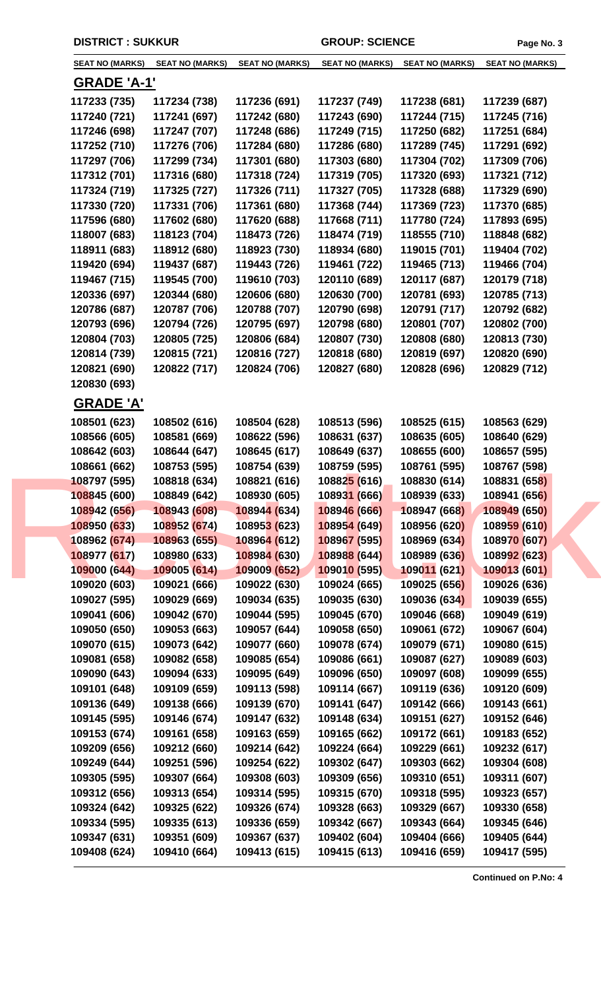| <b>SEAT NO (MARKS)</b> | <b>SEAT NO (MARKS)</b> | <b>SEAT NO (MARKS)</b> | <b>SEAT NO (MARKS)</b> | <b>SEAT NO (MARKS)</b> | <b>SEAT NO (MARKS)</b> |
|------------------------|------------------------|------------------------|------------------------|------------------------|------------------------|
| <b>GRADE 'A-1'</b>     |                        |                        |                        |                        |                        |
| 117233 (735)           | 117234 (738)           | 117236 (691)           | 117237 (749)           | 117238 (681)           | 117239 (687)           |
| 117240 (721)           | 117241 (697)           | 117242 (680)           | 117243 (690)           | 117244 (715)           | 117245 (716)           |
| 117246 (698)           | 117247 (707)           | 117248 (686)           | 117249 (715)           | 117250 (682)           | 117251 (684)           |
| 117252 (710)           | 117276 (706)           | 117284 (680)           | 117286 (680)           | 117289 (745)           | 117291 (692)           |
| 117297 (706)           | 117299 (734)           | 117301 (680)           | 117303 (680)           | 117304 (702)           | 117309 (706)           |
| 117312 (701)           | 117316 (680)           | 117318 (724)           | 117319 (705)           | 117320 (693)           | 117321 (712)           |
| 117324 (719)           | 117325 (727)           | 117326 (711)           | 117327 (705)           | 117328 (688)           | 117329 (690)           |
| 117330 (720)           | 117331 (706)           | 117361 (680)           | 117368 (744)           | 117369 (723)           | 117370 (685)           |
| 117596 (680)           | 117602 (680)           | 117620 (688)           | 117668 (711)           | 117780 (724)           | 117893 (695)           |
| 118007 (683)           | 118123 (704)           | 118473 (726)           | 118474 (719)           | 118555 (710)           | 118848 (682)           |
| 118911 (683)           | 118912 (680)           | 118923 (730)           | 118934 (680)           | 119015 (701)           | 119404 (702)           |
| 119420 (694)           | 119437 (687)           | 119443 (726)           | 119461 (722)           | 119465 (713)           | 119466 (704)           |
| 119467 (715)           | 119545 (700)           | 119610 (703)           | 120110 (689)           | 120117 (687)           | 120179 (718)           |
| 120336 (697)           | 120344 (680)           | 120606 (680)           | 120630 (700)           | 120781 (693)           | 120785 (713)           |
| 120786 (687)           | 120787 (706)           | 120788 (707)           | 120790 (698)           | 120791 (717)           | 120792 (682)           |
| 120793 (696)           | 120794 (726)           | 120795 (697)           | 120798 (680)           | 120801 (707)           | 120802 (700)           |
| 120804 (703)           | 120805 (725)           | 120806 (684)           | 120807 (730)           | 120808 (680)           | 120813 (730)           |
| 120814 (739)           | 120815 (721)           | 120816 (727)           | 120818 (680)           | 120819 (697)           | 120820 (690)           |
| 120821 (690)           | 120822 (717)           | 120824 (706)           | 120827 (680)           | 120828 (696)           | 120829 (712)           |
| 120830 (693)           |                        |                        |                        |                        |                        |
|                        |                        |                        |                        |                        |                        |
| <b>GRADE 'A'</b>       |                        |                        |                        |                        |                        |
| 108501 (623)           | 108502 (616)           | 108504 (628)           | 108513 (596)           | 108525 (615)           | 108563 (629)           |
| 108566 (605)           | 108581 (669)           | 108622 (596)           | 108631 (637)           | 108635 (605)           | 108640 (629)           |
| 108642 (603)           | 108644 (647)           | 108645 (617)           | 108649 (637)           | 108655 (600)           | 108657 (595)           |
| 108661 (662)           | 108753 (595)           | 108754 (639)           | 108759 (595)           | 108761 (595)           | 108767 (598)           |
| 108797 (595)           | 108818 (634)           | 108821 (616)           | 108825 (616)           | 108830 (614)           | 108831 (658)           |
| 108845 (600)           | 108849 (642)           | 108930 (605)           | 108931 (666)           | 108939 (633)           | 108941 (656)           |
| 108942 (656)           | 108943 (608)           | 108944 (634)           | 108946 (666)           | 108947 (668)           | 108949 (650)           |
| 108950 (633)           | 108952 (674)           | 108953 (623)           | 108954 (649)           | 108956 (620)           | 108959 (610)           |
| 108962 (674)           | 108963 (655)           | 108964 (612)           | 108967 (595)           | 108969 (634)           | 108970 (607)           |
| 108977 (617)           | 108980 (633)           | 108984 (630)           | 108988 (644)           | 108989 (636)           | 108992 (623)           |
| 109000 (644)           | 109005 (614)           | 109009 (652)           | 109010 (595)           | 109011 (621)           | 109013 (601)           |
| 109020 (603)           | 109021 (666)           | 109022 (630)           | 109024 (665)           | 109025 (656)           | 109026 (636)           |
| 109027 (595)           | 109029 (669)           | 109034 (635)           | 109035 (630)           | 109036 (634)           | 109039 (655)           |
| 109041 (606)           | 109042 (670)           | 109044 (595)           | 109045 (670)           | 109046 (668)           | 109049 (619)           |
| 109050 (650)           | 109053 (663)           | 109057 (644)           | 109058 (650)           | 109061 (672)           | 109067 (604)           |
| 109070 (615)           | 109073 (642)           | 109077 (660)           | 109078 (674)           | 109079 (671)           | 109080 (615)           |
| 109081 (658)           | 109082 (658)           | 109085 (654)           | 109086 (661)           | 109087 (627)           | 109089 (603)           |
| 109090 (643)           | 109094 (633)           | 109095 (649)           | 109096 (650)           | 109097 (608)           | 109099 (655)           |
| 109101 (648)           | 109109 (659)           | 109113 (598)           | 109114 (667)           | 109119 (636)           | 109120 (609)           |
| 109136 (649)           | 109138 (666)           | 109139 (670)           | 109141 (647)           | 109142 (666)           | 109143 (661)           |
| 109145 (595)           | 109146 (674)           | 109147 (632)           | 109148 (634)           | 109151 (627)           | 109152 (646)           |
| 109153 (674)           | 109161 (658)           | 109163 (659)           | 109165 (662)           | 109172 (661)           | 109183 (652)           |
| 109209 (656)           | 109212 (660)           | 109214 (642)           | 109224 (664)           | 109229 (661)           | 109232 (617)           |
| 109249 (644)           | 109251 (596)           | 109254 (622)           | 109302 (647)           | 109303 (662)           | 109304 (608)           |
| 109305 (595)           | 109307 (664)           | 109308 (603)           | 109309 (656)           | 109310 (651)           | 109311 (607)           |
| 109312 (656)           | 109313 (654)           | 109314 (595)           | 109315 (670)           | 109318 (595)           | 109323 (657)           |
| 109324 (642)           | 109325 (622)           | 109326 (674)           | 109328 (663)           | 109329 (667)           | 109330 (658)           |
| 109334 (595)           | 109335 (613)           | 109336 (659)           | 109342 (667)           | 109343 (664)           | 109345 (646)           |
| 109347 (631)           | 109351 (609)           | 109367 (637)           | 109402 (604)           | 109404 (666)           | 109405 (644)           |
| 109408 (624)           | 109410 (664)           | 109413 (615)           | 109415 (613)           | 109416 (659)           | 109417 (595)           |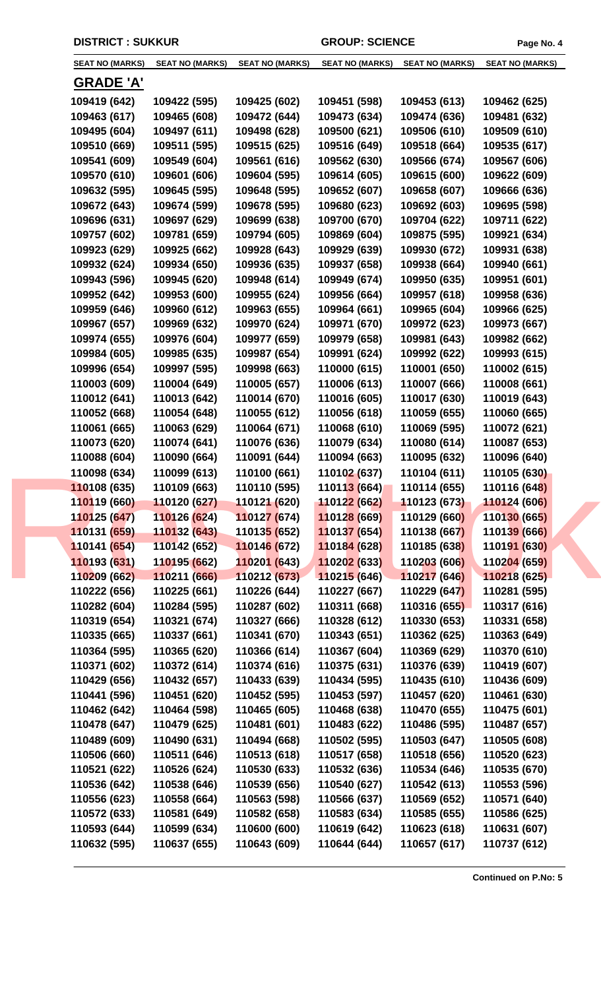| <b>SEAT NO (MARKS)</b>      | <b>SEAT NO (MARKS)</b> | <b>SEAT NO (MARKS)</b>      | <b>SEAT NO (MARKS)</b>     | SEAT NO (MARKS) | SEAT NO (MARKS) |  |
|-----------------------------|------------------------|-----------------------------|----------------------------|-----------------|-----------------|--|
| <b>GRADE 'A'</b>            |                        |                             |                            |                 |                 |  |
| 109419 (642)                | 109422 (595)           | 109425 (602)                | 109451 (598)               | 109453 (613)    | 109462 (625)    |  |
| 109463 (617)                | 109465 (608)           | 109472 (644)                | 109473 (634)               | 109474 (636)    | 109481 (632)    |  |
| 109495 (604)                | 109497 (611)           | 109498 (628)                | 109500 (621)               | 109506 (610)    | 109509 (610)    |  |
| 109510 (669)                | 109511 (595)           | 109515 (625)                | 109516 (649)               | 109518 (664)    | 109535 (617)    |  |
| 109541 (609)                | 109549 (604)           | 109561 (616)                | 109562 (630)               | 109566 (674)    | 109567 (606)    |  |
| 109570 (610)                | 109601 (606)           | 109604 (595)                | 109614 (605)               | 109615 (600)    | 109622 (609)    |  |
| 109632 (595)                | 109645 (595)           | 109648 (595)                | 109652 (607)               | 109658 (607)    | 109666 (636)    |  |
| 109672 (643)                | 109674 (599)           | 109678 (595)                | 109680 (623)               | 109692 (603)    | 109695 (598)    |  |
| 109696 (631)                | 109697 (629)           | 109699 (638)                | 109700 (670)               | 109704 (622)    | 109711 (622)    |  |
|                             |                        |                             |                            |                 |                 |  |
| 109757 (602)                | 109781 (659)           | 109794 (605)                | 109869 (604)               | 109875 (595)    | 109921 (634)    |  |
| 109923 (629)                | 109925 (662)           | 109928 (643)                | 109929 (639)               | 109930 (672)    | 109931 (638)    |  |
| 109932 (624)                | 109934 (650)           | 109936 (635)                | 109937 (658)               | 109938 (664)    | 109940 (661)    |  |
| 109943 (596)                | 109945 (620)           | 109948 (614)                | 109949 (674)               | 109950 (635)    | 109951 (601)    |  |
| 109952 (642)                | 109953 (600)           | 109955 (624)                | 109956 (664)               | 109957 (618)    | 109958 (636)    |  |
| 109959 (646)                | 109960 (612)           | 109963 (655)                | 109964 (661)               | 109965 (604)    | 109966 (625)    |  |
| 109967 (657)                | 109969 (632)           | 109970 (624)                | 109971 (670)               | 109972 (623)    | 109973 (667)    |  |
| 109974 (655)                | 109976 (604)           | 109977 (659)                | 109979 (658)               | 109981 (643)    | 109982 (662)    |  |
| 109984 (605)                | 109985 (635)           | 109987 (654)                | 109991 (624)               | 109992 (622)    | 109993 (615)    |  |
| 109996 (654)                | 109997 (595)           | 109998 (663)                | 110000 (615)               | 110001 (650)    | 110002 (615)    |  |
| 110003 (609)                | 110004 (649)           | 110005 (657)                | 110006 (613)               | 110007 (666)    | 110008 (661)    |  |
| 110012 (641)                | 110013 (642)           | 110014 (670)                | 110016 (605)               | 110017 (630)    | 110019 (643)    |  |
| 110052 (668)                | 110054 (648)           | 110055 (612)                | 110056 (618)               | 110059 (655)    | 110060 (665)    |  |
| 110061 (665)                | 110063 (629)           | 110064 (671)                | 110068 (610)               | 110069 (595)    | 110072 (621)    |  |
| 110073 (620)                | 110074 (641)           | 110076 (636)                | 110079 (634)               | 110080 (614)    | 110087 (653)    |  |
| 110088 (604)                | 110090 (664)           | 110091 (644)                | 110094 (663)               | 110095 (632)    | 110096 (640)    |  |
| 110098 (634)                | 110099 (613)           | 110100 (661)                | 110102 (637)               | 110104 (611)    | 110105 (630)    |  |
| 110108 (635)                | 110109 (663)           | 110110 (595)                | 11011 <mark>3 (664)</mark> | 110114 (655)    | 110116 (648)    |  |
| 1 <mark>10</mark> 119 (660) | 110120 (627)           | 110121 (620)                | 110122 (662)               | 110123 (673)    | 110124 (606)    |  |
| 110125 (647)                | 110126 (624)           | 110127 (674)                | 110128 (669)               | 110129 (660)    | 110130 (665)    |  |
| 110131 (659)                | 110132 (643)           | 11013 <mark>5 (</mark> 652) | 110137 (654)               | 110138 (667)    | 110139 (666)    |  |
| 110141 (654)                | 110142 (652)           | 110146 (672)                | 110184 (628)               | 110185 (638)    | 110191 (630)    |  |
| 110193 (631)                | 110195 (662)           | 110201 (643)                | 110202 (633)               | 110203 (606)    | 110204 (659)    |  |
| 110209 (662)                | 110211 (666)           | 110212 (673)                | 110215 (646)               | 110217 (646)    | 110218 (625)    |  |
| 110222 (656)                | 110225 (661)           | 110226 (644)                | 110227 (667)               | 110229 (647)    | 110281 (595)    |  |
| 110282 (604)                | 110284 (595)           | 110287 (602)                | 110311 (668)               | 110316 (655)    | 110317 (616)    |  |
| 110319 (654)                | 110321 (674)           | 110327 (666)                | 110328 (612)               | 110330 (653)    | 110331 (658)    |  |
| 110335 (665)                | 110337 (661)           | 110341 (670)                | 110343 (651)               | 110362 (625)    | 110363 (649)    |  |
| 110364 (595)                | 110365 (620)           | 110366 (614)                | 110367 (604)               | 110369 (629)    | 110370 (610)    |  |
| 110371 (602)                | 110372 (614)           | 110374 (616)                | 110375 (631)               | 110376 (639)    | 110419 (607)    |  |
| 110429 (656)                | 110432 (657)           | 110433 (639)                | 110434 (595)               | 110435 (610)    | 110436 (609)    |  |
| 110441 (596)                | 110451 (620)           | 110452 (595)                | 110453 (597)               | 110457 (620)    | 110461 (630)    |  |
| 110462 (642)                | 110464 (598)           | 110465 (605)                | 110468 (638)               | 110470 (655)    | 110475 (601)    |  |
| 110478 (647)                | 110479 (625)           | 110481 (601)                | 110483 (622)               | 110486 (595)    | 110487 (657)    |  |
| 110489 (609)                | 110490 (631)           | 110494 (668)                | 110502 (595)               | 110503 (647)    | 110505 (608)    |  |
| 110506 (660)                | 110511 (646)           | 110513 (618)                | 110517 (658)               | 110518 (656)    | 110520 (623)    |  |
| 110521 (622)                | 110526 (624)           | 110530 (633)                | 110532 (636)               | 110534 (646)    | 110535 (670)    |  |
| 110536 (642)                | 110538 (646)           | 110539 (656)                | 110540 (627)               | 110542 (613)    | 110553 (596)    |  |
| 110556 (623)                | 110558 (664)           | 110563 (598)                | 110566 (637)               | 110569 (652)    | 110571 (640)    |  |
| 110572 (633)                | 110581 (649)           | 110582 (658)                | 110583 (634)               | 110585 (655)    | 110586 (625)    |  |
| 110593 (644)                | 110599 (634)           | 110600 (600)                | 110619 (642)               | 110623 (618)    | 110631 (607)    |  |
| 110632 (595)                | 110637 (655)           | 110643 (609)                | 110644 (644)               | 110657 (617)    | 110737 (612)    |  |
|                             |                        |                             |                            |                 |                 |  |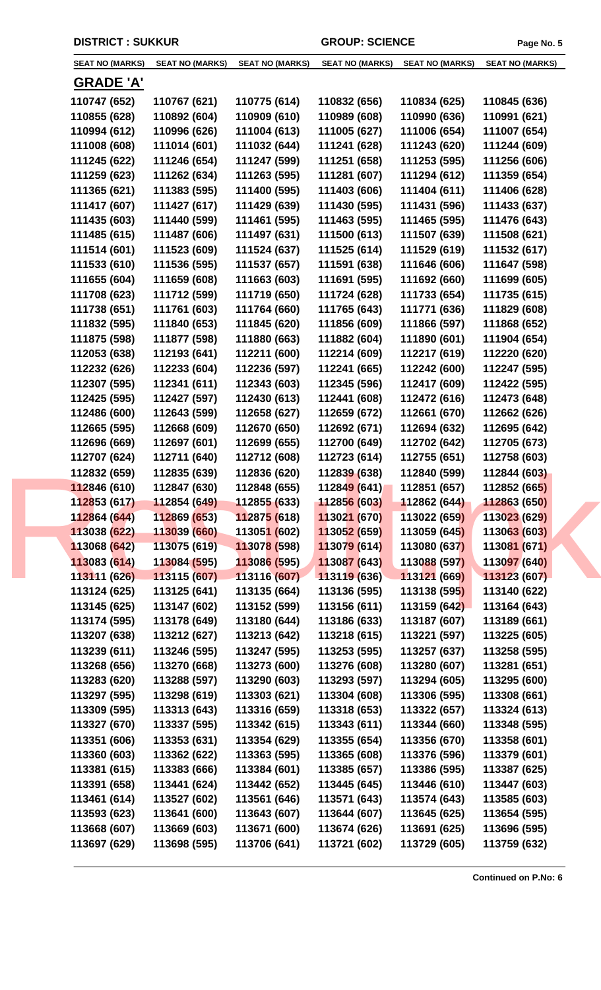| <b>SEAT NO (MARKS)</b> | <b>SEAT NO (MARKS)</b>     | <b>SEAT NO (MARKS)</b>      | <b>SEAT NO (MARKS)</b>     | <b>SEAT NO (MARKS)</b> | <b>SEAT NO (MARKS)</b> |
|------------------------|----------------------------|-----------------------------|----------------------------|------------------------|------------------------|
| <b>GRADE 'A'</b>       |                            |                             |                            |                        |                        |
| 110747 (652)           | 110767 (621)               | 110775 (614)                | 110832 (656)               | 110834 (625)           | 110845 (636)           |
| 110855 (628)           | 110892 (604)               | 110909 (610)                | 110989 (608)               | 110990 (636)           | 110991 (621)           |
| 110994 (612)           | 110996 (626)               | 111004 (613)                | 111005 (627)               | 111006 (654)           | 111007 (654)           |
| 111008 (608)           | 111014 (601)               | 111032 (644)                | 111241 (628)               | 111243 (620)           | 111244 (609)           |
| 111245 (622)           | 111246 (654)               | 111247 (599)                | 111251 (658)               | 111253 (595)           | 111256 (606)           |
| 111259 (623)           | 111262 (634)               | 111263 (595)                | 111281 (607)               | 111294 (612)           | 111359 (654)           |
| 111365 (621)           | 111383 (595)               | 111400 (595)                | 111403 (606)               | 111404 (611)           | 111406 (628)           |
| 111417 (607)           | 111427 (617)               | 111429 (639)                | 111430 (595)               | 111431 (596)           | 111433 (637)           |
| 111435 (603)           | 111440 (599)               | 111461 (595)                | 111463 (595)               | 111465 (595)           | 111476 (643)           |
| 111485 (615)           | 111487 (606)               | 111497 (631)                | 111500 (613)               | 111507 (639)           | 111508 (621)           |
| 111514 (601)           | 111523 (609)               | 111524 (637)                | 111525 (614)               | 111529 (619)           | 111532 (617)           |
| 111533 (610)           | 111536 (595)               | 111537 (657)                | 111591 (638)               | 111646 (606)           | 111647 (598)           |
| 111655 (604)           | 111659 (608)               | 111663 (603)                | 111691 (595)               | 111692 (660)           | 111699 (605)           |
| 111708 (623)           | 111712 (599)               | 111719 (650)                | 111724 (628)               | 111733 (654)           | 111735 (615)           |
| 111738 (651)           | 111761 (603)               | 111764 (660)                | 111765 (643)               | 111771 (636)           | 111829 (608)           |
| 111832 (595)           | 111840 (653)               | 111845 (620)                | 111856 (609)               | 111866 (597)           | 111868 (652)           |
|                        |                            |                             |                            |                        |                        |
| 111875 (598)           | 111877 (598)               | 111880 (663)                | 111882 (604)               | 111890 (601)           | 111904 (654)           |
| 112053 (638)           | 112193 (641)               | 112211 (600)                | 112214 (609)               | 112217 (619)           | 112220 (620)           |
| 112232 (626)           | 112233 (604)               | 112236 (597)                | 112241 (665)               | 112242 (600)           | 112247 (595)           |
| 112307 (595)           | 112341 (611)               | 112343 (603)                | 112345 (596)               | 112417 (609)           | 112422 (595)           |
| 112425 (595)           | 112427 (597)               | 112430 (613)                | 112441 (608)               | 112472 (616)           | 112473 (648)           |
| 112486 (600)           | 112643 (599)               | 112658 (627)                | 112659 (672)               | 112661 (670)           | 112662 (626)           |
| 112665 (595)           | 112668 (609)               | 112670 (650)                | 112692 (671)               | 112694 (632)           | 112695 (642)           |
| 112696 (669)           | 112697 (601)               | 112699 (655)                | 112700 (649)               | 112702 (642)           | 112705 (673)           |
| 112707 (624)           | 112711 (640)               | 112712 (608)                | 112723 (614)               | 112755 (651)           | 112758 (603)           |
| 112832 (659)           | 112835 (639)               | 112836 (620)                | 112839 (638)               | 112840 (599)           | 112844 (603)           |
| 112846 (610)           | 112847 (630)               | 112848 (655)                | 11284 <mark>9 (641)</mark> | 112851 (657)           | 112852 (665)           |
| 112853 (617)           | $112854(649)$ 112855 (633) |                             | 112856 (603)               | 112862 (644)           | 112863 (650)           |
| 112864 (644)           | 112869 (653)               | 112875 (618)                | 113021 (670)               | 113022 (659)           | 113023 (629)           |
| 113038 (622)           | 113039 (660)               | 11305 <mark>1 (</mark> 602) | 113052 (659)               | 113059 (645)           | 113063 (603)           |
| 113068 (642)           | 113075 (619)               | 113078 (598)                | 113079 (614)               | 113080 (637)           | 113081 (671)           |
| 113083 (614)           | 113084 (595)               | 113086 (595)                | 113087 (643)               | 113088 (597)           | 113097 (640)           |
| 113111 (626)           | 113115 (607)               | 113116 (607)                | 113119 (636)               | 113121 (669)           | 113123 (607)           |
| 113124 (625)           | 113125 (641)               | 113135 (664)                | 113136 (595)               | 113138 (595)           | 113140 (622)           |
| 113145 (625)           | 113147 (602)               | 113152 (599)                | 113156 (611)               | 113159 (642)           | 113164 (643)           |
| 113174 (595)           | 113178 (649)               | 113180 (644)                | 113186 (633)               | 113187 (607)           | 113189 (661)           |
| 113207 (638)           | 113212 (627)               | 113213 (642)                | 113218 (615)               | 113221 (597)           | 113225 (605)           |
| 113239 (611)           | 113246 (595)               | 113247 (595)                | 113253 (595)               | 113257 (637)           | 113258 (595)           |
| 113268 (656)           | 113270 (668)               | 113273 (600)                | 113276 (608)               | 113280 (607)           | 113281 (651)           |
| 113283 (620)           | 113288 (597)               | 113290 (603)                | 113293 (597)               | 113294 (605)           | 113295 (600)           |
| 113297 (595)           | 113298 (619)               | 113303 (621)                | 113304 (608)               | 113306 (595)           | 113308 (661)           |
| 113309 (595)           | 113313 (643)               | 113316 (659)                | 113318 (653)               | 113322 (657)           | 113324 (613)           |
| 113327 (670)           | 113337 (595)               | 113342 (615)                | 113343 (611)               | 113344 (660)           | 113348 (595)           |
| 113351 (606)           | 113353 (631)               | 113354 (629)                | 113355 (654)               | 113356 (670)           | 113358 (601)           |
| 113360 (603)           | 113362 (622)               | 113363 (595)                | 113365 (608)               | 113376 (596)           | 113379 (601)           |
| 113381 (615)           | 113383 (666)               | 113384 (601)                | 113385 (657)               | 113386 (595)           | 113387 (625)           |
| 113391 (658)           | 113441 (624)               | 113442 (652)                | 113445 (645)               | 113446 (610)           | 113447 (603)           |
| 113461 (614)           | 113527 (602)               | 113561 (646)                | 113571 (643)               | 113574 (643)           | 113585 (603)           |
| 113593 (623)           | 113641 (600)               | 113643 (607)                | 113644 (607)               | 113645 (625)           | 113654 (595)           |
|                        |                            |                             |                            |                        |                        |
| 113668 (607)           | 113669 (603)               | 113671 (600)                | 113674 (626)               | 113691 (625)           | 113696 (595)           |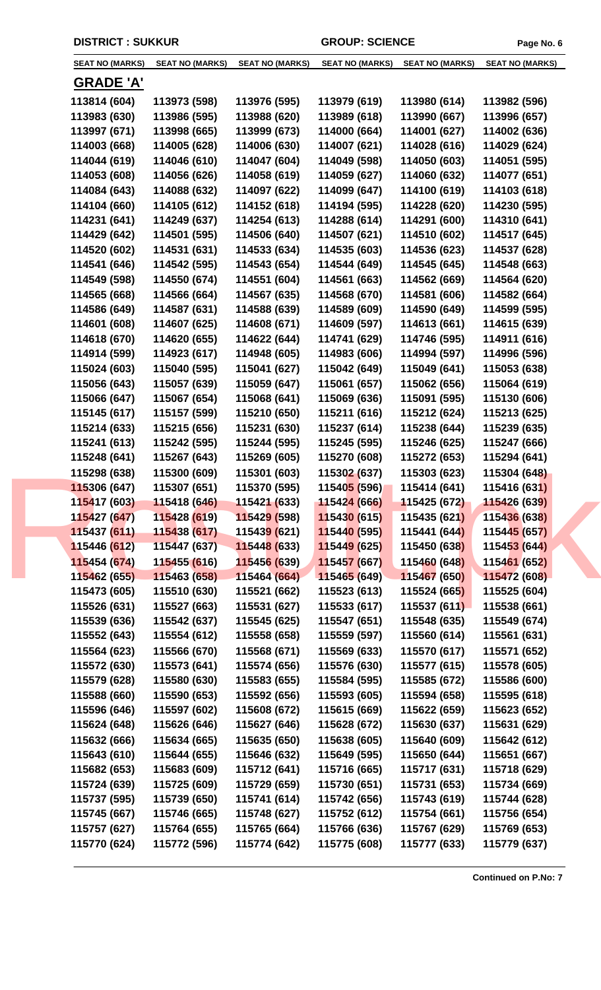| <b>SEAT NO (MARKS)</b>    | <b>SEAT NO (MARKS)</b> | <b>SEAT NO (MARKS)</b>      |                             |              | SEAT NO (MARKS) SEAT NO (MARKS) SEAT NO (MARKS) |  |
|---------------------------|------------------------|-----------------------------|-----------------------------|--------------|-------------------------------------------------|--|
| <b>GRADE 'A'</b>          |                        |                             |                             |              |                                                 |  |
| 113814 (604)              | 113973 (598)           | 113976 (595)                | 113979 (619)                | 113980 (614) | 113982 (596)                                    |  |
| 113983 (630)              | 113986 (595)           | 113988 (620)                | 113989 (618)                | 113990 (667) | 113996 (657)                                    |  |
| 113997 (671)              | 113998 (665)           | 113999 (673)                | 114000 (664)                | 114001 (627) | 114002 (636)                                    |  |
| 114003 (668)              | 114005 (628)           | 114006 (630)                | 114007 (621)                | 114028 (616) | 114029 (624)                                    |  |
| 114044 (619)              | 114046 (610)           | 114047 (604)                | 114049 (598)                | 114050 (603) | 114051 (595)                                    |  |
| 114053 (608)              | 114056 (626)           | 114058 (619)                | 114059 (627)                | 114060 (632) | 114077 (651)                                    |  |
| 114084 (643)              | 114088 (632)           | 114097 (622)                | 114099 (647)                | 114100 (619) | 114103 (618)                                    |  |
| 114104 (660)              | 114105 (612)           | 114152 (618)                | 114194 (595)                | 114228 (620) | 114230 (595)                                    |  |
| 114231 (641)              | 114249 (637)           | 114254 (613)                | 114288 (614)                | 114291 (600) | 114310 (641)                                    |  |
| 114429 (642)              | 114501 (595)           | 114506 (640)                | 114507 (621)                | 114510 (602) | 114517 (645)                                    |  |
| 114520 (602)              | 114531 (631)           | 114533 (634)                | 114535 (603)                | 114536 (623) | 114537 (628)                                    |  |
| 114541 (646)              | 114542 (595)           | 114543 (654)                |                             | 114545 (645) | 114548 (663)                                    |  |
| 114549 (598)              | 114550 (674)           |                             | 114544 (649)                | 114562 (669) |                                                 |  |
|                           |                        | 114551 (604)                | 114561 (663)                |              | 114564 (620)                                    |  |
| 114565 (668)              | 114566 (664)           | 114567 (635)                | 114568 (670)                | 114581 (606) | 114582 (664)                                    |  |
| 114586 (649)              | 114587 (631)           | 114588 (639)                | 114589 (609)                | 114590 (649) | 114599 (595)                                    |  |
| 114601 (608)              | 114607 (625)           | 114608 (671)                | 114609 (597)                | 114613 (661) | 114615 (639)                                    |  |
| 114618 (670)              | 114620 (655)           | 114622 (644)                | 114741 (629)                | 114746 (595) | 114911 (616)                                    |  |
| 114914 (599)              | 114923 (617)           | 114948 (605)                | 114983 (606)                | 114994 (597) | 114996 (596)                                    |  |
| 115024 (603)              | 115040 (595)           | 115041 (627)                | 115042 (649)                | 115049 (641) | 115053 (638)                                    |  |
| 115056 (643)              | 115057 (639)           | 115059 (647)                | 115061 (657)                | 115062 (656) | 115064 (619)                                    |  |
| 115066 (647)              | 115067 (654)           | 115068 (641)                | 115069 (636)                | 115091 (595) | 115130 (606)                                    |  |
| 115145 (617)              | 115157 (599)           | 115210 (650)                | 115211 (616)                | 115212 (624) | 115213 (625)                                    |  |
| 115214 (633)              | 115215 (656)           | 115231 (630)                | 115237 (614)                | 115238 (644) | 115239 (635)                                    |  |
| 115241 (613)              | 115242 (595)           | 115244 (595)                | 115245 (595)                | 115246 (625) | 115247 (666)                                    |  |
| 115248 (641)              | 115267 (643)           | 115269 (605)                | 115270 (608)                | 115272 (653) | 115294 (641)                                    |  |
| 115298 (638)              | 115300 (609)           | 115301 (603)                | 115302 (637)                | 115303 (623) | 115304 (648)                                    |  |
| 115306 (647)              | 115307 (651)           | 115370 (595)                | 11540 <mark>5 (</mark> 596) | 115414 (641) | 115416 (631)                                    |  |
| 115417 (603) 115418 (646) |                        | 115421 (633)                | 115424 (666)                | 115425 (672) | 115426 (639)                                    |  |
| 115427 (647)              | 115428 (619)           | 115429 (598)                | 115430 (615)                | 115435 (621) | 115436 (638)                                    |  |
| 115437 (611)              | 115438 (617)           | 11543 <mark>9 (</mark> 621) | 115440 (595)                | 115441 (644) | 115445 (657)                                    |  |
| 115446 (612)              | 115447 (637)           | 115448 (633)                | 115449 (625)                | 115450 (638) | 115453 (644)                                    |  |
| 115454 (674)              | 115455 (616)           | 115456 (639)                | 115457 (667)                | 115460 (648) | 115461 (652)                                    |  |
| 115462 (655)              | 115463 (658)           | 115464 (664)                | 115465 (649)                | 115467 (650) | 115472 (608)                                    |  |
| 115473 (605)              | 115510 (630)           | 115521 (662)                | 115523 (613)                | 115524 (665) | 115525 (604)                                    |  |
| 115526 (631)              | 115527 (663)           | 115531 (627)                | 115533 (617)                | 115537(611)  | 115538 (661)                                    |  |
| 115539 (636)              | 115542 (637)           | 115545 (625)                | 115547 (651)                | 115548 (635) | 115549 (674)                                    |  |
| 115552 (643)              | 115554 (612)           | 115558 (658)                | 115559 (597)                | 115560 (614) | 115561 (631)                                    |  |
| 115564 (623)              | 115566 (670)           | 115568 (671)                | 115569 (633)                | 115570 (617) | 115571 (652)                                    |  |
| 115572 (630)              | 115573 (641)           | 115574 (656)                | 115576 (630)                | 115577 (615) | 115578 (605)                                    |  |
| 115579 (628)              | 115580 (630)           | 115583 (655)                | 115584 (595)                | 115585 (672) | 115586 (600)                                    |  |
| 115588 (660)              | 115590 (653)           | 115592 (656)                | 115593 (605)                | 115594 (658) | 115595 (618)                                    |  |
| 115596 (646)              | 115597 (602)           | 115608 (672)                | 115615 (669)                | 115622 (659) | 115623 (652)                                    |  |
| 115624 (648)              | 115626 (646)           | 115627 (646)                | 115628 (672)                | 115630 (637) | 115631 (629)                                    |  |
| 115632 (666)              | 115634 (665)           | 115635 (650)                | 115638 (605)                | 115640 (609) | 115642 (612)                                    |  |
| 115643 (610)              | 115644 (655)           | 115646 (632)                | 115649 (595)                | 115650 (644) | 115651 (667)                                    |  |
| 115682 (653)              | 115683 (609)           | 115712 (641)                | 115716 (665)                | 115717 (631) | 115718 (629)                                    |  |
| 115724 (639)              | 115725 (609)           | 115729 (659)                | 115730 (651)                | 115731 (653) | 115734 (669)                                    |  |
| 115737 (595)              | 115739 (650)           | 115741 (614)                | 115742 (656)                | 115743 (619) | 115744 (628)                                    |  |
| 115745 (667)              | 115746 (665)           | 115748 (627)                | 115752 (612)                | 115754 (661) | 115756 (654)                                    |  |
| 115757 (627)              | 115764 (655)           | 115765 (664)                | 115766 (636)                | 115767 (629) | 115769 (653)                                    |  |
| 115770 (624)              | 115772 (596)           | 115774 (642)                | 115775 (608)                | 115777 (633) | 115779 (637)                                    |  |
|                           |                        |                             |                             |              |                                                 |  |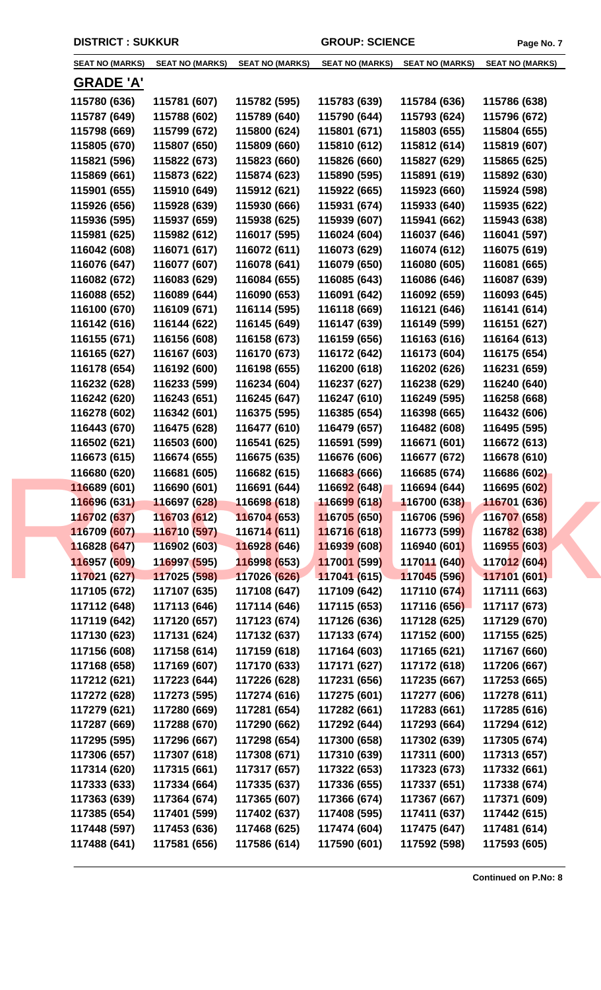| <b>SEAT NO (MARKS)</b> | <b>SEAT NO (MARKS)</b> | <b>SEAT NO (MARKS)</b>      | <b>SEAT NO (MARKS)</b>      | <b>SEAT NO (MARKS)</b> | <b>SEAT NO (MARKS)</b> |
|------------------------|------------------------|-----------------------------|-----------------------------|------------------------|------------------------|
| <u>GRADE 'A'</u>       |                        |                             |                             |                        |                        |
| 115780 (636)           | 115781 (607)           | 115782 (595)                | 115783 (639)                | 115784 (636)           | 115786 (638)           |
| 115787 (649)           | 115788 (602)           | 115789 (640)                | 115790 (644)                | 115793 (624)           | 115796 (672)           |
| 115798 (669)           | 115799 (672)           | 115800 (624)                | 115801 (671)                | 115803 (655)           | 115804 (655)           |
| 115805 (670)           | 115807 (650)           | 115809 (660)                | 115810 (612)                | 115812 (614)           | 115819 (607)           |
| 115821 (596)           | 115822 (673)           | 115823 (660)                | 115826 (660)                | 115827 (629)           | 115865 (625)           |
| 115869 (661)           | 115873 (622)           | 115874 (623)                | 115890 (595)                | 115891 (619)           | 115892 (630)           |
| 115901 (655)           | 115910 (649)           | 115912 (621)                | 115922 (665)                | 115923 (660)           | 115924 (598)           |
| 115926 (656)           | 115928 (639)           | 115930 (666)                | 115931 (674)                | 115933 (640)           | 115935 (622)           |
| 115936 (595)           | 115937 (659)           | 115938 (625)                | 115939 (607)                | 115941 (662)           | 115943 (638)           |
| 115981 (625)           | 115982 (612)           | 116017 (595)                | 116024 (604)                | 116037 (646)           | 116041 (597)           |
| 116042 (608)           | 116071 (617)           | 116072 (611)                | 116073 (629)                | 116074 (612)           | 116075 (619)           |
| 116076 (647)           | 116077 (607)           | 116078 (641)                | 116079 (650)                | 116080 (605)           | 116081 (665)           |
| 116082 (672)           | 116083 (629)           | 116084 (655)                | 116085 (643)                | 116086 (646)           | 116087 (639)           |
| 116088 (652)           | 116089 (644)           | 116090 (653)                | 116091 (642)                | 116092 (659)           | 116093 (645)           |
| 116100 (670)           | 116109 (671)           | 116114 (595)                | 116118 (669)                | 116121 (646)           | 116141 (614)           |
| 116142 (616)           | 116144 (622)           | 116145 (649)                | 116147 (639)                | 116149 (599)           | 116151 (627)           |
| 116155 (671)           | 116156 (608)           | 116158 (673)                | 116159 (656)                | 116163 (616)           | 116164 (613)           |
| 116165 (627)           | 116167 (603)           | 116170 (673)                | 116172 (642)                | 116173 (604)           | 116175 (654)           |
| 116178 (654)           | 116192 (600)           | 116198 (655)                | 116200 (618)                |                        | 116231 (659)           |
|                        |                        | 116234 (604)                |                             | 116202 (626)           |                        |
| 116232 (628)           | 116233 (599)           |                             | 116237 (627)                | 116238 (629)           | 116240 (640)           |
| 116242 (620)           | 116243 (651)           | 116245 (647)                | 116247 (610)                | 116249 (595)           | 116258 (668)           |
| 116278 (602)           | 116342 (601)           | 116375 (595)                | 116385 (654)                | 116398 (665)           | 116432 (606)           |
| 116443 (670)           | 116475 (628)           | 116477 (610)                | 116479 (657)                | 116482 (608)           | 116495 (595)           |
| 116502 (621)           | 116503 (600)           | 116541 (625)                | 116591 (599)                | 116671 (601)           | 116672 (613)           |
| 116673 (615)           | 116674 (655)           | 116675 (635)                | 116676 (606)                | 116677 (672)           | 116678 (610)           |
| 116680 (620)           | 116681 (605)           | 116682 (615)                | 116683 (666)                | 116685 (674)           | 116686 (602)           |
| 116689 (601)           | 116690 (601)           | 116691 (644)                | 116692 (648)                | 116694 (644)           | 116695 (602)           |
| 116696 (631)           | 116697 (628)           | 116698 (618)                | 11669 <mark>9 (</mark> 618) | 116700 (638)           | 116701 (636)           |
| 116702 (637)           | 116703 (612)           | 116704 (653)                | 116705 (650)                | 116706 (596)           | 116707 (658)           |
| 116709 (607)           | 116710 (597)           | 11671 <mark>4 (</mark> 611) | 116716 (618)                | 116773 (599)           | 116782 (638)           |
| 116828 (647)           | 116902 (603)           | 116928 (646)                | 116939 (608)                | 116940 (601)           | 116955 (603)           |
| 116957 (609)           | 116997 (595)           | 116998 (653)                | 117001 (599)                | 117011 (640)           | 117012 (604)           |
| 117021 (627)           | 117025 (598)           | 117026 (626)                | 117041 (615)                | 117045 (596)           | 117101 (601)           |
| 117105 (672)           | 117107 (635)           | 117108 (647)                | 117109 (642)                | 117110 (674)           | 117111 (663)           |
| 117112 (648)           | 117113 (646)           | 117114 (646)                | 117115 (653)                | 117116 (656)           | 117117 (673)           |
| 117119 (642)           | 117120 (657)           | 117123 (674)                | 117126 (636)                | 117128 (625)           | 117129 (670)           |
| 117130 (623)           | 117131 (624)           | 117132 (637)                | 117133 (674)                | 117152 (600)           | 117155 (625)           |
| 117156 (608)           | 117158 (614)           | 117159 (618)                | 117164 (603)                | 117165 (621)           | 117167 (660)           |
| 117168 (658)           | 117169 (607)           | 117170 (633)                | 117171 (627)                | 117172 (618)           | 117206 (667)           |
| 117212 (621)           | 117223 (644)           | 117226 (628)                | 117231 (656)                | 117235 (667)           | 117253 (665)           |
| 117272 (628)           | 117273 (595)           | 117274 (616)                | 117275 (601)                | 117277 (606)           | 117278 (611)           |
| 117279 (621)           | 117280 (669)           | 117281 (654)                | 117282 (661)                | 117283 (661)           | 117285 (616)           |
| 117287 (669)           | 117288 (670)           | 117290 (662)                | 117292 (644)                | 117293 (664)           | 117294 (612)           |
| 117295 (595)           | 117296 (667)           | 117298 (654)                | 117300 (658)                | 117302 (639)           | 117305 (674)           |
| 117306 (657)           | 117307 (618)           | 117308 (671)                | 117310 (639)                | 117311 (600)           | 117313 (657)           |
| 117314 (620)           | 117315 (661)           | 117317 (657)                | 117322 (653)                | 117323 (673)           | 117332 (661)           |
| 117333 (633)           | 117334 (664)           | 117335 (637)                | 117336 (655)                | 117337 (651)           | 117338 (674)           |
| 117363 (639)           | 117364 (674)           | 117365 (607)                | 117366 (674)                | 117367 (667)           | 117371 (609)           |
| 117385 (654)           | 117401 (599)           | 117402 (637)                | 117408 (595)                | 117411 (637)           | 117442 (615)           |
| 117448 (597)           | 117453 (636)           | 117468 (625)                | 117474 (604)                | 117475 (647)           | 117481 (614)           |
| 117488 (641)           | 117581 (656)           | 117586 (614)                | 117590 (601)                | 117592 (598)           | 117593 (605)           |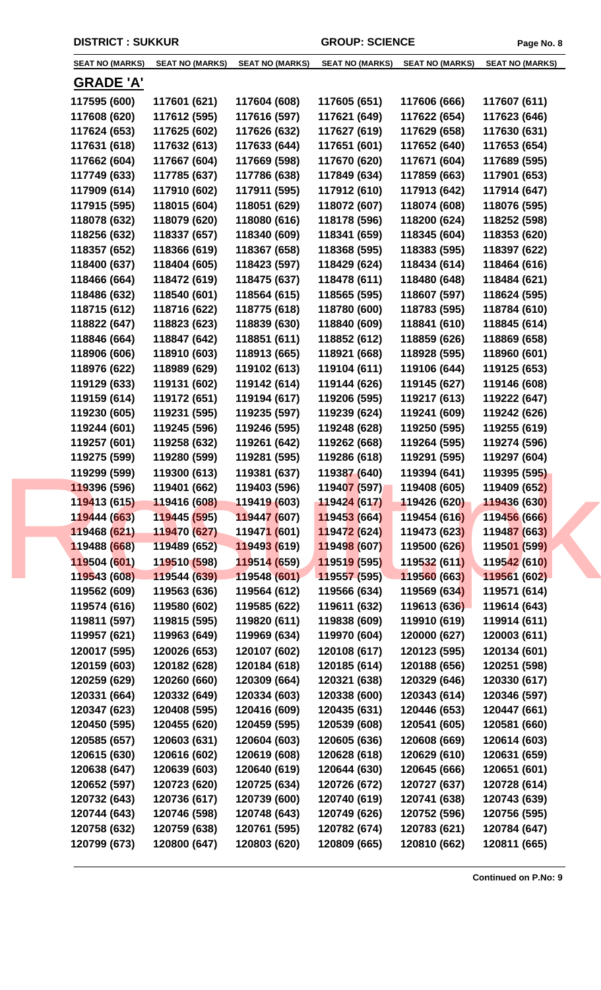| <b>SEAT NO (MARKS)</b> | <b>SEAT NO (MARKS)</b> | <b>SEAT NO (MARKS)</b>      | <b>SEAT NO (MARKS)</b> | <b>SEAT NO (MARKS)</b> | <b>SEAT NO (MARKS)</b> |
|------------------------|------------------------|-----------------------------|------------------------|------------------------|------------------------|
| <u>GRADE 'A'</u>       |                        |                             |                        |                        |                        |
| 117595 (600)           | 117601 (621)           | 117604 (608)                | 117605 (651)           | 117606 (666)           | 117607 (611)           |
| 117608 (620)           | 117612 (595)           | 117616 (597)                | 117621 (649)           | 117622 (654)           | 117623 (646)           |
| 117624 (653)           | 117625 (602)           | 117626 (632)                | 117627 (619)           | 117629 (658)           | 117630 (631)           |
| 117631 (618)           | 117632 (613)           | 117633 (644)                | 117651 (601)           | 117652 (640)           | 117653 (654)           |
| 117662 (604)           | 117667 (604)           | 117669 (598)                | 117670 (620)           | 117671 (604)           | 117689 (595)           |
| 117749 (633)           | 117785 (637)           | 117786 (638)                | 117849 (634)           | 117859 (663)           | 117901 (653)           |
| 117909 (614)           | 117910 (602)           | 117911 (595)                | 117912 (610)           | 117913 (642)           | 117914 (647)           |
| 117915 (595)           | 118015 (604)           | 118051 (629)                | 118072 (607)           | 118074 (608)           | 118076 (595)           |
| 118078 (632)           | 118079 (620)           | 118080 (616)                | 118178 (596)           | 118200 (624)           | 118252 (598)           |
| 118256 (632)           | 118337 (657)           | 118340 (609)                | 118341 (659)           | 118345 (604)           | 118353 (620)           |
| 118357 (652)           | 118366 (619)           | 118367 (658)                | 118368 (595)           | 118383 (595)           | 118397 (622)           |
| 118400 (637)           | 118404 (605)           | 118423 (597)                | 118429 (624)           | 118434 (614)           | 118464 (616)           |
| 118466 (664)           | 118472 (619)           | 118475 (637)                | 118478 (611)           | 118480 (648)           | 118484 (621)           |
| 118486 (632)           | 118540 (601)           | 118564 (615)                | 118565 (595)           | 118607 (597)           | 118624 (595)           |
| 118715 (612)           | 118716 (622)           | 118775 (618)                | 118780 (600)           | 118783 (595)           | 118784 (610)           |
| 118822 (647)           | 118823 (623)           | 118839 (630)                | 118840 (609)           | 118841 (610)           | 118845 (614)           |
| 118846 (664)           | 118847 (642)           | 118851 (611)                | 118852 (612)           | 118859 (626)           | 118869 (658)           |
| 118906 (606)           | 118910 (603)           | 118913 (665)                | 118921 (668)           | 118928 (595)           | 118960 (601)           |
| 118976 (622)           | 118989 (629)           | 119102 (613)                | 119104 (611)           | 119106 (644)           | 119125 (653)           |
| 119129 (633)           | 119131 (602)           | 119142 (614)                | 119144 (626)           | 119145 (627)           | 119146 (608)           |
| 119159 (614)           | 119172 (651)           | 119194 (617)                | 119206 (595)           | 119217 (613)           | 119222 (647)           |
| 119230 (605)           | 119231 (595)           | 119235 (597)                | 119239 (624)           | 119241 (609)           | 119242 (626)           |
| 119244 (601)           | 119245 (596)           | 119246 (595)                | 119248 (628)           | 119250 (595)           | 119255 (619)           |
| 119257 (601)           | 119258 (632)           | 119261 (642)                | 119262 (668)           | 119264 (595)           | 119274 (596)           |
| 119275 (599)           | 119280 (599)           | 119281 (595)                | 119286 (618)           | 119291 (595)           | 119297 (604)           |
| 119299 (599)           | 119300 (613)           | 119381 (637)                | 119387 (640)           | 119394 (641)           | 119395 (595)           |
| 119396 (596)           | 119401 (662)           | 119403 (596)                | 119407 (597)           | 119408 (605)           | 119409 (652)           |
| 119413 (615)           | 119416 (608)           | 119419 (603)                | 119424 (617)           | 119426 (620)           | 119436 (630)           |
| 119444 (663)           | 119445 (595)           | 119447 (607)                | 119453 (664)           | 119454 (616)           | 119456 (666)           |
| 119468 (621)           | 119470 (627)           | 11947 <mark>1 (</mark> 601) | 119472 (624)           | 119473 (623)           | 119487 (663)           |
| 119488 (668)           | 119489 (652)           | 119493 (619)                | 119498 (607)           | 119500 (626)           | 119501 (599)           |
| 119504 (601)           | 119510 (598)           | 119514 (659)                | 119519 (595)           | 119532 (611)           | 119542 (610)           |
| 119543 (608)           | 119544 (639)           | 119548 (601)                | 119557 (595)           | 119560 (663)           | 119561 (602)           |
| 119562 (609)           | 119563 (636)           | 119564 (612)                | 119566 (634)           | 119569 (634)           | 119571 (614)           |
| 119574 (616)           | 119580 (602)           | 119585 (622)                | 119611 (632)           | 119613 (636)           | 119614 (643)           |
| 119811 (597)           | 119815 (595)           | 119820 (611)                | 119838 (609)           | 119910 (619)           | 119914 (611)           |
| 119957 (621)           | 119963 (649)           | 119969 (634)                | 119970 (604)           | 120000 (627)           | 120003 (611)           |
| 120017 (595)           | 120026 (653)           | 120107 (602)                | 120108 (617)           | 120123 (595)           | 120134 (601)           |
| 120159 (603)           | 120182 (628)           | 120184 (618)                | 120185 (614)           | 120188 (656)           | 120251 (598)           |
| 120259 (629)           | 120260 (660)           | 120309 (664)                | 120321 (638)           | 120329 (646)           | 120330 (617)           |
| 120331 (664)           | 120332 (649)           | 120334 (603)                | 120338 (600)           | 120343 (614)           | 120346 (597)           |
| 120347 (623)           | 120408 (595)           | 120416 (609)                | 120435 (631)           | 120446 (653)           | 120447 (661)           |
| 120450 (595)           | 120455 (620)           | 120459 (595)                | 120539 (608)           | 120541 (605)           | 120581 (660)           |
| 120585 (657)           | 120603 (631)           | 120604 (603)                | 120605 (636)           | 120608 (669)           | 120614 (603)           |
| 120615 (630)           | 120616 (602)           | 120619 (608)                | 120628 (618)           | 120629 (610)           | 120631 (659)           |
| 120638 (647)           | 120639 (603)           | 120640 (619)                | 120644 (630)           | 120645 (666)           | 120651 (601)           |
| 120652 (597)           | 120723 (620)           | 120725 (634)                | 120726 (672)           | 120727 (637)           | 120728 (614)           |
| 120732 (643)           | 120736 (617)           | 120739 (600)                | 120740 (619)           | 120741 (638)           | 120743 (639)           |
| 120744 (643)           | 120746 (598)           | 120748 (643)                | 120749 (626)           | 120752 (596)           | 120756 (595)           |
| 120758 (632)           | 120759 (638)           | 120761 (595)                | 120782 (674)           | 120783 (621)           | 120784 (647)           |
| 120799 (673)           | 120800 (647)           | 120803 (620)                | 120809 (665)           | 120810 (662)           | 120811 (665)           |
|                        |                        |                             |                        |                        |                        |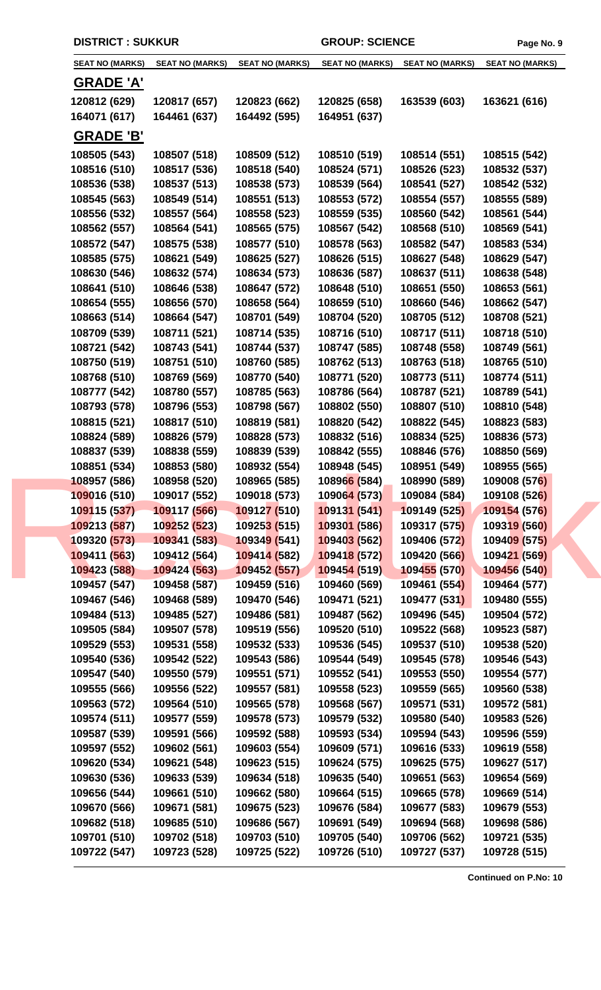| <b>SEAT NO (MARKS)</b> | <b>SEAT NO (MARKS)</b> | <b>SEAT NO (MARKS)</b> | <b>SEAT NO (MARKS)</b> | <b>SEAT NO (MARKS)</b> | <b>SEAT NO (MARKS)</b> |
|------------------------|------------------------|------------------------|------------------------|------------------------|------------------------|
|                        |                        |                        |                        |                        |                        |
| <b>GRADE 'A'</b>       |                        |                        |                        |                        |                        |
| 120812 (629)           | 120817 (657)           | 120823 (662)           | 120825 (658)           | 163539 (603)           | 163621 (616)           |
| 164071 (617)           | 164461 (637)           | 164492 (595)           | 164951 (637)           |                        |                        |
| <b>GRADE 'B'</b>       |                        |                        |                        |                        |                        |
| 108505 (543)           | 108507 (518)           | 108509 (512)           | 108510 (519)           | 108514 (551)           | 108515 (542)           |
| 108516 (510)           | 108517 (536)           | 108518 (540)           | 108524 (571)           | 108526 (523)           | 108532 (537)           |
| 108536 (538)           | 108537 (513)           | 108538 (573)           | 108539 (564)           | 108541 (527)           | 108542 (532)           |
| 108545 (563)           | 108549 (514)           | 108551 (513)           | 108553 (572)           | 108554 (557)           | 108555 (589)           |
| 108556 (532)           | 108557 (564)           | 108558 (523)           | 108559 (535)           | 108560 (542)           | 108561 (544)           |
| 108562 (557)           | 108564 (541)           | 108565 (575)           | 108567 (542)           | 108568 (510)           | 108569 (541)           |
| 108572 (547)           | 108575 (538)           | 108577 (510)           | 108578 (563)           | 108582 (547)           | 108583 (534)           |
| 108585 (575)           | 108621 (549)           | 108625 (527)           | 108626 (515)           | 108627 (548)           | 108629 (547)           |
| 108630 (546)           | 108632 (574)           | 108634 (573)           | 108636 (587)           | 108637 (511)           | 108638 (548)           |
| 108641 (510)           | 108646 (538)           | 108647 (572)           | 108648 (510)           | 108651 (550)           | 108653 (561)           |
| 108654 (555)           | 108656 (570)           | 108658 (564)           | 108659 (510)           | 108660 (546)           | 108662 (547)           |
| 108663 (514)           | 108664 (547)           | 108701 (549)           | 108704 (520)           | 108705 (512)           | 108708 (521)           |
| 108709 (539)           | 108711 (521)           | 108714 (535)           | 108716 (510)           | 108717 (511)           | 108718 (510)           |
| 108721 (542)           | 108743 (541)           | 108744 (537)           | 108747 (585)           | 108748 (558)           | 108749 (561)           |
| 108750 (519)           | 108751 (510)           | 108760 (585)           | 108762 (513)           | 108763 (518)           | 108765 (510)           |
| 108768 (510)           | 108769 (569)           | 108770 (540)           | 108771 (520)           | 108773 (511)           | 108774 (511)           |
| 108777 (542)           | 108780 (557)           | 108785 (563)           | 108786 (564)           | 108787 (521)           | 108789 (541)           |
| 108793 (578)           | 108796 (553)           | 108798 (567)           | 108802 (550)           | 108807 (510)           | 108810 (548)           |
| 108815 (521)           | 108817 (510)           | 108819 (581)           | 108820 (542)           | 108822 (545)           | 108823 (583)           |
| 108824 (589)           | 108826 (579)           | 108828 (573)           | 108832 (516)           | 108834 (525)           | 108836 (573)           |
| 108837 (539)           | 108838 (559)           | 108839 (539)           | 108842 (555)           | 108846 (576)           | 108850 (569)           |
| 108851 (534)           | 108853 (580)           | 108932 (554)           | 108948 (545)           | 108951 (549)           | 108955 (565)           |
| 108957 (586)           | 108958 (520)           | 108965 (585)           | 108966 (584)           | 108990 (589)           | 109008 (576)           |
| 109016 (510)           | 109017 (552)           | 109018 (573)           | 109064 (573)           | 109084 (584)           | 109108 (526)           |
| 109115 (537)           | 109117 (566)           | 109127 (510)           | 109131 (541)           | 109149 (525)           | 109154 (576)           |
| 109213 (587)           | 109252 (523)           | 109253 (515)           | 109301 (586)           | 109317 (575)           | 109319 (560)           |
| 109320 (573)           | 109341 (583)           | 109349 (541)           | 109403 (562)           | 109406 (572)           | 109409 (575)           |
| 109411 (563)           | 109412 (564)           | 109414 (582)           | 109418 (572)           | 109420 (566)           | 109421 (569)           |
| 109423 (588)           | 109424 (563)           | 109452 (557)           | 109454 (519)           | 109455 (570)           | 109456 (540)           |
| 109457 (547)           | 109458 (587)           | 109459 (516)           | 109460 (569)           | 109461 (554)           | 109464 (577)           |
| 109467 (546)           | 109468 (589)           | 109470 (546)           | 109471 (521)           | 109477 (531)           | 109480 (555)           |
| 109484 (513)           | 109485 (527)           | 109486 (581)           | 109487 (562)           | 109496 (545)           | 109504 (572)           |
| 109505 (584)           | 109507 (578)           | 109519 (556)           | 109520 (510)           | 109522 (568)           | 109523 (587)           |
| 109529 (553)           | 109531 (558)           | 109532 (533)           | 109536 (545)           | 109537 (510)           | 109538 (520)           |
| 109540 (536)           | 109542 (522)           | 109543 (586)           | 109544 (549)           | 109545 (578)           | 109546 (543)           |
| 109547 (540)           | 109550 (579)           | 109551 (571)           | 109552 (541)           | 109553 (550)           | 109554 (577)           |
| 109555 (566)           | 109556 (522)           | 109557 (581)           | 109558 (523)           | 109559 (565)           | 109560 (538)           |
| 109563 (572)           | 109564 (510)           | 109565 (578)           | 109568 (567)           | 109571 (531)           | 109572 (581)           |
| 109574 (511)           | 109577 (559)           | 109578 (573)           | 109579 (532)           | 109580 (540)           | 109583 (526)           |
| 109587 (539)           | 109591 (566)           | 109592 (588)           | 109593 (534)           | 109594 (543)           | 109596 (559)           |
| 109597 (552)           | 109602 (561)           | 109603 (554)           | 109609 (571)           | 109616 (533)           | 109619 (558)           |
| 109620 (534)           | 109621 (548)           | 109623 (515)           | 109624 (575)           | 109625 (575)           | 109627 (517)           |
| 109630 (536)           | 109633 (539)           | 109634 (518)           | 109635 (540)           | 109651 (563)           | 109654 (569)           |
| 109656 (544)           | 109661 (510)           | 109662 (580)           | 109664 (515)           | 109665 (578)           | 109669 (514)           |
| 109670 (566)           | 109671 (581)           | 109675 (523)           | 109676 (584)           | 109677 (583)           | 109679 (553)           |
| 109682 (518)           | 109685 (510)           | 109686 (567)           | 109691 (549)           | 109694 (568)           | 109698 (586)           |
| 109701 (510)           | 109702 (518)           | 109703 (510)           | 109705 (540)           | 109706 (562)           | 109721 (535)           |
| 109722 (547)           | 109723 (528)           | 109725 (522)           | 109726 (510)           | 109727 (537)           | 109728 (515)           |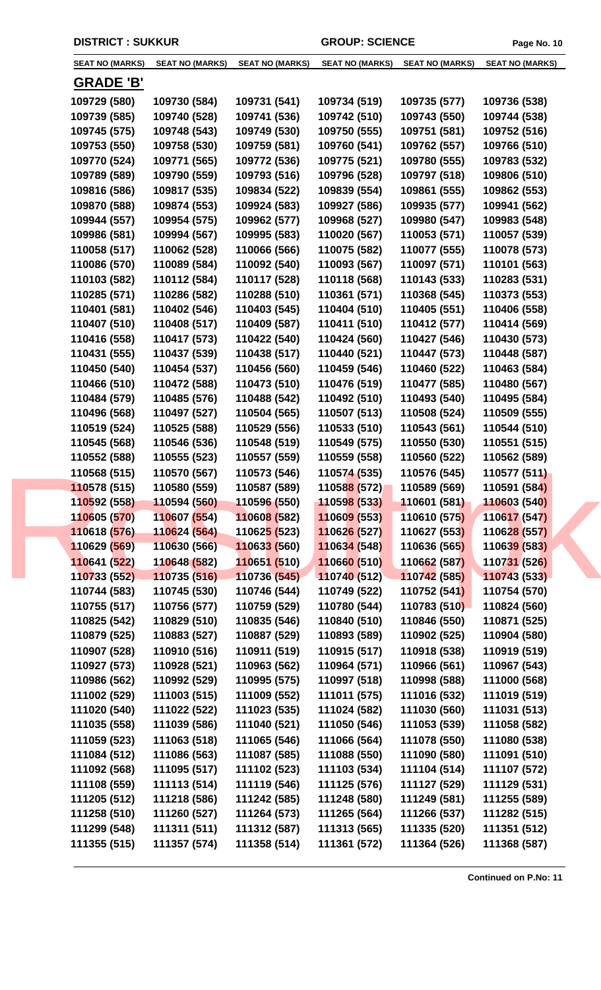| <b>SEAT NO (MARKS)</b>       | <b>SEAT NO (MARKS)</b>       | <b>SEAT NO (MARKS)</b>       | <b>SEAT NO (MARKS)</b>       | <b>SEAT NO (MARKS)</b>       | <b>SEAT NO (MARKS)</b>       |
|------------------------------|------------------------------|------------------------------|------------------------------|------------------------------|------------------------------|
| <b>GRADE 'B'</b>             |                              |                              |                              |                              |                              |
|                              |                              |                              |                              |                              |                              |
| 109729 (580)                 | 109730 (584)                 | 109731 (541)                 | 109734 (519)                 | 109735 (577)                 | 109736 (538)                 |
| 109739 (585)                 | 109740 (528)                 | 109741 (536)                 | 109742 (510)                 | 109743 (550)                 | 109744 (538)                 |
| 109745 (575)                 | 109748 (543)                 | 109749 (530)                 | 109750 (555)                 | 109751 (581)                 | 109752 (516)                 |
| 109753 (550)                 | 109758 (530)                 | 109759 (581)                 | 109760 (541)                 | 109762 (557)<br>109780 (555) | 109766 (510)<br>109783 (532) |
| 109770 (524)                 | 109771 (565)                 | 109772 (536)                 | 109775 (521)                 |                              |                              |
| 109789 (589)                 | 109790 (559)                 | 109793 (516)                 | 109796 (528)                 | 109797 (518)                 | 109806 (510)                 |
| 109816 (586)                 | 109817 (535)                 | 109834 (522)                 | 109839 (554)                 | 109861 (555)                 | 109862 (553)                 |
| 109870 (588)                 | 109874 (553)                 | 109924 (583)                 | 109927 (586)                 | 109935 (577)                 | 109941 (562)                 |
| 109944 (557)<br>109986 (581) | 109954 (575)<br>109994 (567) | 109962 (577)<br>109995 (583) | 109968 (527)<br>110020 (567) | 109980 (547)<br>110053 (571) | 109983 (548)                 |
|                              |                              |                              |                              |                              | 110057 (539)                 |
| 110058 (517)<br>110086 (570) | 110062 (528)<br>110089 (584) | 110066 (566)                 | 110075 (582)<br>110093 (567) | 110077 (555)                 | 110078 (573)<br>110101 (563) |
| 110103 (582)                 |                              | 110092 (540)                 |                              | 110097 (571)                 |                              |
|                              | 110112 (584)                 | 110117 (528)                 | 110118 (568)                 | 110143 (533)                 | 110283 (531)                 |
| 110285 (571)                 | 110286 (582)                 | 110288 (510)                 | 110361 (571)                 | 110368 (545)                 | 110373 (553)                 |
| 110401 (581)                 | 110402 (546)                 | 110403 (545)                 | 110404 (510)                 | 110405 (551)                 | 110406 (558)                 |
| 110407 (510)                 | 110408 (517)                 | 110409 (587)                 | 110411 (510)                 | 110412 (577)                 | 110414 (569)                 |
| 110416 (558)                 | 110417 (573)                 | 110422 (540)                 | 110424 (560)                 | 110427 (546)                 | 110430 (573)                 |
| 110431 (555)                 | 110437 (539)                 | 110438 (517)                 | 110440 (521)                 | 110447 (573)                 | 110448 (587)                 |
| 110450 (540)                 | 110454 (537)                 | 110456 (560)                 | 110459 (546)                 | 110460 (522)                 | 110463 (584)                 |
| 110466 (510)                 | 110472 (588)                 | 110473 (510)                 | 110476 (519)                 | 110477 (585)                 | 110480 (567)                 |
| 110484 (579)                 | 110485 (576)                 | 110488 (542)                 | 110492 (510)                 | 110493 (540)                 | 110495 (584)                 |
| 110496 (568)                 | 110497 (527)                 | 110504 (565)                 | 110507 (513)                 | 110508 (524)                 | 110509 (555)                 |
| 110519 (524)                 | 110525 (588)                 | 110529 (556)                 | 110533 (510)                 | 110543 (561)                 | 110544 (510)                 |
| 110545 (568)                 | 110546 (536)                 | 110548 (519)                 | 110549 (575)                 | 110550 (530)                 | 110551 (515)                 |
| 110552 (588)                 | 110555 (523)                 | 110557 (559)                 | 110559 (558)                 | 110560 (522)                 | 110562 (589)                 |
| 110568 (515)                 | 110570 (567)                 | 110573 (546)                 | 110574 (535)                 | 110576 (545)                 | 110577 (511)                 |
| 110578 (515)                 | 110580 (559)                 | 110587 (589)                 | 110588 (572)                 | 110589 (569)                 | 110591 (584)                 |
| 110592 (558)                 | 110594 (560)                 | 110596 (550)                 | 11059 <mark>8 (533)</mark>   | 110601 (581)                 | 110603 (540)                 |
| 110605 (570)                 | 110607 (554)                 | 110608 (582)                 | 110609 (553)                 | 110610 (575)                 | 110617 (547)                 |
| 110618 (576)                 | 110624 (564)                 | 11062 <mark>5 (</mark> 523)  | 110626 (527)                 | 110627 (553)                 | 110628 (557)                 |
| 110629 (569)                 | 110630 (566)                 | 110633 (560)                 | 110634 (548)                 | 110636 (565)                 | 110639 (583)                 |
| 110641 (522)                 | 110648 (582)                 | 110651 (510)                 | 110660 (510)                 | 110662 (587)                 | 110731 (526)                 |
| 110733 (552)                 | 110735 (516)                 | 110736 (545)                 | 110740 (512)                 | 110742 (585)                 | 110743 (533)                 |
| 110744 (583)                 | 110745 (530)                 | 110746 (544)                 | 110749 (522)                 | 110752 (541)                 | 110754 (570)                 |
| 110755 (517)                 | 110756 (577)                 | 110759 (529)                 | 110780 (544)                 | 110783 (510)                 | 110824 (560)                 |
| 110825 (542)                 | 110829 (510)                 | 110835 (546)                 | 110840 (510)                 | 110846 (550)                 | 110871 (525)                 |
| 110879 (525)                 | 110883 (527)                 | 110887 (529)                 | 110893 (589)                 | 110902 (525)                 | 110904 (580)                 |
| 110907 (528)                 | 110910 (516)                 | 110911 (519)                 | 110915 (517)                 | 110918 (538)                 | 110919 (519)                 |
| 110927 (573)                 | 110928 (521)                 | 110963 (562)                 | 110964 (571)                 | 110966 (561)                 | 110967 (543)                 |
| 110986 (562)                 | 110992 (529)                 | 110995 (575)                 | 110997 (518)                 | 110998 (588)                 | 111000 (568)                 |
| 111002 (529)                 | 111003 (515)                 | 111009 (552)                 | 111011 (575)                 | 111016 (532)                 | 111019 (519)                 |
| 111020 (540)                 | 111022 (522)                 | 111023 (535)                 | 111024 (582)                 | 111030 (560)                 | 111031 (513)                 |
| 111035 (558)                 | 111039 (586)                 | 111040 (521)                 | 111050 (546)                 | 111053 (539)                 | 111058 (582)                 |
| 111059 (523)                 | 111063 (518)                 | 111065 (546)                 | 111066 (564)                 | 111078 (550)                 | 111080 (538)                 |
| 111084 (512)                 | 111086 (563)                 | 111087 (585)                 | 111088 (550)                 | 111090 (580)                 | 111091 (510)                 |
| 111092 (568)                 | 111095 (517)                 | 111102 (523)                 | 111103 (534)                 | 111104 (514)                 | 111107 (572)                 |
| 111108 (559)                 | 111113 (514)                 | 111119 (546)                 | 111125 (576)                 | 111127 (529)                 | 111129 (531)                 |
| 111205 (512)                 | 111218 (586)                 | 111242 (585)                 | 111248 (580)                 | 111249 (581)                 | 111255 (589)                 |
| 111258 (510)                 | 111260 (527)                 | 111264 (573)                 | 111265 (564)                 | 111266 (537)                 | 111282 (515)                 |
| 111299 (548)                 | 111311 (511)                 | 111312 (587)                 | 111313 (565)                 | 111335 (520)                 | 111351 (512)                 |
| 111355 (515)                 | 111357 (574)                 | 111358 (514)                 | 111361 (572)                 | 111364 (526)                 | 111368 (587)                 |
|                              |                              |                              |                              |                              |                              |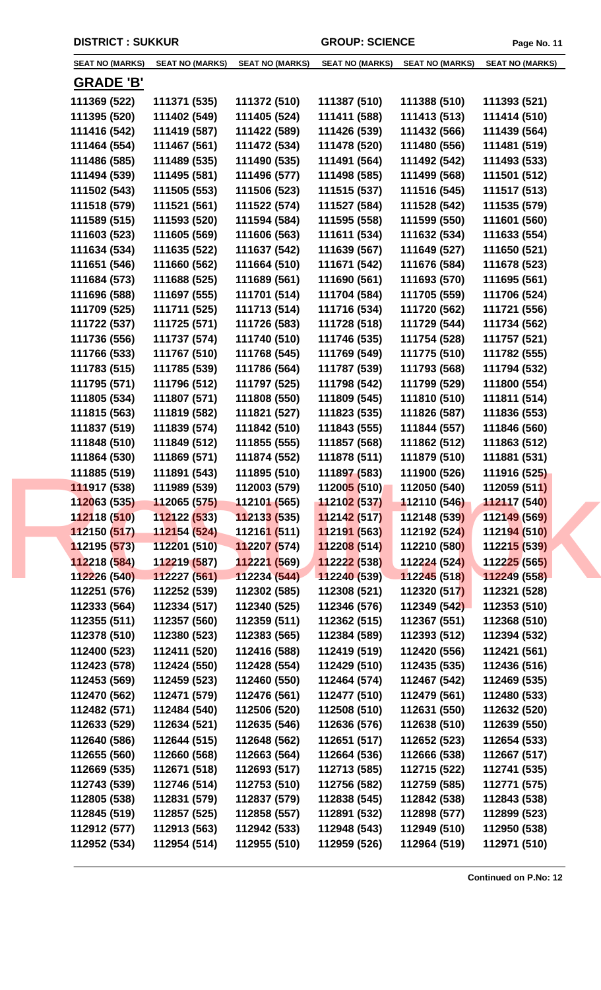| <b>SEAT NO (MARKS)</b> | <b>SEAT NO (MARKS)</b> | <b>SEAT NO (MARKS)</b>      | <b>SEAT NO (MARKS)</b>            | <b>SEAT NO (MARKS)</b> | <b>SEAT NO (MARKS)</b> |
|------------------------|------------------------|-----------------------------|-----------------------------------|------------------------|------------------------|
| <b>GRADE 'B'</b>       |                        |                             |                                   |                        |                        |
| 111369 (522)           | 111371 (535)           | 111372 (510)                | 111387 (510)                      | 111388 (510)           | 111393 (521)           |
| 111395 (520)           | 111402 (549)           | 111405 (524)                | 111411 (588)                      | 111413 (513)           | 111414 (510)           |
| 111416 (542)           | 111419 (587)           | 111422 (589)                | 111426 (539)                      | 111432 (566)           | 111439 (564)           |
| 111464 (554)           | 111467 (561)           | 111472 (534)                | 111478 (520)                      | 111480 (556)           | 111481 (519)           |
| 111486 (585)           | 111489 (535)           | 111490 (535)                | 111491 (564)                      | 111492 (542)           | 111493 (533)           |
| 111494 (539)           | 111495 (581)           | 111496 (577)                | 111498 (585)                      | 111499 (568)           | 111501 (512)           |
| 111502 (543)           | 111505 (553)           | 111506 (523)                | 111515 (537)                      | 111516 (545)           | 111517 (513)           |
| 111518 (579)           | 111521 (561)           | 111522 (574)                | 111527 (584)                      | 111528 (542)           | 111535 (579)           |
| 111589 (515)           | 111593 (520)           | 111594 (584)                | 111595 (558)                      | 111599 (550)           | 111601 (560)           |
| 111603 (523)           | 111605 (569)           | 111606 (563)                | 111611 (534)                      | 111632 (534)           | 111633 (554)           |
| 111634 (534)           | 111635 (522)           | 111637 (542)                | 111639 (567)                      | 111649 (527)           | 111650 (521)           |
| 111651 (546)           | 111660 (562)           | 111664 (510)                | 111671 (542)                      | 111676 (584)           | 111678 (523)           |
| 111684 (573)           | 111688 (525)           | 111689 (561)                | 111690 (561)                      | 111693 (570)           | 111695 (561)           |
| 111696 (588)           | 111697 (555)           | 111701 (514)                | 111704 (584)                      | 111705 (559)           | 111706 (524)           |
| 111709 (525)           | 111711 (525)           | 111713 (514)                | 111716 (534)                      | 111720 (562)           | 111721 (556)           |
| 111722 (537)           | 111725 (571)           | 111726 (583)                | 111728 (518)                      | 111729 (544)           | 111734 (562)           |
| 111736 (556)           | 111737 (574)           | 111740 (510)                | 111746 (535)                      | 111754 (528)           | 111757 (521)           |
| 111766 (533)           | 111767 (510)           | 111768 (545)                | 111769 (549)                      | 111775 (510)           | 111782 (555)           |
| 111783 (515)           | 111785 (539)           | 111786 (564)                | 111787 (539)                      | 111793 (568)           | 111794 (532)           |
| 111795 (571)           | 111796 (512)           | 111797 (525)                | 111798 (542)                      | 111799 (529)           | 111800 (554)           |
| 111805 (534)           | 111807 (571)           | 111808 (550)                | 111809 (545)                      | 111810 (510)           | 111811 (514)           |
| 111815 (563)           | 111819 (582)           | 111821 (527)                | 111823 (535)                      | 111826 (587)           | 111836 (553)           |
| 111837 (519)           | 111839 (574)           | 111842 (510)                | 111843 (555)                      | 111844 (557)           | 111846 (560)           |
| 111848 (510)           | 111849 (512)           | 111855 (555)                | 111857 (568)                      | 111862 (512)           | 111863 (512)           |
| 111864 (530)           | 111869 (571)           | 111874 (552)                | 111878 (511)                      | 111879 (510)           | 111881 (531)           |
| 111885 (519)           | 111891 (543)           | 111895 (510)                | 111897 (583)                      | 111900 (526)           | 111916 (525)           |
| 111917 (538)           | 111989 (539)           | 112003 (579)                | 112005 (510)                      | 112050 (540)           | 112059 (511)           |
| 112063 (535)           |                        |                             | $\frac{112102(537)}{112110(546)}$ |                        | 112117 (540)           |
| 112118 (510)           | 112122 (533)           | 112133 (535)                | 112142 (517)                      | 112148 (539)           | 112149 (569)           |
| 112150 (517)           | 112154 (524)           | 11216 <mark>1 (</mark> 511) | 112191 (563)                      | 112192 (524)           | 112194 (510)           |
| 112195 (573)           | 112201 (510)           | 112207 (574)                | 112208 (514)                      | 112210 (580)           | 112215 (539)           |
| 112218 (584)           | 112219 (587)           | 112221 (569)                | 112222 (538)                      | 112224 (524)           | 112225 (565)           |
| 112226 (540)           | 112227 (561)           | 112234 (544)                | 112240 (539)                      | 112245 (518)           | 112249 (558)           |
| 112251 (576)           | 112252 (539)           | 112302 (585)                | 112308 (521)                      | 112320 (517)           | 112321 (528)           |
| 112333 (564)           | 112334 (517)           | 112340 (525)                | 112346 (576)                      | 112349 (542)           | 112353 (510)           |
| 112355 (511)           | 112357 (560)           | 112359 (511)                | 112362 (515)                      | 112367 (551)           | 112368 (510)           |
| 112378 (510)           | 112380 (523)           | 112383 (565)                | 112384 (589)                      | 112393 (512)           | 112394 (532)           |
| 112400 (523)           | 112411 (520)           | 112416 (588)                | 112419 (519)                      | 112420 (556)           | 112421 (561)           |
| 112423 (578)           | 112424 (550)           | 112428 (554)                | 112429 (510)                      | 112435 (535)           | 112436 (516)           |
| 112453 (569)           | 112459 (523)           | 112460 (550)                | 112464 (574)                      | 112467 (542)           | 112469 (535)           |
| 112470 (562)           | 112471 (579)           | 112476 (561)                | 112477 (510)                      | 112479 (561)           | 112480 (533)           |
| 112482 (571)           | 112484 (540)           | 112506 (520)                | 112508 (510)                      | 112631 (550)           | 112632 (520)           |
| 112633 (529)           | 112634 (521)           | 112635 (546)                | 112636 (576)                      | 112638 (510)           | 112639 (550)           |
| 112640 (586)           | 112644 (515)           | 112648 (562)                | 112651 (517)                      | 112652 (523)           | 112654 (533)           |
| 112655 (560)           | 112660 (568)           | 112663 (564)                | 112664 (536)                      | 112666 (538)           | 112667 (517)           |
| 112669 (535)           | 112671 (518)           | 112693 (517)                | 112713 (585)                      | 112715 (522)           | 112741 (535)           |
| 112743 (539)           | 112746 (514)           | 112753 (510)                | 112756 (582)                      | 112759 (585)           | 112771 (575)           |
| 112805 (538)           | 112831 (579)           | 112837 (579)                | 112838 (545)                      | 112842 (538)           | 112843 (538)           |
| 112845 (519)           | 112857 (525)           | 112858 (557)                | 112891 (532)                      | 112898 (577)           | 112899 (523)           |
| 112912 (577)           | 112913 (563)           | 112942 (533)                | 112948 (543)                      | 112949 (510)           | 112950 (538)           |
| 112952 (534)           | 112954 (514)           | 112955 (510)                | 112959 (526)                      | 112964 (519)           | 112971 (510)           |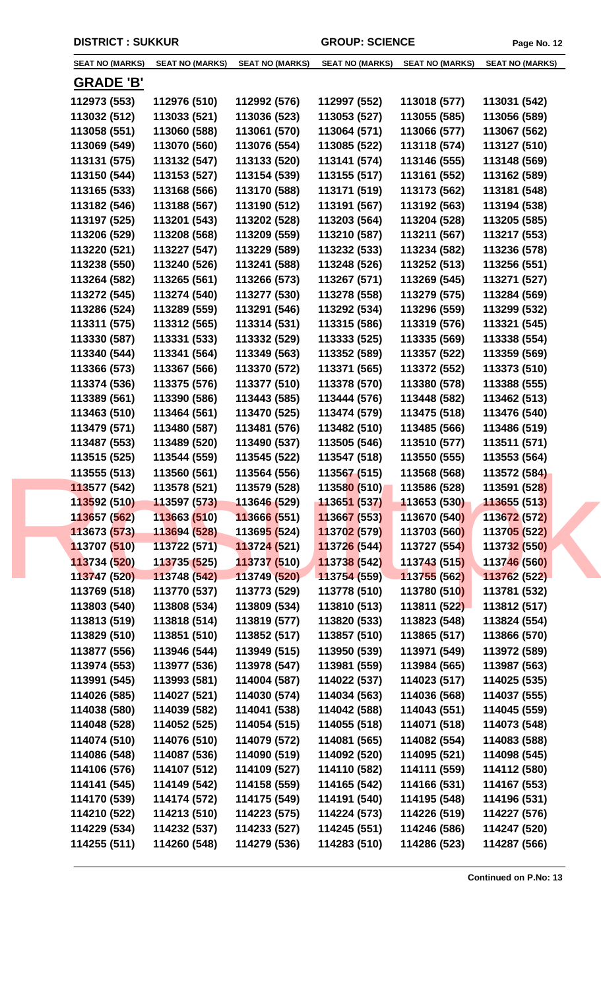| <b>SEAT NO (MARKS)</b> | <b>SEAT NO (MARKS)</b> | <b>SEAT NO (MARKS)</b>      | <b>SEAT NO (MARKS)</b>      | <b>SEAT NO (MARKS)</b> | <b>SEAT NO (MARKS)</b> |
|------------------------|------------------------|-----------------------------|-----------------------------|------------------------|------------------------|
|                        |                        |                             |                             |                        |                        |
| <b>GRADE 'B'</b>       |                        |                             |                             |                        |                        |
| 112973 (553)           | 112976 (510)           | 112992 (576)                | 112997 (552)                | 113018 (577)           | 113031 (542)           |
| 113032 (512)           | 113033 (521)           | 113036 (523)                | 113053 (527)                | 113055 (585)           | 113056 (589)           |
| 113058 (551)           | 113060 (588)           | 113061 (570)                | 113064 (571)                | 113066 (577)           | 113067 (562)           |
| 113069 (549)           | 113070 (560)           | 113076 (554)                | 113085 (522)                | 113118 (574)           | 113127 (510)           |
| 113131 (575)           | 113132 (547)           | 113133 (520)                | 113141 (574)                | 113146 (555)           | 113148 (569)           |
| 113150 (544)           | 113153 (527)           | 113154 (539)                | 113155 (517)                | 113161 (552)           | 113162 (589)           |
| 113165 (533)           | 113168 (566)           | 113170 (588)                | 113171 (519)                | 113173 (562)           | 113181 (548)           |
| 113182 (546)           | 113188 (567)           | 113190 (512)                | 113191 (567)                | 113192 (563)           | 113194 (538)           |
| 113197 (525)           | 113201 (543)           | 113202 (528)                | 113203 (564)                | 113204 (528)           | 113205 (585)           |
| 113206 (529)           | 113208 (568)           | 113209 (559)                | 113210 (587)                | 113211 (567)           | 113217 (553)           |
| 113220 (521)           | 113227 (547)           | 113229 (589)                | 113232 (533)                | 113234 (582)           | 113236 (578)           |
| 113238 (550)           | 113240 (526)           | 113241 (588)                | 113248 (526)                | 113252 (513)           | 113256 (551)           |
| 113264 (582)           | 113265 (561)           | 113266 (573)                | 113267 (571)                | 113269 (545)           | 113271 (527)           |
| 113272 (545)           | 113274 (540)           | 113277 (530)                | 113278 (558)                | 113279 (575)           | 113284 (569)           |
| 113286 (524)           | 113289 (559)           | 113291 (546)                | 113292 (534)                | 113296 (559)           | 113299 (532)           |
| 113311 (575)           | 113312 (565)           | 113314 (531)                | 113315 (586)                | 113319 (576)           | 113321 (545)           |
| 113330 (587)           | 113331 (533)           | 113332 (529)                | 113333 (525)                | 113335 (569)           | 113338 (554)           |
| 113340 (544)           | 113341 (564)           | 113349 (563)                | 113352 (589)                | 113357 (522)           | 113359 (569)           |
| 113366 (573)           | 113367 (566)           | 113370 (572)                | 113371 (565)                | 113372 (552)           | 113373 (510)           |
| 113374 (536)           | 113375 (576)           | 113377 (510)                | 113378 (570)                | 113380 (578)           | 113388 (555)           |
| 113389 (561)           | 113390 (586)           | 113443 (585)                | 113444 (576)                | 113448 (582)           | 113462 (513)           |
| 113463 (510)           | 113464 (561)           | 113470 (525)                | 113474 (579)                | 113475 (518)           | 113476 (540)           |
| 113479 (571)           | 113480 (587)           | 113481 (576)                | 113482 (510)                | 113485 (566)           | 113486 (519)           |
| 113487 (553)           | 113489 (520)           | 113490 (537)                | 113505 (546)                | 113510 (577)           | 113511 (571)           |
| 113515 (525)           | 113544 (559)           | 113545 (522)                | 113547 (518)                | 113550 (555)           | 113553 (564)           |
| 113555 (513)           | 113560 (561)           | 113564 (556)                | 113567 (515)                | 113568 (568)           | 113572 (584)           |
| 113577 (542)           | 113578 (521)           | 113579 (528)                | 11358 <mark>0 (</mark> 510) | 113586 (528)           | 113591 (528)           |
| 113592 (510)           | 113597 (573)           | 113646 (529)                | 113651 (537)                | 113653 (530)           | 113655 (513)           |
| 113657 (562)           | 113663 (510)           | 113666 (551)                | 113667 (553)                | 113670 (540)           | 113672 (572)           |
| 113673 (573)           | 113694 (528)           | 11369 <mark>5 (</mark> 524) | 113702 (579)                | 113703 (560)           | 113705 (522)           |
| 113707 (510)           | 113722 (571)           | 113724 (521)                | 113726 (544)                | 113727 (554)           | 113732 (550)           |
| 113734 (520)           | 113735 (525)           | 113737 (510)                | 113738 (542)                | 113743 (515)           | 113746 (560)           |
| 113747 (520)           | 113748 (542)           | 113749 (520)                | 113754 (559)                | 113755 (562)           | 113762 (522)           |
| 113769 (518)           | 113770 (537)           | 113773 (529)                | 113778 (510)                | 113780 (510)           | 113781 (532)           |
| 113803 (540)           | 113808 (534)           | 113809 (534)                | 113810 (513)                | 113811 (522)           | 113812 (517)           |
| 113813 (519)           | 113818 (514)           | 113819 (577)                | 113820 (533)                | 113823 (548)           | 113824 (554)           |
| 113829 (510)           | 113851 (510)           | 113852 (517)                | 113857 (510)                | 113865 (517)           | 113866 (570)           |
| 113877 (556)           | 113946 (544)           | 113949 (515)                | 113950 (539)                | 113971 (549)           | 113972 (589)           |
| 113974 (553)           | 113977 (536)           | 113978 (547)                | 113981 (559)                | 113984 (565)           | 113987 (563)           |
| 113991 (545)           | 113993 (581)           | 114004 (587)                | 114022 (537)                | 114023 (517)           | 114025 (535)           |
| 114026 (585)           | 114027 (521)           | 114030 (574)                | 114034 (563)                | 114036 (568)           | 114037 (555)           |
| 114038 (580)           | 114039 (582)           | 114041 (538)                | 114042 (588)                | 114043 (551)           | 114045 (559)           |
| 114048 (528)           | 114052 (525)           | 114054 (515)                | 114055 (518)                | 114071 (518)           | 114073 (548)           |
| 114074 (510)           | 114076 (510)           | 114079 (572)                | 114081 (565)                | 114082 (554)           | 114083 (588)           |
| 114086 (548)           | 114087 (536)           | 114090 (519)                | 114092 (520)                | 114095 (521)           | 114098 (545)           |
| 114106 (576)           | 114107 (512)           | 114109 (527)                | 114110 (582)                | 114111 (559)           | 114112 (580)           |
| 114141 (545)           | 114149 (542)           | 114158 (559)                | 114165 (542)                | 114166 (531)           | 114167 (553)           |
| 114170 (539)           | 114174 (572)           | 114175 (549)                | 114191 (540)                | 114195 (548)           | 114196 (531)           |
| 114210 (522)           | 114213 (510)           | 114223 (575)                | 114224 (573)                | 114226 (519)           | 114227 (576)           |
| 114229 (534)           | 114232 (537)           | 114233 (527)                | 114245 (551)                | 114246 (586)           | 114247 (520)           |
| 114255 (511)           | 114260 (548)           | 114279 (536)                | 114283 (510)                | 114286 (523)           | 114287 (566)           |
|                        |                        |                             |                             |                        |                        |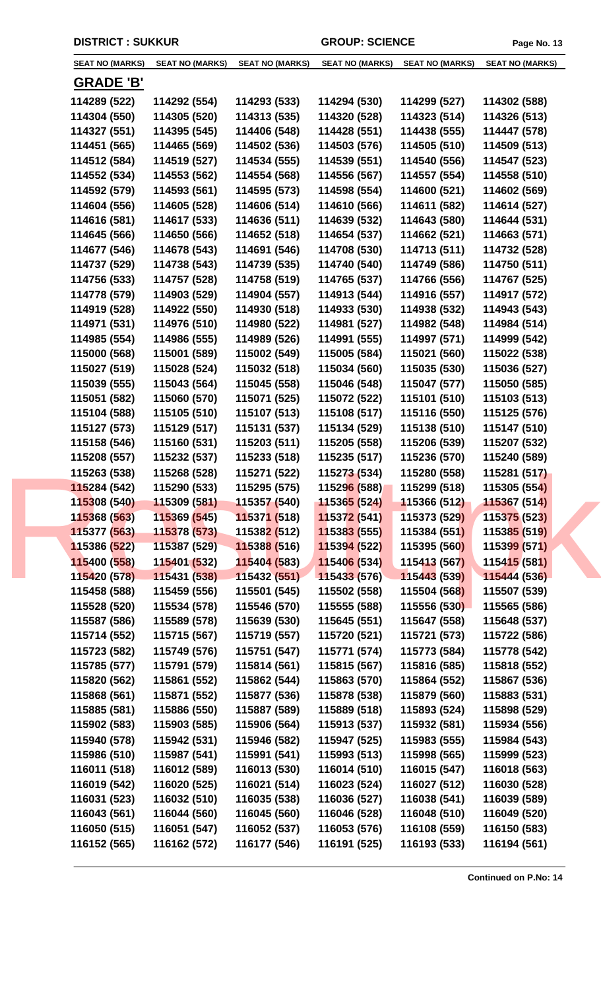|                  | <b>SEAT NO (MARKS)</b><br><b>SEAT NO (MARKS)</b> | <b>SEAT NO (MARKS)</b>      | <b>SEAT NO (MARKS)</b>      | <b>SEAT NO (MARKS)</b> | <b>SEAT NO (MARKS)</b> |
|------------------|--------------------------------------------------|-----------------------------|-----------------------------|------------------------|------------------------|
|                  |                                                  |                             |                             |                        |                        |
| <u>GRADE 'B'</u> |                                                  |                             |                             |                        |                        |
| 114289 (522)     | 114292 (554)                                     | 114293 (533)                | 114294 (530)                | 114299 (527)           | 114302 (588)           |
| 114304 (550)     | 114305 (520)                                     | 114313 (535)                | 114320 (528)                | 114323 (514)           | 114326 (513)           |
| 114327 (551)     | 114395 (545)                                     | 114406 (548)                | 114428 (551)                | 114438 (555)           | 114447 (578)           |
| 114451 (565)     | 114465 (569)                                     | 114502 (536)                | 114503 (576)                | 114505 (510)           | 114509 (513)           |
| 114512 (584)     | 114519 (527)                                     | 114534 (555)                | 114539 (551)                | 114540 (556)           | 114547 (523)           |
| 114552 (534)     | 114553 (562)                                     | 114554 (568)                | 114556 (567)                | 114557 (554)           | 114558 (510)           |
| 114592 (579)     | 114593 (561)                                     | 114595 (573)                | 114598 (554)                | 114600 (521)           | 114602 (569)           |
| 114604 (556)     | 114605 (528)                                     | 114606 (514)                | 114610 (566)                | 114611 (582)           | 114614 (527)           |
| 114616 (581)     | 114617 (533)                                     | 114636 (511)                | 114639 (532)                | 114643 (580)           | 114644 (531)           |
| 114645 (566)     | 114650 (566)                                     | 114652 (518)                | 114654 (537)                | 114662 (521)           | 114663 (571)           |
| 114677 (546)     | 114678 (543)                                     | 114691 (546)                | 114708 (530)                | 114713 (511)           | 114732 (528)           |
| 114737 (529)     | 114738 (543)                                     | 114739 (535)                | 114740 (540)                | 114749 (586)           | 114750 (511)           |
| 114756 (533)     | 114757 (528)                                     | 114758 (519)                | 114765 (537)                | 114766 (556)           | 114767 (525)           |
| 114778 (579)     | 114903 (529)                                     | 114904 (557)                | 114913 (544)                | 114916 (557)           | 114917 (572)           |
| 114919 (528)     | 114922 (550)                                     | 114930 (518)                | 114933 (530)                | 114938 (532)           | 114943 (543)           |
| 114971 (531)     | 114976 (510)                                     | 114980 (522)                | 114981 (527)                | 114982 (548)           | 114984 (514)           |
| 114985 (554)     | 114986 (555)                                     | 114989 (526)                | 114991 (555)                | 114997 (571)           | 114999 (542)           |
| 115000 (568)     | 115001 (589)                                     | 115002 (549)                | 115005 (584)                | 115021 (560)           | 115022 (538)           |
| 115027 (519)     | 115028 (524)                                     | 115032 (518)                | 115034 (560)                | 115035 (530)           | 115036 (527)           |
| 115039 (555)     | 115043 (564)                                     | 115045 (558)                | 115046 (548)                | 115047 (577)           | 115050 (585)           |
| 115051 (582)     | 115060 (570)                                     | 115071 (525)                | 115072 (522)                | 115101 (510)           | 115103 (513)           |
|                  |                                                  |                             |                             |                        |                        |
| 115104 (588)     | 115105 (510)                                     | 115107 (513)                | 115108 (517)                | 115116 (550)           | 115125 (576)           |
| 115127 (573)     | 115129 (517)                                     | 115131 (537)                | 115134 (529)                | 115138 (510)           | 115147 (510)           |
| 115158 (546)     | 115160 (531)                                     | 115203 (511)                | 115205 (558)                | 115206 (539)           | 115207 (532)           |
| 115208 (557)     | 115232 (537)                                     | 115233 (518)                | 115235 (517)                | 115236 (570)           | 115240 (589)           |
| 115263 (538)     | 115268 (528)                                     | 115271 (522)                | 115273 (534)                | 115280 (558)           | 115281 (517)           |
| 115284 (542)     | 115290 (533)                                     | 115295 (575)                | 115296 (588)                | 115299 (518)           | 115305 (554)           |
| 115308 (540)     | 115309 (581)                                     | 115357 (540)                | 11536 <mark>5 (</mark> 524) | 115366 (512)           | 115367 (514)           |
| 115368 (563)     | 115369 (545)                                     | 115371 (518)                | 115372 (541)                | 115373 (529)           | 115375 (523)           |
| 115377 (563)     | 115378 (573)                                     | 11538 <mark>2 (</mark> 512) | 115383 (555)                | 115384 (551)           | 115385 (519)           |
| 115386 (522)     | 115387 (529)                                     | 115388 (516)                | 115394 (522)                | 115395 (560)           | 115399 (571)           |
| 115400 (558)     | 115401 (532)                                     | 115404 (583)                | 115406 (534)                | 115413 (567)           | 115415 (581)           |
| 115420 (578)     | 115431 (538)                                     | 115432 (551)                | 115433 (576)                | 115443 (539)           | 115444 (536)           |
| 115458 (588)     | 115459 (556)                                     | 115501 (545)                | 115502 (558)                | 115504 (568)           | 115507 (539)           |
| 115528 (520)     | 115534 (578)                                     | 115546 (570)                | 115555 (588)                | 115556 (530)           | 115565 (586)           |
| 115587 (586)     | 115589 (578)                                     | 115639 (530)                | 115645 (551)                | 115647 (558)           | 115648 (537)           |
| 115714 (552)     | 115715 (567)                                     | 115719 (557)                | 115720 (521)                | 115721 (573)           | 115722 (586)           |
| 115723 (582)     | 115749 (576)                                     | 115751 (547)                | 115771 (574)                | 115773 (584)           | 115778 (542)           |
| 115785 (577)     | 115791 (579)                                     | 115814 (561)                | 115815 (567)                | 115816 (585)           | 115818 (552)           |
| 115820 (562)     | 115861 (552)                                     | 115862 (544)                | 115863 (570)                | 115864 (552)           | 115867 (536)           |
| 115868 (561)     | 115871 (552)                                     | 115877 (536)                | 115878 (538)                | 115879 (560)           | 115883 (531)           |
| 115885 (581)     | 115886 (550)                                     | 115887 (589)                | 115889 (518)                | 115893 (524)           | 115898 (529)           |
| 115902 (583)     | 115903 (585)                                     | 115906 (564)                | 115913 (537)                | 115932 (581)           | 115934 (556)           |
| 115940 (578)     | 115942 (531)                                     | 115946 (582)                | 115947 (525)                | 115983 (555)           | 115984 (543)           |
| 115986 (510)     | 115987 (541)                                     | 115991 (541)                | 115993 (513)                | 115998 (565)           | 115999 (523)           |
| 116011 (518)     | 116012 (589)                                     | 116013 (530)                | 116014 (510)                | 116015 (547)           | 116018 (563)           |
| 116019 (542)     | 116020 (525)                                     | 116021 (514)                | 116023 (524)                | 116027 (512)           | 116030 (528)           |
| 116031 (523)     | 116032 (510)                                     | 116035 (538)                | 116036 (527)                | 116038 (541)           | 116039 (589)           |
| 116043 (561)     | 116044 (560)                                     | 116045 (560)                | 116046 (528)                | 116048 (510)           | 116049 (520)           |
|                  |                                                  |                             |                             |                        |                        |
| 116050 (515)     | 116051 (547)                                     | 116052 (537)                | 116053 (576)                | 116108 (559)           | 116150 (583)           |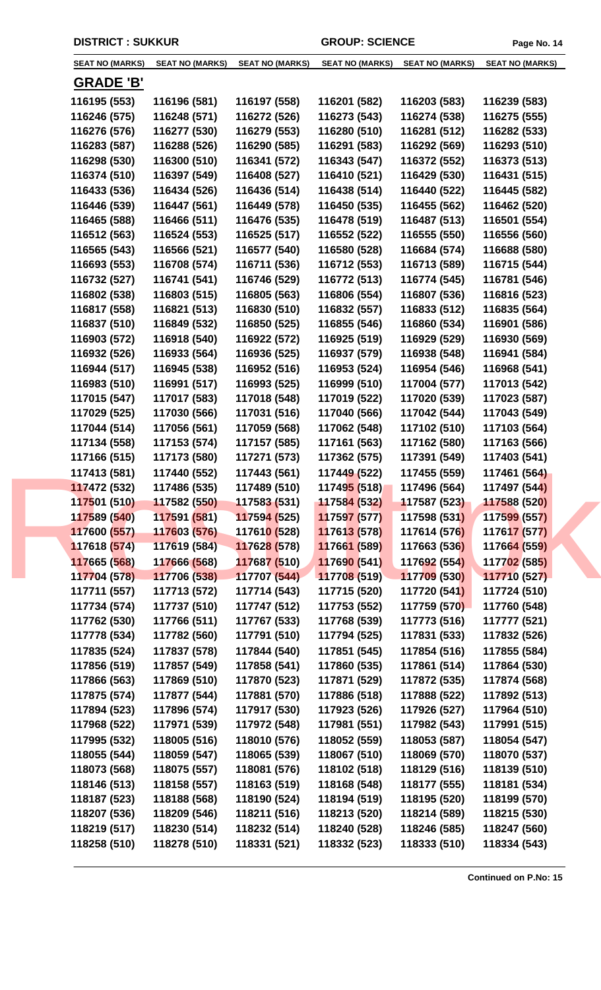| <b>SEAT NO (MARKS)</b> | <b>SEAT NO (MARKS)</b>       | <b>SEAT NO (MARKS)</b>      | <b>SEAT NO (MARKS)</b>      | <b>SEAT NO (MARKS)</b>       | <b>SEAT NO (MARKS)</b> |
|------------------------|------------------------------|-----------------------------|-----------------------------|------------------------------|------------------------|
|                        |                              |                             |                             |                              |                        |
| <u>GRADE 'B'</u>       |                              |                             |                             |                              |                        |
| 116195 (553)           | 116196 (581)                 | 116197 (558)                | 116201 (582)                | 116203 (583)                 | 116239 (583)           |
| 116246 (575)           | 116248 (571)                 | 116272 (526)                | 116273 (543)                | 116274 (538)                 | 116275 (555)           |
| 116276 (576)           | 116277 (530)                 | 116279 (553)                | 116280 (510)                | 116281 (512)                 | 116282 (533)           |
| 116283 (587)           | 116288 (526)                 | 116290 (585)                | 116291 (583)                | 116292 (569)                 | 116293 (510)           |
| 116298 (530)           | 116300 (510)                 | 116341 (572)                | 116343 (547)                | 116372 (552)                 | 116373 (513)           |
| 116374 (510)           | 116397 (549)                 | 116408 (527)                | 116410 (521)                | 116429 (530)                 | 116431 (515)           |
| 116433 (536)           | 116434 (526)                 | 116436 (514)                | 116438 (514)                | 116440 (522)                 | 116445 (582)           |
| 116446 (539)           | 116447 (561)                 | 116449 (578)                | 116450 (535)                | 116455 (562)                 | 116462 (520)           |
| 116465 (588)           | 116466 (511)                 | 116476 (535)                | 116478 (519)                | 116487 (513)                 | 116501 (554)           |
| 116512 (563)           | 116524 (553)                 | 116525 (517)                | 116552 (522)                | 116555 (550)                 | 116556 (560)           |
| 116565 (543)           | 116566 (521)                 | 116577 (540)                | 116580 (528)                | 116684 (574)                 | 116688 (580)           |
| 116693 (553)           | 116708 (574)                 | 116711 (536)                | 116712 (553)                | 116713 (589)                 | 116715 (544)           |
| 116732 (527)           | 116741 (541)                 | 116746 (529)                | 116772 (513)                | 116774 (545)                 | 116781 (546)           |
| 116802 (538)           | 116803 (515)                 | 116805 (563)                | 116806 (554)                | 116807 (536)                 | 116816 (523)           |
| 116817 (558)           | 116821 (513)                 | 116830 (510)                | 116832 (557)                | 116833 (512)                 | 116835 (564)           |
| 116837 (510)           | 116849 (532)                 | 116850 (525)                | 116855 (546)                | 116860 (534)                 | 116901 (586)           |
| 116903 (572)           | 116918 (540)                 | 116922 (572)                | 116925 (519)                | 116929 (529)                 | 116930 (569)           |
| 116932 (526)           | 116933 (564)                 | 116936 (525)                | 116937 (579)                | 116938 (548)                 | 116941 (584)           |
| 116944 (517)           | 116945 (538)                 | 116952 (516)                | 116953 (524)                | 116954 (546)                 | 116968 (541)           |
| 116983 (510)           | 116991 (517)                 | 116993 (525)                | 116999 (510)                | 117004 (577)                 | 117013 (542)           |
| 117015 (547)           | 117017 (583)                 | 117018 (548)                | 117019 (522)                | 117020 (539)                 | 117023 (587)           |
| 117029 (525)           | 117030 (566)                 | 117031 (516)                | 117040 (566)                | 117042 (544)                 | 117043 (549)           |
| 117044 (514)           | 117056 (561)                 | 117059 (568)                | 117062 (548)                | 117102 (510)                 | 117103 (564)           |
| 117134 (558)           | 117153 (574)                 | 117157 (585)                | 117161 (563)                | 117162 (580)                 | 117163 (566)           |
| 117166 (515)           | 117173 (580)                 | 117271 (573)                | 117362 (575)                | 117391 (549)                 | 117403 (541)           |
|                        |                              |                             |                             |                              |                        |
| 117413 (581)           | 117440 (552)                 | 117443 (561)                | 117449 (522)                | 117455 (559)                 | 117461 (564)           |
| 117472 (532)           | 117486 (535)                 | 117489 (510)<br>117583(531) | 11749 <mark>5 (</mark> 518) | 117496 (564)<br>117587 (523) | 117497 (544)           |
| 117501 (510)           | 117582 (550)                 |                             | <b>117584 (532)</b>         |                              | 117588 (520)           |
| 117589 (540)           | 117591 (581)<br>117603 (576) | 117594 (525)                | 117597 (577)                | 117598 (531)                 | 117599 (557)           |
| 117600 (557)           |                              | 11761 <mark>0 (</mark> 528) | 117613 (578)                | 117614 (576)                 | 117617 (577)           |
| 117618 (574)           | 117619 (584)                 | 117628 (578)                | 117661 (589)                | 117663 (536)                 | 117664 (559)           |
| 117665 (568)           | 117666 (568)                 | 117687 (510)                | 117690 (541)                | 117692 (554)                 | 117702 (585)           |
| 117704 (578)           | 117706 (538)                 | 117707 (544)                | 117708 (519)                | 117709 (530)                 | 117710 (527)           |
| 117711 (557)           | 117713 (572)                 | 117714 (543)                | 117715 (520)                | 117720 (541)                 | 117724 (510)           |
| 117734 (574)           | 117737 (510)                 | 117747 (512)                | 117753 (552)                | 117759 (570)                 | 117760 (548)           |
| 117762 (530)           | 117766 (511)                 | 117767 (533)                | 117768 (539)                | 117773 (516)                 | 117777 (521)           |
| 117778 (534)           | 117782 (560)                 | 117791 (510)                | 117794 (525)                | 117831 (533)                 | 117832 (526)           |
| 117835 (524)           | 117837 (578)                 | 117844 (540)                | 117851 (545)                | 117854 (516)                 | 117855 (584)           |
| 117856 (519)           | 117857 (549)                 | 117858 (541)                | 117860 (535)                | 117861 (514)                 | 117864 (530)           |
| 117866 (563)           | 117869 (510)                 | 117870 (523)                | 117871 (529)                | 117872 (535)                 | 117874 (568)           |
| 117875 (574)           | 117877 (544)                 | 117881 (570)                | 117886 (518)                | 117888 (522)                 | 117892 (513)           |
| 117894 (523)           | 117896 (574)                 | 117917 (530)                | 117923 (526)                | 117926 (527)                 | 117964 (510)           |
| 117968 (522)           | 117971 (539)                 | 117972 (548)                | 117981 (551)                | 117982 (543)                 | 117991 (515)           |
| 117995 (532)           | 118005 (516)                 | 118010 (576)                | 118052 (559)                | 118053 (587)                 | 118054 (547)           |
| 118055 (544)           | 118059 (547)                 | 118065 (539)                | 118067 (510)                | 118069 (570)                 | 118070 (537)           |
| 118073 (568)           | 118075 (557)                 | 118081 (576)                | 118102 (518)                | 118129 (516)                 | 118139 (510)           |
| 118146 (513)           | 118158 (557)                 | 118163 (519)                | 118168 (548)                | 118177 (555)                 | 118181 (534)           |
| 118187 (523)           | 118188 (568)                 | 118190 (524)                | 118194 (519)                | 118195 (520)                 | 118199 (570)           |
| 118207 (536)           | 118209 (546)                 | 118211 (516)                | 118213 (520)                | 118214 (589)                 | 118215 (530)           |
| 118219 (517)           | 118230 (514)                 | 118232 (514)                | 118240 (528)                | 118246 (585)                 | 118247 (560)           |
| 118258 (510)           | 118278 (510)                 | 118331 (521)                | 118332 (523)                | 118333 (510)                 | 118334 (543)           |
|                        |                              |                             |                             |                              |                        |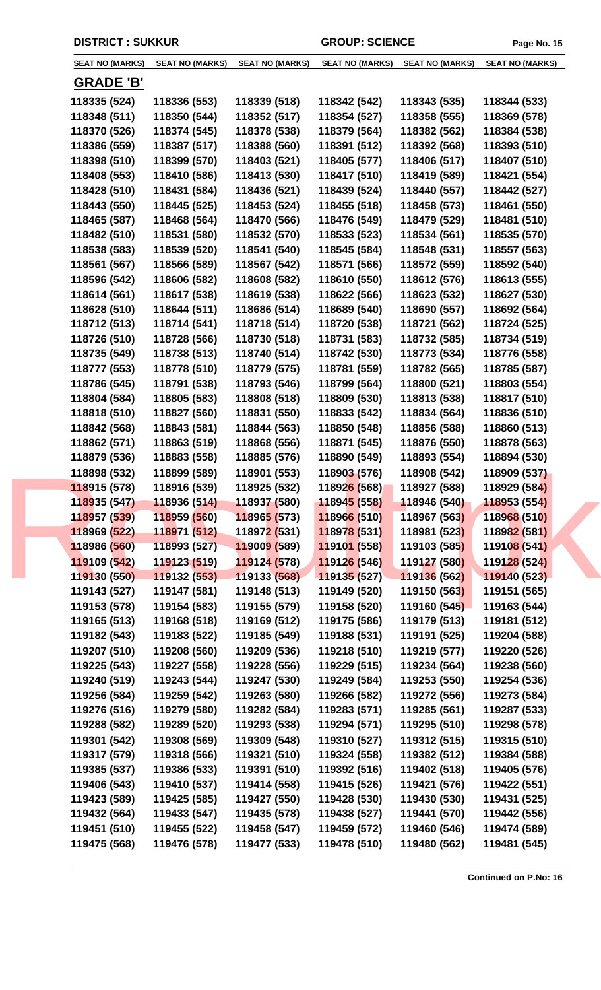| <b>SEAT NO (MARKS)</b> | <b>SEAT NO (MARKS)</b>    | <b>SEAT NO (MARKS)</b>      | <b>SEAT NO (MARKS)</b>      | <b>SEAT NO (MARKS)</b> | <b>SEAT NO (MARKS)</b> |
|------------------------|---------------------------|-----------------------------|-----------------------------|------------------------|------------------------|
| <u>GRADE 'B'</u>       |                           |                             |                             |                        |                        |
| 118335 (524)           | 118336 (553)              | 118339 (518)                | 118342 (542)                | 118343 (535)           | 118344 (533)           |
| 118348 (511)           | 118350 (544)              | 118352 (517)                | 118354 (527)                | 118358 (555)           | 118369 (578)           |
| 118370 (526)           | 118374 (545)              | 118378 (538)                | 118379 (564)                | 118382 (562)           | 118384 (538)           |
| 118386 (559)           | 118387 (517)              | 118388 (560)                | 118391 (512)                | 118392 (568)           | 118393 (510)           |
| 118398 (510)           | 118399 (570)              | 118403 (521)                | 118405 (577)                | 118406 (517)           | 118407 (510)           |
| 118408 (553)           | 118410 (586)              | 118413 (530)                | 118417 (510)                | 118419 (589)           | 118421 (554)           |
| 118428 (510)           | 118431 (584)              | 118436 (521)                | 118439 (524)                | 118440 (557)           | 118442 (527)           |
| 118443 (550)           | 118445 (525)              | 118453 (524)                | 118455 (518)                | 118458 (573)           | 118461 (550)           |
| 118465 (587)           | 118468 (564)              | 118470 (566)                | 118476 (549)                | 118479 (529)           | 118481 (510)           |
| 118482 (510)           | 118531 (580)              | 118532 (570)                | 118533 (523)                | 118534 (561)           | 118535 (570)           |
| 118538 (583)           | 118539 (520)              | 118541 (540)                | 118545 (584)                | 118548 (531)           | 118557 (563)           |
| 118561 (567)           | 118566 (589)              | 118567 (542)                | 118571 (566)                | 118572 (559)           | 118592 (540)           |
| 118596 (542)           | 118606 (582)              | 118608 (582)                | 118610 (550)                | 118612 (576)           | 118613 (555)           |
| 118614 (561)           | 118617 (538)              | 118619 (538)                | 118622 (566)                | 118623 (532)           | 118627 (530)           |
| 118628 (510)           | 118644 (511)              | 118686 (514)                | 118689 (540)                | 118690 (557)           | 118692 (564)           |
| 118712 (513)           | 118714 (541)              | 118718 (514)                | 118720 (538)                | 118721 (562)           | 118724 (525)           |
| 118726 (510)           | 118728 (566)              | 118730 (518)                | 118731 (583)                | 118732 (585)           | 118734 (519)           |
|                        |                           |                             |                             |                        |                        |
| 118735 (549)           | 118738 (513)              | 118740 (514)                | 118742 (530)                | 118773 (534)           | 118776 (558)           |
| 118777 (553)           | 118778 (510)              | 118779 (575)                | 118781 (559)                | 118782 (565)           | 118785 (587)           |
| 118786 (545)           | 118791 (538)              | 118793 (546)                | 118799 (564)                | 118800 (521)           | 118803 (554)           |
| 118804 (584)           | 118805 (583)              | 118808 (518)                | 118809 (530)                | 118813 (538)           | 118817 (510)           |
| 118818 (510)           | 118827 (560)              | 118831 (550)                | 118833 (542)                | 118834 (564)           | 118836 (510)           |
| 118842 (568)           | 118843 (581)              | 118844 (563)                | 118850 (548)                | 118856 (588)           | 118860 (513)           |
| 118862 (571)           | 118863 (519)              | 118868 (556)                | 118871 (545)                | 118876 (550)           | 118878 (563)           |
| 118879 (536)           | 118883 (558)              | 118885 (576)                | 118890 (549)                | 118893 (554)           | 118894 (530)           |
| 118898 (532)           | 118899 (589)              | 118901 (553)                | 118903 (576)                | 118908 (542)           | 118909 (537)           |
| 118915 (578)           | 118916 (539)              | 118925 (532)                | 11892 <mark>6 (</mark> 568) | 118927 (588)           | 118929 (584)           |
| 118935 (547)           | 118936 (514) 118937 (580) |                             | 11894 <mark>5 (</mark> 558) | 118946 (540)           | 118953 (554)           |
| 118957 (539)           | 118959 (560)              | 118965 (573)                | 118966 (510)                | 118967 (563)           | 118968 (510)           |
| 118969 (522)           | 118971 (512)              | 11897 <mark>2 (</mark> 531) | 118978 (531)                | 118981 (523)           | 118982 (581)           |
| 118986 (560)           | 118993 (527)              | 119009 (589)                | 119101 (558)                | 119103 (585)           | 119108 (541)           |
| 119109 (542)           | 119123 (519)              | 119124 (578)                | 119126 (546)                | 119127 (580)           | 119128 (524)           |
| 119130 (550)           | 119132 (553)              | 119133 (568)                | 119135 (527)                | 119136 (562)           | 119140 (523)           |
| 119143 (527)           | 119147 (581)              | 119148 (513)                | 119149 (520)                | 119150 (563)           | 119151 (565)           |
| 119153 (578)           | 119154 (583)              | 119155 (579)                | 119158 (520)                | 119160 (545)           | 119163 (544)           |
| 119165 (513)           | 119168 (518)              | 119169 (512)                | 119175 (586)                | 119179 (513)           | 119181 (512)           |
| 119182 (543)           | 119183 (522)              | 119185 (549)                | 119188 (531)                | 119191 (525)           | 119204 (588)           |
| 119207 (510)           | 119208 (560)              | 119209 (536)                | 119218 (510)                | 119219 (577)           | 119220 (526)           |
| 119225 (543)           | 119227 (558)              | 119228 (556)                | 119229 (515)                | 119234 (564)           | 119238 (560)           |
| 119240 (519)           | 119243 (544)              | 119247 (530)                | 119249 (584)                | 119253 (550)           | 119254 (536)           |
| 119256 (584)           | 119259 (542)              | 119263 (580)                | 119266 (582)                | 119272 (556)           | 119273 (584)           |
| 119276 (516)           | 119279 (580)              | 119282 (584)                | 119283 (571)                | 119285 (561)           | 119287 (533)           |
| 119288 (582)           | 119289 (520)              | 119293 (538)                | 119294 (571)                | 119295 (510)           | 119298 (578)           |
| 119301 (542)           | 119308 (569)              | 119309 (548)                | 119310 (527)                | 119312 (515)           | 119315 (510)           |
| 119317 (579)           | 119318 (566)              | 119321 (510)                | 119324 (558)                | 119382 (512)           | 119384 (588)           |
| 119385 (537)           | 119386 (533)              | 119391 (510)                | 119392 (516)                | 119402 (518)           | 119405 (576)           |
| 119406 (543)           | 119410 (537)              | 119414 (558)                | 119415 (526)                | 119421 (576)           | 119422 (551)           |
| 119423 (589)           | 119425 (585)              | 119427 (550)                | 119428 (530)                | 119430 (530)           | 119431 (525)           |
| 119432 (564)           | 119433 (547)              | 119435 (578)                | 119438 (527)                | 119441 (570)           | 119442 (556)           |
|                        |                           |                             |                             | 119460 (546)           |                        |
| 119451 (510)           | 119455 (522)              | 119458 (547)                | 119459 (572)                |                        | 119474 (589)           |
| 119475 (568)           | 119476 (578)              | 119477 (533)                | 119478 (510)                | 119480 (562)           | 119481 (545)           |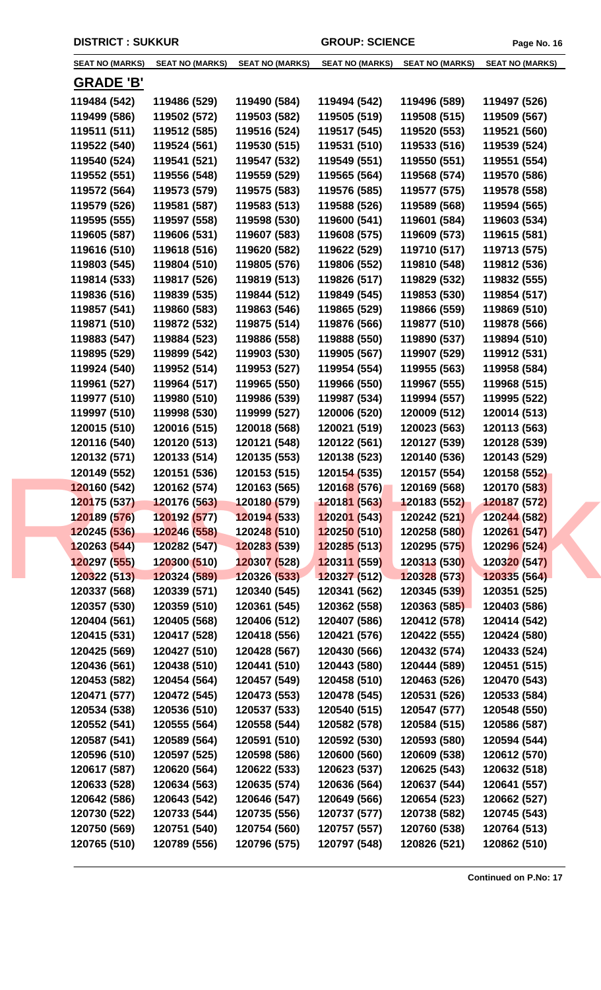| <b>SEAT NO (MARKS)</b> | <b>SEAT NO (MARKS)</b>    | <b>SEAT NO (MARKS)</b>      | <b>SEAT NO (MARKS)</b> | <b>SEAT NO (MARKS)</b> | <b>SEAT NO (MARKS)</b> |
|------------------------|---------------------------|-----------------------------|------------------------|------------------------|------------------------|
|                        |                           |                             |                        |                        |                        |
| <b>GRADE 'B'</b>       |                           |                             |                        |                        |                        |
| 119484 (542)           | 119486 (529)              | 119490 (584)                | 119494 (542)           | 119496 (589)           | 119497 (526)           |
| 119499 (586)           | 119502 (572)              | 119503 (582)                | 119505 (519)           | 119508 (515)           | 119509 (567)           |
| 119511 (511)           | 119512 (585)              | 119516 (524)                | 119517 (545)           | 119520 (553)           | 119521 (560)           |
| 119522 (540)           | 119524 (561)              | 119530 (515)                | 119531 (510)           | 119533 (516)           | 119539 (524)           |
| 119540 (524)           | 119541 (521)              | 119547 (532)                | 119549 (551)           | 119550 (551)           | 119551 (554)           |
| 119552 (551)           | 119556 (548)              | 119559 (529)                | 119565 (564)           | 119568 (574)           | 119570 (586)           |
| 119572 (564)           | 119573 (579)              | 119575 (583)                | 119576 (585)           | 119577 (575)           | 119578 (558)           |
| 119579 (526)           | 119581 (587)              | 119583 (513)                | 119588 (526)           | 119589 (568)           | 119594 (565)           |
| 119595 (555)           | 119597 (558)              | 119598 (530)                | 119600 (541)           | 119601 (584)           | 119603 (534)           |
| 119605 (587)           | 119606 (531)              | 119607 (583)                | 119608 (575)           | 119609 (573)           | 119615 (581)           |
| 119616 (510)           | 119618 (516)              | 119620 (582)                | 119622 (529)           | 119710 (517)           | 119713 (575)           |
| 119803 (545)           | 119804 (510)              | 119805 (576)                | 119806 (552)           | 119810 (548)           | 119812 (536)           |
| 119814 (533)           | 119817 (526)              | 119819 (513)                | 119826 (517)           | 119829 (532)           | 119832 (555)           |
| 119836 (516)           | 119839 (535)              | 119844 (512)                | 119849 (545)           | 119853 (530)           | 119854 (517)           |
| 119857 (541)           | 119860 (583)              | 119863 (546)                | 119865 (529)           | 119866 (559)           | 119869 (510)           |
| 119871 (510)           | 119872 (532)              | 119875 (514)                | 119876 (566)           | 119877 (510)           | 119878 (566)           |
| 119883 (547)           | 119884 (523)              | 119886 (558)                | 119888 (550)           | 119890 (537)           | 119894 (510)           |
| 119895 (529)           | 119899 (542)              | 119903 (530)                | 119905 (567)           | 119907 (529)           | 119912 (531)           |
| 119924 (540)           | 119952 (514)              | 119953 (527)                | 119954 (554)           | 119955 (563)           | 119958 (584)           |
| 119961 (527)           | 119964 (517)              | 119965 (550)                | 119966 (550)           | 119967 (555)           | 119968 (515)           |
| 119977 (510)           | 119980 (510)              | 119986 (539)                | 119987 (534)           | 119994 (557)           | 119995 (522)           |
| 119997 (510)           | 119998 (530)              | 119999 (527)                | 120006 (520)           | 120009 (512)           | 120014 (513)           |
| 120015 (510)           | 120016 (515)              | 120018 (568)                | 120021 (519)           | 120023 (563)           | 120113 (563)           |
| 120116 (540)           | 120120 (513)              | 120121 (548)                | 120122 (561)           | 120127 (539)           | 120128 (539)           |
| 120132 (571)           | 120133 (514)              | 120135 (553)                | 120138 (523)           | 120140 (536)           | 120143 (529)           |
| 120149 (552)           | 120151 (536)              | 120153 (515)                | 120154 (535)           | 120157 (554)           | 120158 (552)           |
| 120160 (542)           | 120162 (574)              | 120163 (565)                | 120168 (576)           | 120169 (568)           | 120170 (583)           |
| 120175 (537)           | 120176 (563) 120180 (579) |                             | 120181 (563)           | 120183 (552)           | 120187 (572)           |
| 120189 (576)           | 120192 (577)              | 120194(533)                 | 120201 (543)           | 120242 (521)           | 120244 (582)           |
| 120245 (536)           | 120246 (558)              | 12024 <mark>8 (</mark> 510) | 120250 (510)           | 120258 (580)           | 120261 (547)           |
| 120263 (544)           | 120282 (547)              | 120283 (539)                | 120285 (513)           | 120295 (575)           | 120296 (524)           |
| 120297 (555)           | 120300 (510)              | 120307 (528)                | 120311 (559)           | 120313 (530)           | 120320 (547)           |
| 120322 (513)           | 120324 (589)              | 120326 (533)                | 120327 (512)           | 120328 (573)           | 120335 (564)           |
| 120337 (568)           | 120339 (571)              | 120340 (545)                | 120341 (562)           | 120345 (539)           | 120351 (525)           |
| 120357 (530)           | 120359 (510)              | 120361 (545)                | 120362 (558)           | 120363 (585)           | 120403 (586)           |
| 120404 (561)           | 120405 (568)              | 120406 (512)                | 120407 (586)           | 120412 (578)           | 120414 (542)           |
| 120415 (531)           | 120417 (528)              | 120418 (556)                | 120421 (576)           | 120422 (555)           | 120424 (580)           |
| 120425 (569)           | 120427 (510)              | 120428 (567)                | 120430 (566)           | 120432 (574)           | 120433 (524)           |
| 120436 (561)           | 120438 (510)              | 120441 (510)                | 120443 (580)           | 120444 (589)           | 120451 (515)           |
| 120453 (582)           | 120454 (564)              | 120457 (549)                | 120458 (510)           | 120463 (526)           | 120470 (543)           |
| 120471 (577)           | 120472 (545)              | 120473 (553)                | 120478 (545)           | 120531 (526)           | 120533 (584)           |
| 120534 (538)           | 120536 (510)              | 120537 (533)                | 120540 (515)           | 120547 (577)           | 120548 (550)           |
| 120552 (541)           | 120555 (564)              | 120558 (544)                | 120582 (578)           | 120584 (515)           | 120586 (587)           |
| 120587 (541)           | 120589 (564)              | 120591 (510)                | 120592 (530)           | 120593 (580)           | 120594 (544)           |
| 120596 (510)           | 120597 (525)              | 120598 (586)                | 120600 (560)           | 120609 (538)           | 120612 (570)           |
| 120617 (587)           | 120620 (564)              | 120622 (533)                | 120623 (537)           | 120625 (543)           | 120632 (518)           |
| 120633 (528)           | 120634 (563)              | 120635 (574)                | 120636 (564)           | 120637 (544)           | 120641 (557)           |
| 120642 (586)           | 120643 (542)              | 120646 (547)                | 120649 (566)           | 120654 (523)           | 120662 (527)           |
| 120730 (522)           | 120733 (544)              | 120735 (556)                | 120737 (577)           | 120738 (582)           | 120745 (543)           |
| 120750 (569)           | 120751 (540)              | 120754 (560)                | 120757 (557)           | 120760 (538)           | 120764 (513)           |
| 120765 (510)           | 120789 (556)              | 120796 (575)                | 120797 (548)           | 120826 (521)           | 120862 (510)           |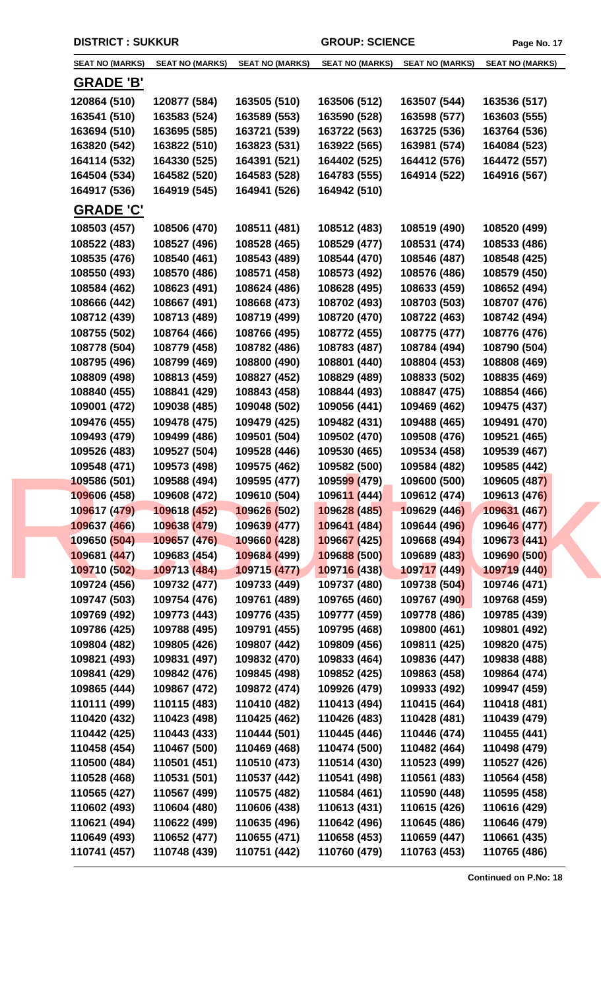| <b>SEAT NO (MARKS)</b> | <b>SEAT NO (MARKS)</b> | <b>SEAT NO (MARKS)</b> | <b>SEAT NO (MARKS)</b>      | <b>SEAT NO (MARKS)</b> | <b>SEAT NO (MARKS)</b> |
|------------------------|------------------------|------------------------|-----------------------------|------------------------|------------------------|
| <b>GRADE 'B'</b>       |                        |                        |                             |                        |                        |
| 120864 (510)           | 120877 (584)           | 163505 (510)           | 163506 (512)                | 163507 (544)           | 163536 (517)           |
| 163541 (510)           | 163583 (524)           | 163589 (553)           | 163590 (528)                | 163598 (577)           | 163603 (555)           |
| 163694 (510)           | 163695 (585)           | 163721 (539)           | 163722 (563)                | 163725 (536)           | 163764 (536)           |
| 163820 (542)           | 163822 (510)           | 163823 (531)           | 163922 (565)                | 163981 (574)           | 164084 (523)           |
| 164114 (532)           | 164330 (525)           | 164391 (521)           | 164402 (525)                | 164412 (576)           | 164472 (557)           |
| 164504 (534)           | 164582 (520)           | 164583 (528)           | 164783 (555)                | 164914 (522)           | 164916 (567)           |
| 164917 (536)           | 164919 (545)           | 164941 (526)           | 164942 (510)                |                        |                        |
| <b>GRADE 'C'</b>       |                        |                        |                             |                        |                        |
| 108503 (457)           | 108506 (470)           | 108511 (481)           | 108512 (483)                | 108519 (490)           | 108520 (499)           |
| 108522 (483)           | 108527 (496)           | 108528 (465)           | 108529 (477)                | 108531 (474)           | 108533 (486)           |
| 108535 (476)           | 108540 (461)           | 108543 (489)           | 108544 (470)                | 108546 (487)           | 108548 (425)           |
| 108550 (493)           | 108570 (486)           | 108571 (458)           | 108573 (492)                | 108576 (486)           | 108579 (450)           |
| 108584 (462)           | 108623 (491)           | 108624 (486)           | 108628 (495)                | 108633 (459)           | 108652 (494)           |
| 108666 (442)           | 108667 (491)           | 108668 (473)           | 108702 (493)                | 108703 (503)           | 108707 (476)           |
| 108712 (439)           | 108713 (489)           | 108719 (499)           | 108720 (470)                | 108722 (463)           | 108742 (494)           |
| 108755 (502)           | 108764 (466)           | 108766 (495)           | 108772 (455)                | 108775 (477)           | 108776 (476)           |
| 108778 (504)           | 108779 (458)           | 108782 (486)           | 108783 (487)                | 108784 (494)           | 108790 (504)           |
| 108795 (496)           | 108799 (469)           | 108800 (490)           | 108801 (440)                | 108804 (453)           | 108808 (469)           |
| 108809 (498)           | 108813 (459)           | 108827 (452)           | 108829 (489)                | 108833 (502)           | 108835 (469)           |
| 108840 (455)           | 108841 (429)           | 108843 (458)           | 108844 (493)                | 108847 (475)           | 108854 (466)           |
| 109001 (472)           | 109038 (485)           | 109048 (502)           |                             | 109469 (462)           | 109475 (437)           |
|                        |                        |                        | 109056 (441)                |                        |                        |
| 109476 (455)           | 109478 (475)           | 109479 (425)           | 109482 (431)                | 109488 (465)           | 109491 (470)           |
| 109493 (479)           | 109499 (486)           | 109501 (504)           | 109502 (470)                | 109508 (476)           | 109521 (465)           |
| 109526 (483)           | 109527 (504)           | 109528 (446)           | 109530 (465)                | 109534 (458)           | 109539 (467)           |
| 109548 (471)           | 109573 (498)           | 109575 (462)           | 109582 (500)                | 109584 (482)           | 109585 (442)           |
| 109586 (501)           | 109588 (494)           | 109595 (477)           | 10959 <mark>9 (</mark> 479) | 109600 (500)           | 109605 (487)           |
| 109606 (458)           | 109608 (472)           | 109610 (504)           | 109611 (444)                | 109612 (474)           | 109613 (476)           |
| 109617 (479)           | 109618 (452)           | 109626 (502)           | 109628 (485)                | 109629 (446)           | 109631 (467)           |
| 109637 (466)           | 109638 (479)           | 109639 (477)           | 109641 (484)                | 109644 (496)           | 109646 (477)           |
| 109650 (504)           | 109657 (476)           | 109660 (428)           | 109667 (425)                | 109668 (494)           | 109673 (441)           |
| 109681 (447)           | 109683 (454)           | 109684 (499)           | 109688 (500)                | 109689 (483)           | 109690 (500)           |
| 109710 (502)           | 109713 (484)           | 109715 (477)           | 109716 (438)                | 109717 (449)           | 109719 (440)           |
| 109724 (456)           | 109732 (477)           | 109733 (449)           | 109737 (480)                | 109738 (504)           | 109746 (471)           |
| 109747 (503)           | 109754 (476)           | 109761 (489)           | 109765 (460)                | 109767 (490)           | 109768 (459)           |
| 109769 (492)           | 109773 (443)           | 109776 (435)           | 109777 (459)                | 109778 (486)           | 109785 (439)           |
| 109786 (425)           | 109788 (495)           | 109791 (455)           | 109795 (468)                | 109800 (461)           | 109801 (492)           |
| 109804 (482)           | 109805 (426)           | 109807 (442)           | 109809 (456)                | 109811 (425)           | 109820 (475)           |
| 109821 (493)           | 109831 (497)           | 109832 (470)           | 109833 (464)                | 109836 (447)           | 109838 (488)           |
| 109841 (429)           | 109842 (476)           | 109845 (498)           | 109852 (425)                | 109863 (458)           | 109864 (474)           |
| 109865 (444)           | 109867 (472)           | 109872 (474)           | 109926 (479)                | 109933 (492)           | 109947 (459)           |
| 110111 (499)           | 110115 (483)           | 110410 (482)           | 110413 (494)                | 110415 (464)           | 110418 (481)           |
| 110420 (432)           | 110423 (498)           | 110425 (462)           | 110426 (483)                | 110428 (481)           | 110439 (479)           |
| 110442 (425)           | 110443 (433)           | 110444 (501)           | 110445 (446)                | 110446 (474)           | 110455 (441)           |
| 110458 (454)           | 110467 (500)           | 110469 (468)           | 110474 (500)                | 110482 (464)           | 110498 (479)           |
| 110500 (484)           | 110501 (451)           | 110510 (473)           | 110514 (430)                | 110523 (499)           | 110527 (426)           |
| 110528 (468)           | 110531 (501)           | 110537 (442)           | 110541 (498)                | 110561 (483)           | 110564 (458)           |
| 110565 (427)           | 110567 (499)           | 110575 (482)           | 110584 (461)                | 110590 (448)           | 110595 (458)           |
| 110602 (493)           | 110604 (480)           | 110606 (438)           | 110613 (431)                | 110615 (426)           | 110616 (429)           |
| 110621 (494)           | 110622 (499)           | 110635 (496)           | 110642 (496)                | 110645 (486)           | 110646 (479)           |
| 110649 (493)           | 110652 (477)           | 110655 (471)           | 110658 (453)                | 110659 (447)           | 110661 (435)           |
| 110741 (457)           | 110748 (439)           | 110751 (442)           | 110760 (479)                | 110763 (453)           | 110765 (486)           |
|                        |                        |                        |                             |                        |                        |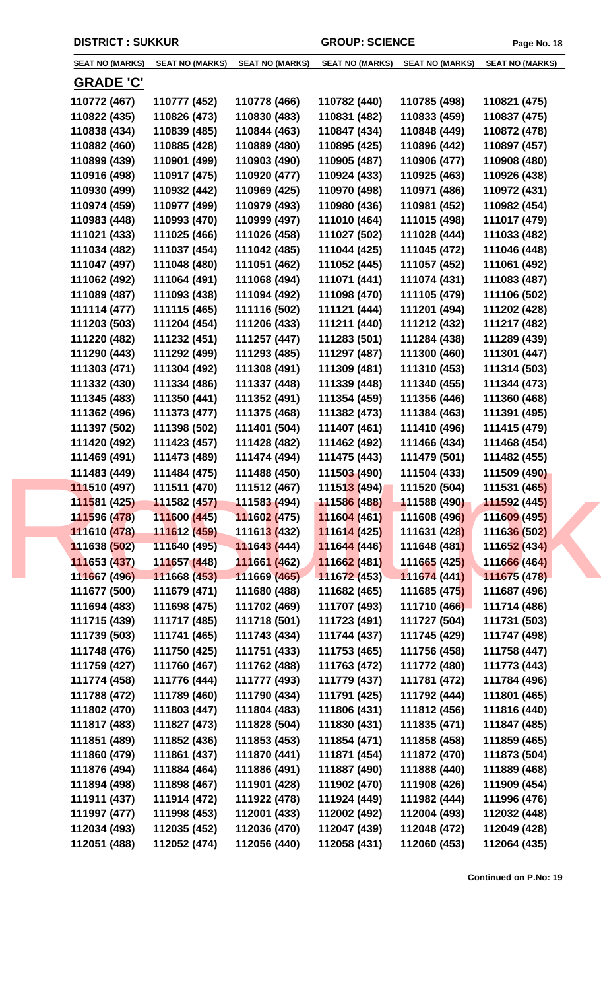| <b>SEAT NO (MARKS)</b> | <b>SEAT NO (MARKS)</b>     | <b>SEAT NO (MARKS)</b>      | <b>SEAT NO (MARKS)</b>      | <b>SEAT NO (MARKS)</b> | <b>SEAT NO (MARKS)</b> |
|------------------------|----------------------------|-----------------------------|-----------------------------|------------------------|------------------------|
| <b>GRADE 'C'</b>       |                            |                             |                             |                        |                        |
| 110772 (467)           | 110777 (452)               | 110778 (466)                | 110782 (440)                | 110785 (498)           | 110821 (475)           |
| 110822 (435)           | 110826 (473)               | 110830 (483)                | 110831 (482)                | 110833 (459)           | 110837 (475)           |
| 110838 (434)           | 110839 (485)               | 110844 (463)                | 110847 (434)                | 110848 (449)           | 110872 (478)           |
| 110882 (460)           | 110885 (428)               | 110889 (480)                | 110895 (425)                | 110896 (442)           | 110897 (457)           |
| 110899 (439)           | 110901 (499)               | 110903 (490)                | 110905 (487)                | 110906 (477)           | 110908 (480)           |
| 110916 (498)           | 110917 (475)               | 110920 (477)                | 110924 (433)                | 110925 (463)           | 110926 (438)           |
| 110930 (499)           | 110932 (442)               | 110969 (425)                | 110970 (498)                | 110971 (486)           | 110972 (431)           |
| 110974 (459)           | 110977 (499)               | 110979 (493)                | 110980 (436)                | 110981 (452)           | 110982 (454)           |
| 110983 (448)           | 110993 (470)               | 110999 (497)                | 111010 (464)                | 111015 (498)           | 111017 (479)           |
| 111021 (433)           | 111025 (466)               | 111026 (458)                | 111027 (502)                | 111028 (444)           | 111033 (482)           |
| 111034 (482)           | 111037 (454)               | 111042 (485)                | 111044 (425)                | 111045 (472)           | 111046 (448)           |
| 111047 (497)           | 111048 (480)               | 111051 (462)                | 111052 (445)                | 111057 (452)           | 111061 (492)           |
| 111062 (492)           | 111064 (491)               | 111068 (494)                | 111071 (441)                | 111074 (431)           | 111083 (487)           |
| 111089 (487)           | 111093 (438)               | 111094 (492)                | 111098 (470)                | 111105 (479)           | 111106 (502)           |
| 111114 (477)           | 111115 (465)               | 111116 (502)                | 111121 (444)                | 111201 (494)           | 111202 (428)           |
| 111203 (503)           | 111204 (454)               | 111206 (433)                | 111211 (440)                | 111212 (432)           | 111217 (482)           |
| 111220 (482)           | 111232 (451)               | 111257 (447)                | 111283 (501)                | 111284 (438)           | 111289 (439)           |
| 111290 (443)           | 111292 (499)               | 111293 (485)                | 111297 (487)                | 111300 (460)           | 111301 (447)           |
|                        |                            |                             |                             |                        |                        |
| 111303 (471)           | 111304 (492)               | 111308 (491)                | 111309 (481)                | 111310 (453)           | 111314 (503)           |
| 111332 (430)           | 111334 (486)               | 111337 (448)                | 111339 (448)                | 111340 (455)           | 111344 (473)           |
| 111345 (483)           | 111350 (441)               | 111352 (491)                | 111354 (459)                | 111356 (446)           | 111360 (468)           |
| 111362 (496)           | 111373 (477)               | 111375 (468)                | 111382 (473)                | 111384 (463)           | 111391 (495)           |
| 111397 (502)           | 111398 (502)               | 111401 (504)                | 111407 (461)                | 111410 (496)           | 111415 (479)           |
| 111420 (492)           | 111423 (457)               | 111428 (482)                | 111462 (492)                | 111466 (434)           | 111468 (454)           |
| 111469 (491)           | 111473 (489)               | 111474 (494)                | 111475 (443)                | 111479 (501)           | 111482 (455)           |
| 111483 (449)           | 111484 (475)               | 111488 (450)                | 111503 (490)                | 111504 (433)           | 111509 (490)           |
| 111510 (497)           | 111511 (470)               | 111512 (467)                | 11151 <mark>3 (</mark> 494) | 111520 (504)           | 111531 (465)           |
| 111581 (425)           | $111582(457)$ 111583 (494) |                             | 11158 <mark>6 (</mark> 488) | 111588 (490)           | 111592 (445)           |
| 111596 (478)           | 111600 (445)               | 111602 (475)                | 111604 (461)                | 111608 (496)           | 111609 (495)           |
| 111610 (478)           | 111612 (459)               | 11161 <mark>3 (</mark> 432) | 111614 (425)                | 111631 (428)           | 111636 (502)           |
| 111638 (502)           | 111640 (495)               | 111643 (444)                | 111644 (446)                | 111648 (481)           | 111652 (434)           |
| 111653 (437)           | 111657 (448)               | 111661 (462)                | 111662 (481)                | 111665 (425)           | 111666 (464)           |
| 111667 (496)           | 111668 (453)               | 111669 (465)                | 111672 (453)                | 111674 (441)           | 111675 (478)           |
| 111677 (500)           | 111679 (471)               | 111680 (488)                | 111682 (465)                | 111685 (475)           | 111687 (496)           |
| 111694 (483)           | 111698 (475)               | 111702 (469)                | 111707 (493)                | 111710 (466)           | 111714 (486)           |
| 111715 (439)           | 111717 (485)               | 111718 (501)                | 111723 (491)                | 111727 (504)           | 111731 (503)           |
| 111739 (503)           | 111741 (465)               | 111743 (434)                | 111744 (437)                | 111745 (429)           | 111747 (498)           |
| 111748 (476)           | 111750 (425)               | 111751 (433)                | 111753 (465)                | 111756 (458)           | 111758 (447)           |
| 111759 (427)           | 111760 (467)               | 111762 (488)                | 111763 (472)                | 111772 (480)           | 111773 (443)           |
| 111774 (458)           | 111776 (444)               | 111777 (493)                | 111779 (437)                | 111781 (472)           | 111784 (496)           |
| 111788 (472)           | 111789 (460)               | 111790 (434)                | 111791 (425)                | 111792 (444)           | 111801 (465)           |
| 111802 (470)           | 111803 (447)               | 111804 (483)                | 111806 (431)                | 111812 (456)           | 111816 (440)           |
| 111817 (483)           | 111827 (473)               | 111828 (504)                | 111830 (431)                | 111835 (471)           | 111847 (485)           |
| 111851 (489)           | 111852 (436)               | 111853 (453)                | 111854 (471)                | 111858 (458)           | 111859 (465)           |
| 111860 (479)           | 111861 (437)               | 111870 (441)                | 111871 (454)                | 111872 (470)           | 111873 (504)           |
| 111876 (494)           | 111884 (464)               | 111886 (491)                | 111887 (490)                | 111888 (440)           | 111889 (468)           |
| 111894 (498)           | 111898 (467)               | 111901 (428)                | 111902 (470)                | 111908 (426)           | 111909 (454)           |
| 111911 (437)           | 111914 (472)               | 111922 (478)                | 111924 (449)                | 111982 (444)           | 111996 (476)           |
| 111997 (477)           | 111998 (453)               | 112001 (433)                | 112002 (492)                | 112004 (493)           | 112032 (448)           |
| 112034 (493)           | 112035 (452)               | 112036 (470)                | 112047 (439)                | 112048 (472)           | 112049 (428)           |
| 112051 (488)           | 112052 (474)               | 112056 (440)                | 112058 (431)                | 112060 (453)           | 112064 (435)           |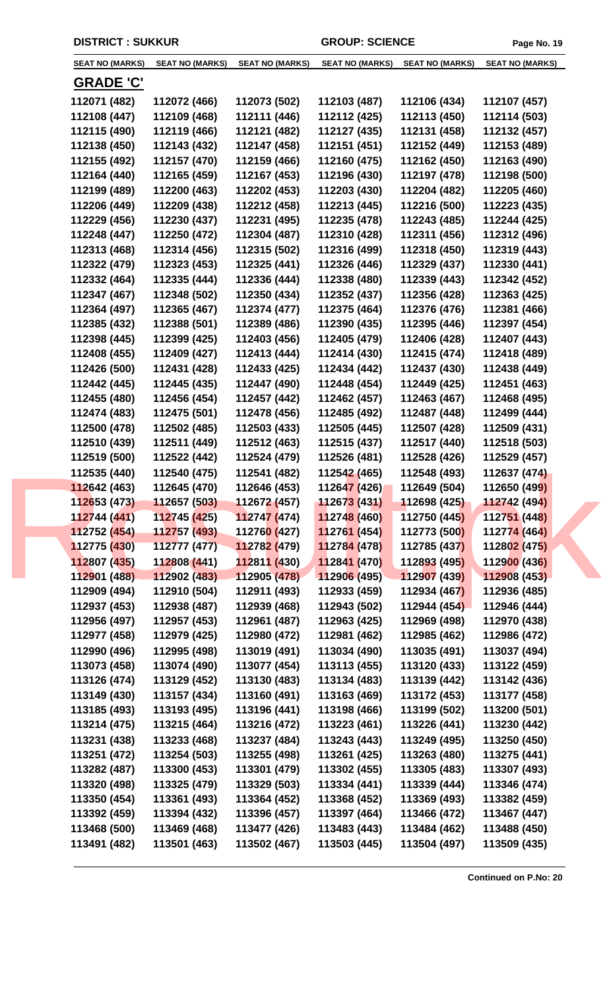| <b>SEAT NO (MARKS)</b> | <b>SEAT NO (MARKS)</b>    | <b>SEAT NO (MARKS)</b>      | <b>SEAT NO (MARKS)</b>     | <b>SEAT NO (MARKS)</b> | <b>SEAT NO (MARKS)</b> |
|------------------------|---------------------------|-----------------------------|----------------------------|------------------------|------------------------|
| <u>GRADE 'C'</u>       |                           |                             |                            |                        |                        |
| 112071 (482)           | 112072 (466)              | 112073 (502)                | 112103 (487)               | 112106 (434)           | 112107 (457)           |
| 112108 (447)           | 112109 (468)              | 112111 (446)                | 112112 (425)               | 112113 (450)           | 112114 (503)           |
| 112115 (490)           | 112119 (466)              | 112121 (482)                | 112127 (435)               | 112131 (458)           | 112132 (457)           |
| 112138 (450)           | 112143 (432)              | 112147 (458)                | 112151 (451)               | 112152 (449)           | 112153 (489)           |
| 112155 (492)           | 112157 (470)              | 112159 (466)                | 112160 (475)               | 112162 (450)           | 112163 (490)           |
| 112164 (440)           | 112165 (459)              | 112167 (453)                | 112196 (430)               | 112197 (478)           | 112198 (500)           |
| 112199 (489)           | 112200 (463)              | 112202 (453)                | 112203 (430)               | 112204 (482)           | 112205 (460)           |
| 112206 (449)           | 112209 (438)              | 112212 (458)                | 112213 (445)               | 112216 (500)           | 112223 (435)           |
| 112229 (456)           | 112230 (437)              | 112231 (495)                | 112235 (478)               | 112243 (485)           | 112244 (425)           |
| 112248 (447)           | 112250 (472)              | 112304 (487)                | 112310 (428)               | 112311 (456)           | 112312 (496)           |
| 112313 (468)           | 112314 (456)              | 112315 (502)                | 112316 (499)               | 112318 (450)           | 112319 (443)           |
| 112322 (479)           | 112323 (453)              | 112325 (441)                | 112326 (446)               | 112329 (437)           | 112330 (441)           |
| 112332 (464)           | 112335 (444)              | 112336 (444)                | 112338 (480)               | 112339 (443)           | 112342 (452)           |
| 112347 (467)           | 112348 (502)              | 112350 (434)                | 112352 (437)               | 112356 (428)           | 112363 (425)           |
| 112364 (497)           | 112365 (467)              | 112374 (477)                | 112375 (464)               | 112376 (476)           | 112381 (466)           |
| 112385 (432)           | 112388 (501)              | 112389 (486)                | 112390 (435)               | 112395 (446)           | 112397 (454)           |
| 112398 (445)           | 112399 (425)              | 112403 (456)                | 112405 (479)               | 112406 (428)           | 112407 (443)           |
| 112408 (455)           | 112409 (427)              | 112413 (444)                | 112414 (430)               | 112415 (474)           | 112418 (489)           |
| 112426 (500)           | 112431 (428)              | 112433 (425)                | 112434 (442)               | 112437 (430)           | 112438 (449)           |
| 112442 (445)           | 112445 (435)              | 112447 (490)                | 112448 (454)               | 112449 (425)           | 112451 (463)           |
| 112455 (480)           | 112456 (454)              | 112457 (442)                | 112462 (457)               | 112463 (467)           | 112468 (495)           |
| 112474 (483)           | 112475 (501)              | 112478 (456)                | 112485 (492)               | 112487 (448)           | 112499 (444)           |
| 112500 (478)           | 112502 (485)              | 112503 (433)                | 112505 (445)               | 112507 (428)           | 112509 (431)           |
| 112510 (439)           | 112511 (449)              | 112512 (463)                | 112515 (437)               | 112517 (440)           | 112518 (503)           |
| 112519 (500)           | 112522 (442)              | 112524 (479)                | 112526 (481)               | 112528 (426)           | 112529 (457)           |
| 112535 (440)           | 112540 (475)              | 112541 (482)                | 112542 (465)               | 112548 (493)           | 112637 (474)           |
| 112642 (463)           | 112645 (470)              | 112646 (453)                | 112647 (426)               | 112649 (504)           | 112650 (499)           |
| 112653 (473)           | 112657 (503) 112672 (457) |                             | 11267 <mark>3 (431)</mark> | 112698 (425)           | 112742 (494)           |
| 112744 (441)           | 112745 (425)              | 112747(474)                 | 112748 (460)               | 112750 (445)           | 112751 (448)           |
| 112752 (454)           | 112757 (493)              | 11276 <mark>0 (</mark> 427) | 112761 (454)               | 112773 (500)           | 112774 (464)           |
| 112775 (430)           | 112777 (477)              | 112782 (479)                | 112784 (478)               | 112785 (437)           | 112802 (475)           |
| 112807 (435)           | 112808 (441)              | 112811 (430)                | 112841 (470)               | 112893 (495)           | 112900 (436)           |
| 112901 (488)           | 112902 (483)              | 112905 (478)                | 112906 (495)               | 112907 (439)           | 112908 (453)           |
| 112909 (494)           | 112910 (504)              | 112911 (493)                | 112933 (459)               | 112934 (467)           | 112936 (485)           |
| 112937 (453)           | 112938 (487)              | 112939 (468)                | 112943 (502)               | 112944 (454)           | 112946 (444)           |
| 112956 (497)           | 112957 (453)              | 112961 (487)                | 112963 (425)               | 112969 (498)           | 112970 (438)           |
| 112977 (458)           | 112979 (425)              | 112980 (472)                | 112981 (462)               | 112985 (462)           | 112986 (472)           |
| 112990 (496)           | 112995 (498)              | 113019 (491)                | 113034 (490)               | 113035 (491)           | 113037 (494)           |
| 113073 (458)           | 113074 (490)              | 113077 (454)                | 113113 (455)               | 113120 (433)           | 113122 (459)           |
| 113126 (474)           | 113129 (452)              | 113130 (483)                | 113134 (483)               | 113139 (442)           | 113142 (436)           |
| 113149 (430)           | 113157 (434)              | 113160 (491)                | 113163 (469)               | 113172 (453)           | 113177 (458)           |
| 113185 (493)           | 113193 (495)              | 113196 (441)                | 113198 (466)               | 113199 (502)           | 113200 (501)           |
| 113214 (475)           | 113215 (464)              | 113216 (472)                | 113223 (461)               | 113226 (441)           | 113230 (442)           |
| 113231 (438)           | 113233 (468)              | 113237 (484)                | 113243 (443)               | 113249 (495)           | 113250 (450)           |
| 113251 (472)           | 113254 (503)              | 113255 (498)                | 113261 (425)               | 113263 (480)           | 113275 (441)           |
| 113282 (487)           | 113300 (453)              | 113301 (479)                | 113302 (455)               | 113305 (483)           | 113307 (493)           |
| 113320 (498)           | 113325 (479)              | 113329 (503)                | 113334 (441)               | 113339 (444)           | 113346 (474)           |
| 113350 (454)           | 113361 (493)              | 113364 (452)                | 113368 (452)               | 113369 (493)           | 113382 (459)           |
| 113392 (459)           | 113394 (432)              | 113396 (457)                | 113397 (464)               | 113466 (472)           | 113467 (447)           |
| 113468 (500)           | 113469 (468)              | 113477 (426)                | 113483 (443)               | 113484 (462)           | 113488 (450)           |
| 113491 (482)           | 113501 (463)              | 113502 (467)                | 113503 (445)               | 113504 (497)           | 113509 (435)           |
|                        |                           |                             |                            |                        |                        |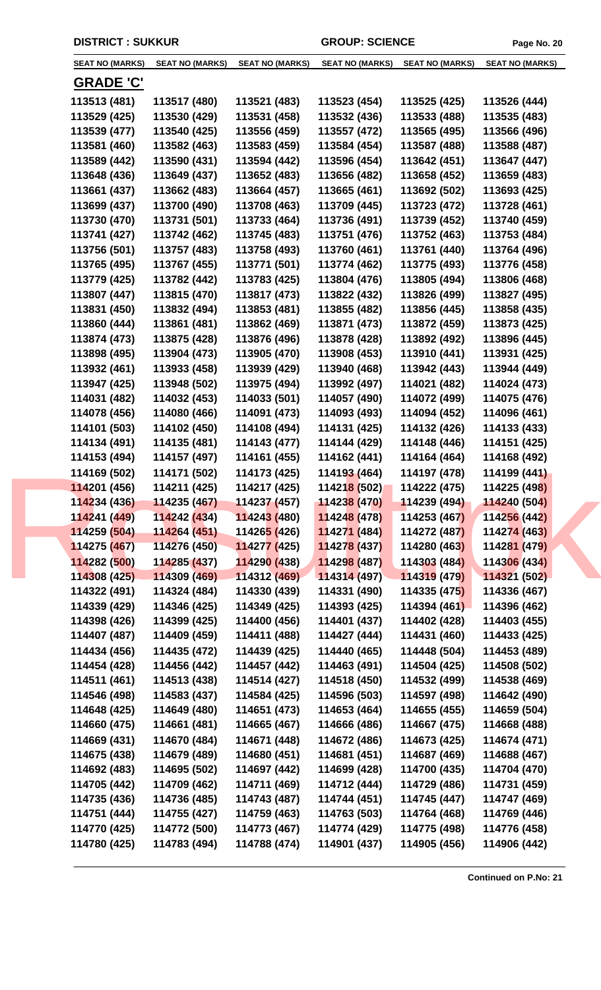| <b>SEAT NO (MARKS)</b>       | <b>SEAT NO (MARKS)</b>       | <b>SEAT NO (MARKS)</b>       | <b>SEAT NO (MARKS)</b> | <b>SEAT NO (MARKS)</b>       | <b>SEAT NO (MARKS)</b>       |
|------------------------------|------------------------------|------------------------------|------------------------|------------------------------|------------------------------|
| <b>GRADE 'C'</b>             |                              |                              |                        |                              |                              |
| 113513 (481)                 | 113517 (480)                 | 113521 (483)                 | 113523 (454)           | 113525 (425)                 | 113526 (444)                 |
| 113529 (425)                 | 113530 (429)                 | 113531 (458)                 | 113532 (436)           | 113533 (488)                 | 113535 (483)                 |
| 113539 (477)                 | 113540 (425)                 | 113556 (459)                 | 113557 (472)           | 113565 (495)                 | 113566 (496)                 |
| 113581 (460)                 | 113582 (463)                 | 113583 (459)                 | 113584 (454)           | 113587 (488)                 | 113588 (487)                 |
| 113589 (442)                 | 113590 (431)                 | 113594 (442)                 | 113596 (454)           | 113642 (451)                 | 113647 (447)                 |
| 113648 (436)                 | 113649 (437)                 | 113652 (483)                 | 113656 (482)           | 113658 (452)                 | 113659 (483)                 |
| 113661 (437)                 | 113662 (483)                 | 113664 (457)                 | 113665 (461)           | 113692 (502)                 | 113693 (425)                 |
| 113699 (437)                 | 113700 (490)                 | 113708 (463)                 | 113709 (445)           | 113723 (472)                 | 113728 (461)                 |
| 113730 (470)                 | 113731 (501)                 | 113733 (464)                 | 113736 (491)           | 113739 (452)                 | 113740 (459)                 |
| 113741 (427)                 | 113742 (462)                 | 113745 (483)                 | 113751 (476)           | 113752 (463)                 | 113753 (484)                 |
| 113756 (501)                 | 113757 (483)                 | 113758 (493)                 | 113760 (461)           | 113761 (440)                 | 113764 (496)                 |
| 113765 (495)                 | 113767 (455)                 | 113771 (501)                 | 113774 (462)           | 113775 (493)                 | 113776 (458)                 |
| 113779 (425)                 | 113782 (442)                 | 113783 (425)                 | 113804 (476)           | 113805 (494)                 | 113806 (468)                 |
| 113807 (447)                 | 113815 (470)                 | 113817 (473)                 | 113822 (432)           | 113826 (499)                 | 113827 (495)                 |
| 113831 (450)                 | 113832 (494)                 | 113853 (481)                 | 113855 (482)           | 113856 (445)                 | 113858 (435)                 |
| 113860 (444)                 | 113861 (481)                 | 113862 (469)                 | 113871 (473)           | 113872 (459)                 | 113873 (425)                 |
| 113874 (473)                 | 113875 (428)                 | 113876 (496)                 | 113878 (428)           | 113892 (492)                 | 113896 (445)                 |
| 113898 (495)                 | 113904 (473)                 | 113905 (470)                 | 113908 (453)           | 113910 (441)                 | 113931 (425)                 |
| 113932 (461)                 | 113933 (458)                 | 113939 (429)                 | 113940 (468)           | 113942 (443)                 | 113944 (449)                 |
| 113947 (425)                 | 113948 (502)                 | 113975 (494)                 | 113992 (497)           | 114021 (482)                 | 114024 (473)                 |
| 114031 (482)                 | 114032 (453)                 | 114033 (501)                 | 114057 (490)           | 114072 (499)                 | 114075 (476)                 |
| 114078 (456)                 | 114080 (466)                 | 114091 (473)                 | 114093 (493)           | 114094 (452)                 | 114096 (461)                 |
| 114101 (503)                 | 114102 (450)                 | 114108 (494)                 | 114131 (425)           | 114132 (426)                 | 114133 (433)                 |
| 114134 (491)                 | 114135 (481)                 | 114143 (477)                 | 114144 (429)           | 114148 (446)                 | 114151 (425)                 |
| 114153 (494)                 | 114157 (497)                 | 114161 (455)                 | 114162 (441)           | 114164 (464)                 | 114168 (492)                 |
| 114169 (502)                 | 114171 (502)                 | 114173 (425)                 | 114193 (464)           | 114197 (478)                 | 114199 (441)                 |
| 114201 (456)                 | 114211 (425)                 | 114217 (425)                 | 114218 (502)           | 114222 (475)                 | 114225 (498)                 |
| 114234 (436)                 | 114235 (467) 114237 (457)    |                              | 114238(470)            | 114239 (494)                 | 114240 (504)                 |
| 114241 (449)                 | 114242 (434)                 | 114243 (480)                 | 114248 (478)           | 114253 (467)                 | 114256 (442)                 |
| 114259 (504)                 | 114264 (451)                 | 11426 <mark>5 (</mark> 426)  | 114271 (484)           | 114272 (487)                 | 114274 (463)                 |
| 114275 (467)                 | 114276 (450)                 | 114277 (425)                 | 114278 (437)           | 114280 (463)                 | 114281 (479)                 |
| 114282 (500)                 | 114285 (437)                 | 114290 (438)                 | 114298 (487)           | 114303 (484)                 | 114306 (434)                 |
| 114308 (425)                 | 114309 (469)                 | 114312 (469)                 | 114314 (497)           | 114319 (479)                 | 114321 (502)                 |
| 114322 (491)                 | 114324 (484)                 | 114330 (439)                 | 114331 (490)           | 114335 (475)                 | 114336 (467)                 |
| 114339 (429)                 | 114346 (425)                 | 114349 (425)                 | 114393 (425)           | 114394 (461)                 | 114396 (462)                 |
| 114398 (426)                 | 114399 (425)                 | 114400 (456)                 | 114401 (437)           | 114402 (428)                 | 114403 (455)                 |
| 114407 (487)                 | 114409 (459)                 | 114411 (488)                 | 114427 (444)           | 114431 (460)                 | 114433 (425)                 |
| 114434 (456)                 | 114435 (472)                 | 114439 (425)                 | 114440 (465)           | 114448 (504)                 | 114453 (489)                 |
| 114454 (428)                 | 114456 (442)                 | 114457 (442)                 | 114463 (491)           | 114504 (425)                 | 114508 (502)                 |
| 114511 (461)                 | 114513 (438)                 | 114514 (427)                 | 114518 (450)           | 114532 (499)                 | 114538 (469)                 |
| 114546 (498)                 | 114583 (437)                 | 114584 (425)                 | 114596 (503)           | 114597 (498)                 | 114642 (490)                 |
| 114648 (425)                 | 114649 (480)                 | 114651 (473)                 | 114653 (464)           | 114655 (455)                 | 114659 (504)                 |
| 114660 (475)                 | 114661 (481)                 | 114665 (467)                 | 114666 (486)           | 114667 (475)                 | 114668 (488)                 |
| 114669 (431)                 | 114670 (484)                 | 114671 (448)                 | 114672 (486)           | 114673 (425)                 | 114674 (471)                 |
| 114675 (438)                 | 114679 (489)                 | 114680 (451)                 | 114681 (451)           | 114687 (469)                 | 114688 (467)                 |
| 114692 (483)                 | 114695 (502)                 | 114697 (442)                 | 114699 (428)           | 114700 (435)                 | 114704 (470)                 |
| 114705 (442)                 | 114709 (462)                 | 114711 (469)                 | 114712 (444)           | 114729 (486)                 | 114731 (459)                 |
| 114735 (436)                 | 114736 (485)                 | 114743 (487)                 | 114744 (451)           | 114745 (447)                 | 114747 (469)                 |
| 114751 (444)                 | 114755 (427)                 | 114759 (463)                 | 114763 (503)           | 114764 (468)                 | 114769 (446)                 |
|                              |                              |                              | 114774 (429)           |                              |                              |
|                              |                              |                              |                        |                              |                              |
| 114770 (425)<br>114780 (425) | 114772 (500)<br>114783 (494) | 114773 (467)<br>114788 (474) | 114901 (437)           | 114775 (498)<br>114905 (456) | 114776 (458)<br>114906 (442) |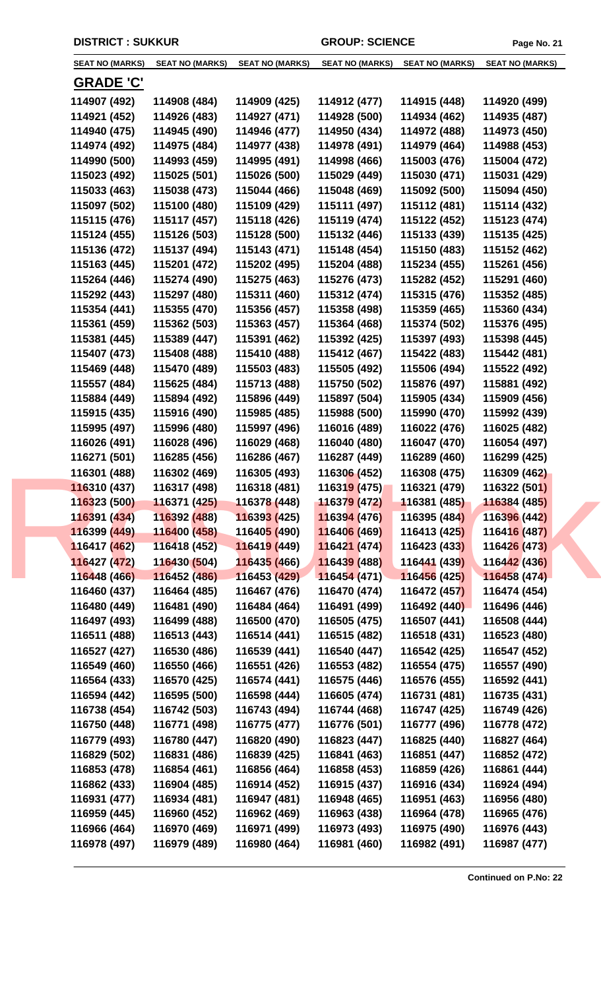| <b>SEAT NO (MARKS)</b> | <b>SEAT NO (MARKS)</b> | <b>SEAT NO (MARKS)</b>      | <b>SEAT NO (MARKS)</b>      | <b>SEAT NO (MARKS)</b> | <b>SEAT NO (MARKS)</b> |
|------------------------|------------------------|-----------------------------|-----------------------------|------------------------|------------------------|
|                        |                        |                             |                             |                        |                        |
| <b>GRADE 'C'</b>       |                        |                             |                             |                        |                        |
| 114907 (492)           | 114908 (484)           | 114909 (425)                | 114912 (477)                | 114915 (448)           | 114920 (499)           |
| 114921 (452)           | 114926 (483)           | 114927 (471)                | 114928 (500)                | 114934 (462)           | 114935 (487)           |
| 114940 (475)           | 114945 (490)           | 114946 (477)                | 114950 (434)                | 114972 (488)           | 114973 (450)           |
| 114974 (492)           | 114975 (484)           | 114977 (438)                | 114978 (491)                | 114979 (464)           | 114988 (453)           |
| 114990 (500)           | 114993 (459)           | 114995 (491)                | 114998 (466)                | 115003 (476)           | 115004 (472)           |
| 115023 (492)           | 115025 (501)           | 115026 (500)                | 115029 (449)                | 115030 (471)           | 115031 (429)           |
| 115033 (463)           | 115038 (473)           | 115044 (466)                | 115048 (469)                | 115092 (500)           | 115094 (450)           |
| 115097 (502)           | 115100 (480)           | 115109 (429)                | 115111 (497)                | 115112 (481)           | 115114 (432)           |
| 115115 (476)           | 115117 (457)           | 115118 (426)                | 115119 (474)                | 115122 (452)           | 115123 (474)           |
| 115124 (455)           | 115126 (503)           | 115128 (500)                | 115132 (446)                | 115133 (439)           | 115135 (425)           |
| 115136 (472)           | 115137 (494)           | 115143 (471)                | 115148 (454)                | 115150 (483)           | 115152 (462)           |
| 115163 (445)           | 115201 (472)           | 115202 (495)                | 115204 (488)                | 115234 (455)           | 115261 (456)           |
| 115264 (446)           | 115274 (490)           | 115275 (463)                | 115276 (473)                | 115282 (452)           | 115291 (460)           |
| 115292 (443)           | 115297 (480)           | 115311 (460)                | 115312 (474)                | 115315 (476)           | 115352 (485)           |
| 115354 (441)           | 115355 (470)           | 115356 (457)                | 115358 (498)                | 115359 (465)           | 115360 (434)           |
| 115361 (459)           | 115362 (503)           | 115363 (457)                | 115364 (468)                | 115374 (502)           | 115376 (495)           |
| 115381 (445)           | 115389 (447)           | 115391 (462)                | 115392 (425)                | 115397 (493)           | 115398 (445)           |
| 115407 (473)           | 115408 (488)           | 115410 (488)                | 115412 (467)                | 115422 (483)           | 115442 (481)           |
| 115469 (448)           | 115470 (489)           | 115503 (483)                | 115505 (492)                | 115506 (494)           | 115522 (492)           |
| 115557 (484)           | 115625 (484)           | 115713 (488)                | 115750 (502)                | 115876 (497)           | 115881 (492)           |
| 115884 (449)           | 115894 (492)           | 115896 (449)                | 115897 (504)                | 115905 (434)           | 115909 (456)           |
| 115915 (435)           | 115916 (490)           | 115985 (485)                | 115988 (500)                | 115990 (470)           | 115992 (439)           |
| 115995 (497)           | 115996 (480)           | 115997 (496)                | 116016 (489)                | 116022 (476)           | 116025 (482)           |
| 116026 (491)           | 116028 (496)           | 116029 (468)                | 116040 (480)                | 116047 (470)           | 116054 (497)           |
| 116271 (501)           | 116285 (456)           | 116286 (467)                | 116287 (449)                | 116289 (460)           | 116299 (425)           |
| 116301 (488)           | 116302 (469)           | 116305 (493)                | 116306 (452)                | 116308 (475)           | 116309 (462)           |
| 116310 (437)           | 116317 (498)           | 116318 (481)                | 116319 (475)                | 116321 (479)           | 116322 (501)           |
| 116323 (500)           | 116371 (425)           | 116378 (448)                | 11637 <mark>9 (</mark> 472) | 116381 (485)           | 116384 (485)           |
| 116391 (434)           | 116392 (488)           | 116393 (425)                | 116394 (476)                | 116395 (484)           | 116396 (442)           |
| 116399 (449)           | 116400 (458)           | 11640 <mark>5 (</mark> 490) | 116406 (469)                | 116413 (425)           | 116416 (487)           |
| 116417 (462)           | 116418 (452)           | 116419 (449)                | 116421 (474)                | 116423 (433)           | 116426 (473)           |
| 116427 (472)           | 116430 (504)           | 116435 (466)                | 116439 (488)                | 116441 (439)           | 116442 (436)           |
| 116448 (466)           | 116452 (486)           | 116453 (429)                | 116454 (471)                | 116456 (425)           | 116458 (474)           |
| 116460 (437)           | 116464 (485)           | 116467 (476)                | 116470 (474)                | 116472 (457)           | 116474 (454)           |
| 116480 (449)           | 116481 (490)           | 116484 (464)                | 116491 (499)                | 116492 (440)           | 116496 (446)           |
| 116497 (493)           | 116499 (488)           | 116500 (470)                | 116505 (475)                | 116507 (441)           | 116508 (444)           |
| 116511 (488)           | 116513 (443)           | 116514 (441)                | 116515 (482)                | 116518 (431)           | 116523 (480)           |
| 116527 (427)           | 116530 (486)           | 116539 (441)                | 116540 (447)                | 116542 (425)           | 116547 (452)           |
| 116549 (460)           | 116550 (466)           | 116551 (426)                | 116553 (482)                | 116554 (475)           | 116557 (490)           |
| 116564 (433)           | 116570 (425)           | 116574 (441)                | 116575 (446)                | 116576 (455)           | 116592 (441)           |
| 116594 (442)           | 116595 (500)           | 116598 (444)                | 116605 (474)                | 116731 (481)           | 116735 (431)           |
| 116738 (454)           | 116742 (503)           | 116743 (494)                | 116744 (468)                | 116747 (425)           | 116749 (426)           |
| 116750 (448)           | 116771 (498)           | 116775 (477)                | 116776 (501)                | 116777 (496)           | 116778 (472)           |
| 116779 (493)           | 116780 (447)           | 116820 (490)                | 116823 (447)                | 116825 (440)           | 116827 (464)           |
| 116829 (502)           | 116831 (486)           | 116839 (425)                | 116841 (463)                | 116851 (447)           | 116852 (472)           |
| 116853 (478)           | 116854 (461)           | 116856 (464)                | 116858 (453)                | 116859 (426)           | 116861 (444)           |
| 116862 (433)           | 116904 (485)           | 116914 (452)                | 116915 (437)                | 116916 (434)           | 116924 (494)           |
| 116931 (477)           | 116934 (481)           | 116947 (481)                | 116948 (465)                | 116951 (463)           | 116956 (480)           |
| 116959 (445)           | 116960 (452)           | 116962 (469)                | 116963 (438)                | 116964 (478)           | 116965 (476)           |
| 116966 (464)           | 116970 (469)           | 116971 (499)                | 116973 (493)                | 116975 (490)           | 116976 (443)           |
| 116978 (497)           | 116979 (489)           | 116980 (464)                | 116981 (460)                | 116982 (491)           | 116987 (477)           |
|                        |                        |                             |                             |                        |                        |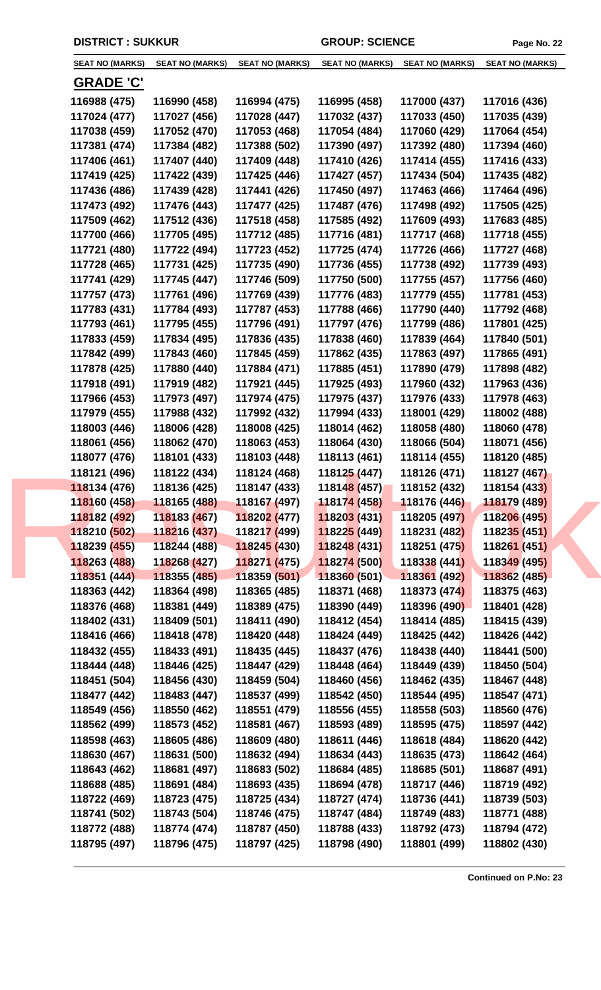| <b>SEAT NO (MARKS)</b> | <b>SEAT NO (MARKS)</b> | <b>SEAT NO (MARKS)</b>      | <b>SEAT NO (MARKS)</b> | <b>SEAT NO (MARKS)</b> | <b>SEAT NO (MARKS)</b> |  |
|------------------------|------------------------|-----------------------------|------------------------|------------------------|------------------------|--|
| <b>GRADE 'C'</b>       |                        |                             |                        |                        |                        |  |
| 116988 (475)           | 116990 (458)           | 116994 (475)                | 116995 (458)           | 117000 (437)           | 117016 (436)           |  |
| 117024 (477)           | 117027 (456)           | 117028 (447)                | 117032 (437)           | 117033 (450)           | 117035 (439)           |  |
| 117038 (459)           | 117052 (470)           | 117053 (468)                | 117054 (484)           | 117060 (429)           | 117064 (454)           |  |
| 117381 (474)           | 117384 (482)           | 117388 (502)                | 117390 (497)           | 117392 (480)           | 117394 (460)           |  |
| 117406 (461)           | 117407 (440)           | 117409 (448)                | 117410 (426)           | 117414 (455)           | 117416 (433)           |  |
| 117419 (425)           | 117422 (439)           | 117425 (446)                | 117427 (457)           | 117434 (504)           | 117435 (482)           |  |
| 117436 (486)           | 117439 (428)           | 117441 (426)                | 117450 (497)           | 117463 (466)           | 117464 (496)           |  |
| 117473 (492)           | 117476 (443)           | 117477 (425)                | 117487 (476)           | 117498 (492)           | 117505 (425)           |  |
| 117509 (462)           | 117512 (436)           | 117518 (458)                | 117585 (492)           | 117609 (493)           | 117683 (485)           |  |
| 117700 (466)           | 117705 (495)           | 117712 (485)                | 117716 (481)           | 117717 (468)           | 117718 (455)           |  |
| 117721 (480)           | 117722 (494)           | 117723 (452)                | 117725 (474)           | 117726 (466)           | 117727 (468)           |  |
| 117728 (465)           | 117731 (425)           | 117735 (490)                | 117736 (455)           | 117738 (492)           | 117739 (493)           |  |
| 117741 (429)           | 117745 (447)           | 117746 (509)                | 117750 (500)           | 117755 (457)           | 117756 (460)           |  |
| 117757 (473)           | 117761 (496)           | 117769 (439)                | 117776 (483)           | 117779 (455)           | 117781 (453)           |  |
| 117783 (431)           | 117784 (493)           | 117787 (453)                | 117788 (466)           | 117790 (440)           | 117792 (468)           |  |
| 117793 (461)           | 117795 (455)           | 117796 (491)                | 117797 (476)           | 117799 (486)           | 117801 (425)           |  |
| 117833 (459)           | 117834 (495)           | 117836 (435)                | 117838 (460)           | 117839 (464)           | 117840 (501)           |  |
| 117842 (499)           | 117843 (460)           | 117845 (459)                | 117862 (435)           | 117863 (497)           | 117865 (491)           |  |
| 117878 (425)           | 117880 (440)           | 117884 (471)                | 117885 (451)           | 117890 (479)           | 117898 (482)           |  |
| 117918 (491)           | 117919 (482)           | 117921 (445)                | 117925 (493)           | 117960 (432)           | 117963 (436)           |  |
| 117966 (453)           | 117973 (497)           | 117974 (475)                | 117975 (437)           | 117976 (433)           | 117978 (463)           |  |
| 117979 (455)           | 117988 (432)           | 117992 (432)                | 117994 (433)           | 118001 (429)           | 118002 (488)           |  |
| 118003 (446)           | 118006 (428)           | 118008 (425)                | 118014 (462)           | 118058 (480)           | 118060 (478)           |  |
| 118061 (456)           | 118062 (470)           | 118063 (453)                | 118064 (430)           | 118066 (504)           | 118071 (456)           |  |
| 118077 (476)           | 118101 (433)           | 118103 (448)                | 118113 (461)           | 118114 (455)           | 118120 (485)           |  |
| 118121 (496)           | 118122 (434)           | 118124 (468)                | 118125 (447)           | 118126 (471)           | 118127 (467)           |  |
| 118134 (476)           | 118136 (425)           | 118147 (433)                | 118148 (457)           | 118152 (432)           | 118154 (433)           |  |
| 118160 (458)           | 118165 (488)           | 118167 (497)                | 118174 (458)           | 118176 (446)           | 118179 (489)           |  |
| 118182 (492)           | 118183 (467)           | 118202 (477)                | 118203 (431)           | 118205 (497)           | 118206 (495)           |  |
| 118210 (502)           | 118216 (437)           | 11821 <mark>7 (</mark> 499) | 118225 (449)           | 118231 (482)           | 118235 (451)           |  |
| 118239 (455)           | 118244 (488)           | 118245 (430)                | 118248 (431)           | 118251 (475)           | 118261 (451)           |  |
| 118263 (488)           | 118268 (427)           | 118271 (475)                | 118274 (500)           | 118338 (441)           | 118349 (495)           |  |
| 118351 (444)           | 118355 (485)           | 118359 (501)                | 118360 (501)           | 118361 (492)           | 118362 (485)           |  |
| 118363 (442)           | 118364 (498)           | 118365 (485)                | 118371 (468)           | 118373 (474)           | 118375 (463)           |  |
| 118376 (468)           | 118381 (449)           | 118389 (475)                | 118390 (449)           | 118396 (490)           | 118401 (428)           |  |
| 118402 (431)           | 118409 (501)           | 118411 (490)                | 118412 (454)           | 118414 (485)           | 118415 (439)           |  |
| 118416 (466)           | 118418 (478)           | 118420 (448)                | 118424 (449)           | 118425 (442)           | 118426 (442)           |  |
| 118432 (455)           | 118433 (491)           | 118435 (445)                | 118437 (476)           | 118438 (440)           | 118441 (500)           |  |
| 118444 (448)           | 118446 (425)           | 118447 (429)                | 118448 (464)           | 118449 (439)           | 118450 (504)           |  |
| 118451 (504)           | 118456 (430)           | 118459 (504)                | 118460 (456)           | 118462 (435)           | 118467 (448)           |  |
| 118477 (442)           | 118483 (447)           | 118537 (499)                | 118542 (450)           | 118544 (495)           | 118547 (471)           |  |
| 118549 (456)           | 118550 (462)           | 118551 (479)                | 118556 (455)           | 118558 (503)           | 118560 (476)           |  |
| 118562 (499)           | 118573 (452)           | 118581 (467)                | 118593 (489)           | 118595 (475)           | 118597 (442)           |  |
| 118598 (463)           | 118605 (486)           | 118609 (480)                | 118611 (446)           | 118618 (484)           | 118620 (442)           |  |
| 118630 (467)           | 118631 (500)           | 118632 (494)                | 118634 (443)           | 118635 (473)           | 118642 (464)           |  |
| 118643 (462)           | 118681 (497)           | 118683 (502)                | 118684 (485)           | 118685 (501)           | 118687 (491)           |  |
| 118688 (485)           | 118691 (484)           | 118693 (435)                | 118694 (478)           | 118717 (446)           | 118719 (492)           |  |
| 118722 (469)           | 118723 (475)           | 118725 (434)                | 118727 (474)           | 118736 (441)           | 118739 (503)           |  |
| 118741 (502)           | 118743 (504)           | 118746 (475)                | 118747 (484)           | 118749 (483)           | 118771 (488)           |  |
| 118772 (488)           | 118774 (474)           | 118787 (450)                | 118788 (433)           | 118792 (473)           | 118794 (472)           |  |
| 118795 (497)           | 118796 (475)           | 118797 (425)                | 118798 (490)           | 118801 (499)           | 118802 (430)           |  |
|                        |                        |                             |                        |                        |                        |  |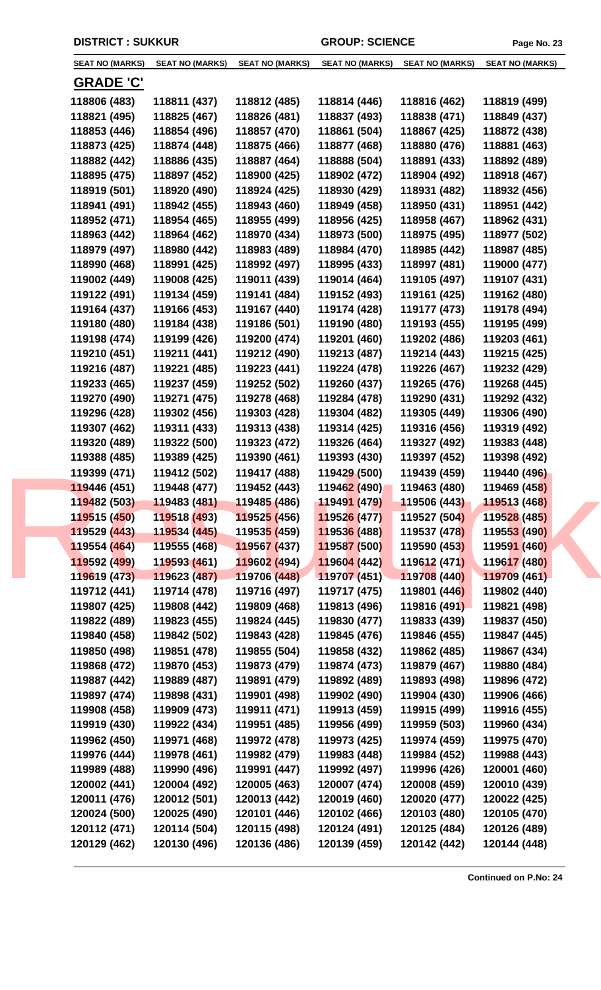| <b>SEAT NO (MARKS)</b> | <b>SEAT NO (MARKS)</b> | <b>SEAT NO (MARKS)</b>      | <b>SEAT NO (MARKS)</b>    | <b>SEAT NO (MARKS)</b> | <b>SEAT NO (MARKS)</b> |
|------------------------|------------------------|-----------------------------|---------------------------|------------------------|------------------------|
| <b>GRADE 'C'</b>       |                        |                             |                           |                        |                        |
| 118806 (483)           | 118811 (437)           | 118812 (485)                | 118814 (446)              | 118816 (462)           | 118819 (499)           |
| 118821 (495)           | 118825 (467)           | 118826 (481)                | 118837 (493)              | 118838 (471)           | 118849 (437)           |
| 118853 (446)           | 118854 (496)           | 118857 (470)                | 118861 (504)              | 118867 (425)           | 118872 (438)           |
| 118873 (425)           | 118874 (448)           | 118875 (466)                | 118877 (468)              | 118880 (476)           | 118881 (463)           |
| 118882 (442)           | 118886 (435)           | 118887 (464)                | 118888 (504)              | 118891 (433)           | 118892 (489)           |
| 118895 (475)           | 118897 (452)           | 118900 (425)                | 118902 (472)              | 118904 (492)           | 118918 (467)           |
| 118919 (501)           | 118920 (490)           | 118924 (425)                | 118930 (429)              | 118931 (482)           | 118932 (456)           |
| 118941 (491)           | 118942 (455)           | 118943 (460)                | 118949 (458)              | 118950 (431)           | 118951 (442)           |
| 118952 (471)           | 118954 (465)           | 118955 (499)                | 118956 (425)              | 118958 (467)           | 118962 (431)           |
| 118963 (442)           | 118964 (462)           | 118970 (434)                | 118973 (500)              | 118975 (495)           | 118977 (502)           |
| 118979 (497)           | 118980 (442)           | 118983 (489)                | 118984 (470)              | 118985 (442)           | 118987 (485)           |
| 118990 (468)           | 118991 (425)           | 118992 (497)                | 118995 (433)              | 118997 (481)           | 119000 (477)           |
| 119002 (449)           | 119008 (425)           | 119011 (439)                | 119014 (464)              | 119105 (497)           | 119107 (431)           |
| 119122 (491)           | 119134 (459)           | 119141 (484)                | 119152 (493)              | 119161 (425)           | 119162 (480)           |
| 119164 (437)           | 119166 (453)           | 119167 (440)                | 119174 (428)              | 119177 (473)           | 119178 (494)           |
| 119180 (480)           | 119184 (438)           | 119186 (501)                | 119190 (480)              | 119193 (455)           | 119195 (499)           |
| 119198 (474)           | 119199 (426)           | 119200 (474)                | 119201 (460)              | 119202 (486)           | 119203 (461)           |
| 119210 (451)           | 119211 (441)           | 119212 (490)                | 119213 (487)              |                        |                        |
|                        |                        |                             |                           | 119214 (443)           | 119215 (425)           |
| 119216 (487)           | 119221 (485)           | 119223 (441)                | 119224 (478)              | 119226 (467)           | 119232 (429)           |
| 119233 (465)           | 119237 (459)           | 119252 (502)                | 119260 (437)              | 119265 (476)           | 119268 (445)           |
| 119270 (490)           | 119271 (475)           | 119278 (468)                | 119284 (478)              | 119290 (431)           | 119292 (432)           |
| 119296 (428)           | 119302 (456)           | 119303 (428)                | 119304 (482)              | 119305 (449)           | 119306 (490)           |
| 119307 (462)           | 119311 (433)           | 119313 (438)                | 119314 (425)              | 119316 (456)           | 119319 (492)           |
| 119320 (489)           | 119322 (500)           | 119323 (472)                | 119326 (464)              | 119327 (492)           | 119383 (448)           |
| 119388 (485)           | 119389 (425)           | 119390 (461)                | 119393 (430)              | 119397 (452)           | 119398 (492)           |
| 119399 (471)           | 119412 (502)           | 119417 (488)                | 119429 (500)              | 119439 (459)           | 119440 (496)           |
| 119446 (451)           | 119448 (477)           | 119452 (443)                | 119462 (490)              | 119463 (480)           | 119469 (458)           |
| 119482 (503)           | 119483 (481)           | 119485 (486)                | <mark>119491 (479)</mark> | 119506 (443)           | 119513 (468)           |
| 119515 (450)           | 119518 (493)           | 119525 (456)                | 119526 (477)              | 119527 (504)           | 119528 (485)           |
| 119529 (443)           | 119534 (445)           | 11953 <mark>5 (</mark> 459) | 119536 (488)              | 119537 (478)           | 119553 (490)           |
| 119554 (464)           | 119555 (468)           | 119567 (437)                | 119587 (500)              | 119590 (453)           | 119591 (460)           |
| 119592 (499)           | 119593 (461)           | 119602 (494)                | 119604 (442)              | 119612 (471)           | 119617 (480)           |
| 119619 (473)           | 119623 (487)           | 119706 (448)                | 119707 (451)              | 119708 (440)           | 119709 (461)           |
| 119712 (441)           | 119714 (478)           | 119716 (497)                | 119717 (475)              | 119801 (446)           | 119802 (440)           |
| 119807 (425)           | 119808 (442)           | 119809 (468)                | 119813 (496)              | 119816 (491)           | 119821 (498)           |
| 119822 (489)           | 119823 (455)           | 119824 (445)                | 119830 (477)              | 119833 (439)           | 119837 (450)           |
| 119840 (458)           | 119842 (502)           | 119843 (428)                | 119845 (476)              | 119846 (455)           | 119847 (445)           |
| 119850 (498)           | 119851 (478)           | 119855 (504)                | 119858 (432)              | 119862 (485)           | 119867 (434)           |
| 119868 (472)           | 119870 (453)           | 119873 (479)                | 119874 (473)              | 119879 (467)           | 119880 (484)           |
| 119887 (442)           | 119889 (487)           | 119891 (479)                | 119892 (489)              | 119893 (498)           | 119896 (472)           |
| 119897 (474)           | 119898 (431)           | 119901 (498)                | 119902 (490)              | 119904 (430)           | 119906 (466)           |
| 119908 (458)           | 119909 (473)           | 119911 (471)                | 119913 (459)              | 119915 (499)           | 119916 (455)           |
| 119919 (430)           | 119922 (434)           | 119951 (485)                | 119956 (499)              | 119959 (503)           | 119960 (434)           |
| 119962 (450)           | 119971 (468)           | 119972 (478)                | 119973 (425)              | 119974 (459)           | 119975 (470)           |
| 119976 (444)           | 119978 (461)           | 119982 (479)                | 119983 (448)              | 119984 (452)           | 119988 (443)           |
| 119989 (488)           | 119990 (496)           | 119991 (447)                | 119992 (497)              | 119996 (426)           | 120001 (460)           |
| 120002 (441)           | 120004 (492)           | 120005 (463)                | 120007 (474)              | 120008 (459)           | 120010 (439)           |
| 120011 (476)           | 120012 (501)           | 120013 (442)                | 120019 (460)              | 120020 (477)           | 120022 (425)           |
| 120024 (500)           | 120025 (490)           | 120101 (446)                | 120102 (466)              | 120103 (480)           | 120105 (470)           |
| 120112 (471)           | 120114 (504)           | 120115 (498)                | 120124 (491)              | 120125 (484)           | 120126 (489)           |
| 120129 (462)           | 120130 (496)           | 120136 (486)                | 120139 (459)              | 120142 (442)           | 120144 (448)           |
|                        |                        |                             |                           |                        |                        |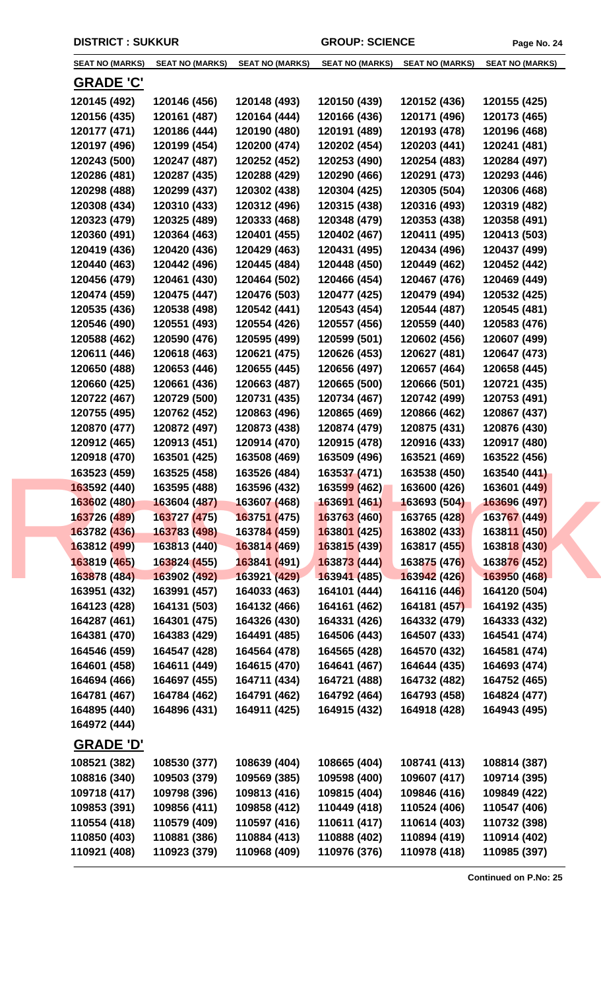| <b>SEAT NO (MARKS)</b> | <b>SEAT NO (MARKS)</b> | <b>SEAT NO (MARKS)</b>      | <b>SEAT NO (MARKS)</b> | <b>SEAT NO (MARKS)</b> | <b>SEAT NO (MARKS)</b> |  |
|------------------------|------------------------|-----------------------------|------------------------|------------------------|------------------------|--|
| <b>GRADE 'C'</b>       |                        |                             |                        |                        |                        |  |
| 120145 (492)           | 120146 (456)           | 120148 (493)                | 120150 (439)           | 120152 (436)           | 120155 (425)           |  |
| 120156 (435)           | 120161 (487)           | 120164 (444)                | 120166 (436)           | 120171 (496)           | 120173 (465)           |  |
| 120177 (471)           | 120186 (444)           | 120190 (480)                | 120191 (489)           | 120193 (478)           | 120196 (468)           |  |
| 120197 (496)           | 120199 (454)           | 120200 (474)                | 120202 (454)           | 120203 (441)           | 120241 (481)           |  |
| 120243 (500)           | 120247 (487)           | 120252 (452)                | 120253 (490)           | 120254 (483)           | 120284 (497)           |  |
| 120286 (481)           | 120287 (435)           | 120288 (429)                | 120290 (466)           | 120291 (473)           | 120293 (446)           |  |
| 120298 (488)           | 120299 (437)           | 120302 (438)                | 120304 (425)           | 120305 (504)           | 120306 (468)           |  |
| 120308 (434)           | 120310 (433)           | 120312 (496)                | 120315 (438)           | 120316 (493)           | 120319 (482)           |  |
| 120323 (479)           | 120325 (489)           | 120333 (468)                | 120348 (479)           | 120353 (438)           | 120358 (491)           |  |
| 120360 (491)           | 120364 (463)           | 120401 (455)                | 120402 (467)           | 120411 (495)           | 120413 (503)           |  |
| 120419 (436)           | 120420 (436)           | 120429 (463)                | 120431 (495)           | 120434 (496)           | 120437 (499)           |  |
| 120440 (463)           | 120442 (496)           | 120445 (484)                | 120448 (450)           | 120449 (462)           | 120452 (442)           |  |
| 120456 (479)           | 120461 (430)           | 120464 (502)                | 120466 (454)           | 120467 (476)           | 120469 (449)           |  |
| 120474 (459)           | 120475 (447)           | 120476 (503)                | 120477 (425)           | 120479 (494)           | 120532 (425)           |  |
| 120535 (436)           | 120538 (498)           | 120542 (441)                | 120543 (454)           | 120544 (487)           | 120545 (481)           |  |
| 120546 (490)           | 120551 (493)           | 120554 (426)                | 120557 (456)           | 120559 (440)           | 120583 (476)           |  |
| 120588 (462)           | 120590 (476)           | 120595 (499)                | 120599 (501)           | 120602 (456)           | 120607 (499)           |  |
| 120611 (446)           | 120618 (463)           | 120621 (475)                | 120626 (453)           | 120627 (481)           | 120647 (473)           |  |
| 120650 (488)           | 120653 (446)           | 120655 (445)                | 120656 (497)           | 120657 (464)           | 120658 (445)           |  |
| 120660 (425)           | 120661 (436)           | 120663 (487)                | 120665 (500)           | 120666 (501)           | 120721 (435)           |  |
| 120722 (467)           | 120729 (500)           | 120731 (435)                | 120734 (467)           | 120742 (499)           | 120753 (491)           |  |
| 120755 (495)           | 120762 (452)           | 120863 (496)                | 120865 (469)           | 120866 (462)           | 120867 (437)           |  |
| 120870 (477)           | 120872 (497)           | 120873 (438)                | 120874 (479)           | 120875 (431)           | 120876 (430)           |  |
| 120912 (465)           | 120913 (451)           | 120914 (470)                | 120915 (478)           | 120916 (433)           | 120917 (480)           |  |
| 120918 (470)           | 163501 (425)           | 163508 (469)                | 163509 (496)           | 163521 (469)           | 163522 (456)           |  |
| 163523 (459)           | 163525 (458)           | 163526 (484)                | 163537 (471)           | 163538 (450)           | 163540 (441)           |  |
| 163592 (440)           | 163595 (488)           | 163596 (432)                | 163599 (462)           | 163600 (426)           | 163601 (449)           |  |
| 163602 (480)           | 163604 (487)           | 163607 (468)                | 163691 (461)           | 163693 (504)           | 163696 (497)           |  |
| 163726 (489)           | 163727 (475)           | 163751 (475)                | 163763 (460)           | 163765 (428)           | 163767 (449)           |  |
| 163782 (436)           | 163783 (498)           | 16378 <mark>4 (</mark> 459) | 163801 (425)           | 163802 (433)           | 163811 (450)           |  |
| 163812 (499)           | 163813 (440)           | 163814 (469)                | 163815 (439)           | <b>163817 (455)</b>    | 163818 (430)           |  |
| 163819 (465)           | 163824 (455)           | 163841 (491)                | 163873 (444)           | 163875 (476)           | 163876 (452)           |  |
| 163878 (484)           | 163902 (492)           | 163921 (429)                | 163941 (485)           | 163942 (426)           | 163950 (468)           |  |
| 163951 (432)           | 163991 (457)           | 164033 (463)                | 164101 (444)           | 164116 (446)           | 164120 (504)           |  |
| 164123 (428)           | 164131 (503)           | 164132 (466)                | 164161 (462)           | 164181 (457)           | 164192 (435)           |  |
| 164287 (461)           | 164301 (475)           | 164326 (430)                | 164331 (426)           | 164332 (479)           | 164333 (432)           |  |
| 164381 (470)           | 164383 (429)           | 164491 (485)                | 164506 (443)           | 164507 (433)           | 164541 (474)           |  |
| 164546 (459)           | 164547 (428)           | 164564 (478)                | 164565 (428)           | 164570 (432)           | 164581 (474)           |  |
| 164601 (458)           | 164611 (449)           | 164615 (470)                | 164641 (467)           | 164644 (435)           | 164693 (474)           |  |
| 164694 (466)           | 164697 (455)           | 164711 (434)                | 164721 (488)           | 164732 (482)           | 164752 (465)           |  |
| 164781 (467)           | 164784 (462)           | 164791 (462)                | 164792 (464)           | 164793 (458)           | 164824 (477)           |  |
| 164895 (440)           | 164896 (431)           | 164911 (425)                | 164915 (432)           | 164918 (428)           | 164943 (495)           |  |
| 164972 (444)           |                        |                             |                        |                        |                        |  |
| <u>GRADE 'D'</u>       |                        |                             |                        |                        |                        |  |
| 108521 (382)           | 108530 (377)           | 108639 (404)                | 108665 (404)           | 108741 (413)           | 108814 (387)           |  |
| 108816 (340)           | 109503 (379)           | 109569 (385)                | 109598 (400)           | 109607 (417)           | 109714 (395)           |  |
| 109718 (417)           | 109798 (396)           | 109813 (416)                | 109815 (404)           | 109846 (416)           | 109849 (422)           |  |
| 109853 (391)           | 109856 (411)           | 109858 (412)                | 110449 (418)           | 110524 (406)           | 110547 (406)           |  |
| 110554 (418)           | 110579 (409)           | 110597 (416)                | 110611 (417)           | 110614 (403)           | 110732 (398)           |  |
| 110850 (403)           | 110881 (386)           | 110884 (413)                | 110888 (402)           | 110894 (419)           | 110914 (402)           |  |
| 110921 (408)           | 110923 (379)           | 110968 (409)                | 110976 (376)           | 110978 (418)           | 110985 (397)           |  |
|                        |                        |                             |                        |                        |                        |  |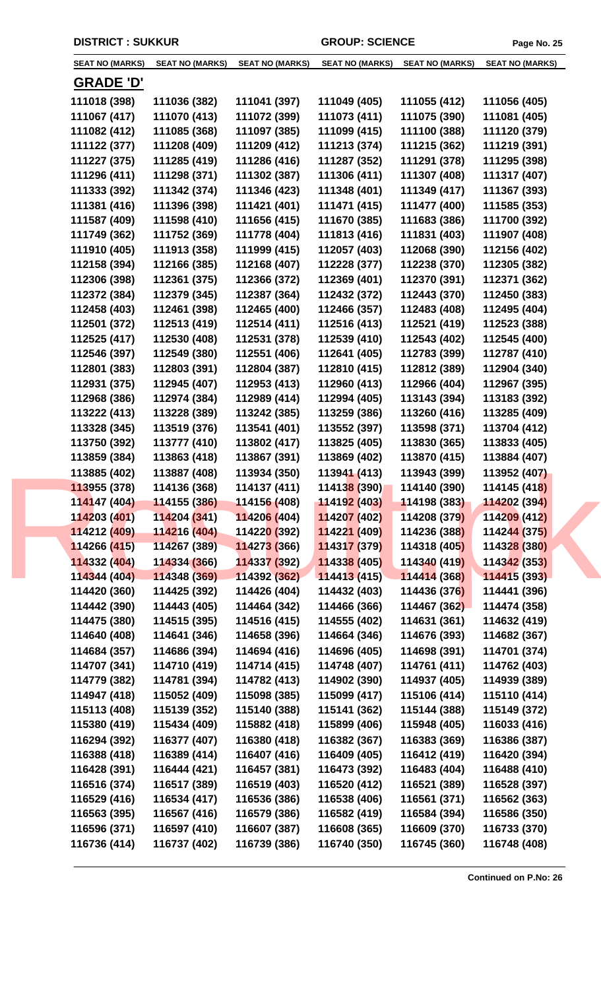| <b>SEAT NO (MARKS)</b> | <b>SEAT NO (MARKS)</b> | <b>SEAT NO (MARKS)</b>      | <b>SEAT NO (MARKS)</b> | <b>SEAT NO (MARKS)</b> | <b>SEAT NO (MARKS)</b> |
|------------------------|------------------------|-----------------------------|------------------------|------------------------|------------------------|
|                        |                        |                             |                        |                        |                        |
| <u>GRADE 'D'</u>       |                        |                             |                        |                        |                        |
| 111018 (398)           | 111036 (382)           | 111041 (397)                | 111049 (405)           | 111055 (412)           | 111056 (405)           |
| 111067 (417)           | 111070 (413)           | 111072 (399)                | 111073 (411)           | 111075 (390)           | 111081 (405)           |
| 111082 (412)           | 111085 (368)           | 111097 (385)                | 111099 (415)           | 111100 (388)           | 111120 (379)           |
| 111122 (377)           | 111208 (409)           | 111209 (412)                | 111213 (374)           | 111215 (362)           | 111219 (391)           |
| 111227 (375)           | 111285 (419)           | 111286 (416)                | 111287 (352)           | 111291 (378)           | 111295 (398)           |
| 111296 (411)           | 111298 (371)           | 111302 (387)                | 111306 (411)           | 111307 (408)           | 111317 (407)           |
| 111333 (392)           | 111342 (374)           | 111346 (423)                | 111348 (401)           | 111349 (417)           | 111367 (393)           |
| 111381 (416)           | 111396 (398)           | 111421 (401)                | 111471 (415)           | 111477 (400)           | 111585 (353)           |
| 111587 (409)           | 111598 (410)           | 111656 (415)                | 111670 (385)           | 111683 (386)           | 111700 (392)           |
| 111749 (362)           | 111752 (369)           | 111778 (404)                | 111813 (416)           | 111831 (403)           | 111907 (408)           |
| 111910 (405)           | 111913 (358)           | 111999 (415)                | 112057 (403)           | 112068 (390)           | 112156 (402)           |
| 112158 (394)           | 112166 (385)           | 112168 (407)                | 112228 (377)           | 112238 (370)           | 112305 (382)           |
| 112306 (398)           | 112361 (375)           | 112366 (372)                | 112369 (401)           | 112370 (391)           | 112371 (362)           |
| 112372 (384)           | 112379 (345)           | 112387 (364)                | 112432 (372)           | 112443 (370)           | 112450 (383)           |
| 112458 (403)           | 112461 (398)           | 112465 (400)                | 112466 (357)           | 112483 (408)           | 112495 (404)           |
| 112501 (372)           | 112513 (419)           | 112514 (411)                | 112516 (413)           | 112521 (419)           | 112523 (388)           |
| 112525 (417)           | 112530 (408)           | 112531 (378)                | 112539 (410)           | 112543 (402)           | 112545 (400)           |
| 112546 (397)           | 112549 (380)           | 112551 (406)                | 112641 (405)           | 112783 (399)           | 112787 (410)           |
| 112801 (383)           | 112803 (391)           | 112804 (387)                | 112810 (415)           | 112812 (389)           | 112904 (340)           |
| 112931 (375)           | 112945 (407)           | 112953 (413)                | 112960 (413)           | 112966 (404)           | 112967 (395)           |
| 112968 (386)           | 112974 (384)           | 112989 (414)                | 112994 (405)           | 113143 (394)           | 113183 (392)           |
| 113222 (413)           | 113228 (389)           | 113242 (385)                | 113259 (386)           | 113260 (416)           | 113285 (409)           |
| 113328 (345)           | 113519 (376)           | 113541 (401)                | 113552 (397)           | 113598 (371)           | 113704 (412)           |
| 113750 (392)           | 113777 (410)           | 113802 (417)                | 113825 (405)           | 113830 (365)           | 113833 (405)           |
| 113859 (384)           | 113863 (418)           | 113867 (391)                | 113869 (402)           | 113870 (415)           | 113884 (407)           |
| 113885 (402)           | 113887 (408)           | 113934 (350)                | 113941 (413)           | 113943 (399)           | 113952 (407)           |
| 113955 (378)           | 114136 (368)           | 114137 (411)                | 114138 (390)           | 114140 (390)           | 114145 (418)           |
| 114147 (404)           | 114155(386)            | 114156 (408)                | 114192 (403)           | 114198 (383)           | 114202 (394)           |
| 114203 (401)           | 114204 (341)           | 114206 (404)                | 114207 (402)           | 114208 (379)           | 114209 (412)           |
| 114212 (409)           | 114216 (404)           | 11422 <mark>0 (</mark> 392) | 114221 (409)           | 114236 (388)           | 114244 (375)           |
| 114266 (415)           | 114267 (389)           | 114273 (366)                | 114317 (379)           | 114318 (405)           | 114328 (380)           |
| 114332 (404)           | 114334 (366)           | 114337 (392)                | 114338 (405)           | 114340 (419)           | 114342 (353)           |
| 114344 (404)           | 114348 (369)           | 114392 (362)                | 114413(415)            | 114414 (368)           | 114415 (393)           |
| 114420 (360)           | 114425 (392)           | 114426 (404)                | 114432 (403)           | 114436 (376)           | 114441 (396)           |
| 114442 (390)           | 114443 (405)           | 114464 (342)                | 114466 (366)           | 114467 (362)           | 114474 (358)           |
| 114475 (380)           | 114515 (395)           | 114516 (415)                | 114555 (402)           | 114631 (361)           | 114632 (419)           |
| 114640 (408)           | 114641 (346)           | 114658 (396)                | 114664 (346)           | 114676 (393)           | 114682 (367)           |
| 114684 (357)           | 114686 (394)           | 114694 (416)                | 114696 (405)           | 114698 (391)           | 114701 (374)           |
| 114707 (341)           | 114710 (419)           | 114714 (415)                | 114748 (407)           | 114761 (411)           | 114762 (403)           |
| 114779 (382)           | 114781 (394)           | 114782 (413)                | 114902 (390)           | 114937 (405)           | 114939 (389)           |
| 114947 (418)           | 115052 (409)           | 115098 (385)                | 115099 (417)           | 115106 (414)           | 115110 (414)           |
| 115113 (408)           | 115139 (352)           | 115140 (388)                | 115141 (362)           | 115144 (388)           | 115149 (372)           |
| 115380 (419)           | 115434 (409)           | 115882 (418)                | 115899 (406)           | 115948 (405)           | 116033 (416)           |
| 116294 (392)           | 116377 (407)           | 116380 (418)                | 116382 (367)           | 116383 (369)           | 116386 (387)           |
| 116388 (418)           | 116389 (414)           | 116407 (416)                | 116409 (405)           | 116412 (419)           | 116420 (394)           |
| 116428 (391)           | 116444 (421)           | 116457 (381)                | 116473 (392)           | 116483 (404)           | 116488 (410)           |
| 116516 (374)           | 116517 (389)           | 116519 (403)                | 116520 (412)           | 116521 (389)           | 116528 (397)           |
| 116529 (416)           | 116534 (417)           | 116536 (386)                | 116538 (406)           | 116561 (371)           | 116562 (363)           |
| 116563 (395)           | 116567 (416)           | 116579 (386)                | 116582 (419)           | 116584 (394)           | 116586 (350)           |
| 116596 (371)           | 116597 (410)           | 116607 (387)                | 116608 (365)           | 116609 (370)           | 116733 (370)           |
| 116736 (414)           | 116737 (402)           | 116739 (386)                | 116740 (350)           | 116745 (360)           | 116748 (408)           |
|                        |                        |                             |                        |                        |                        |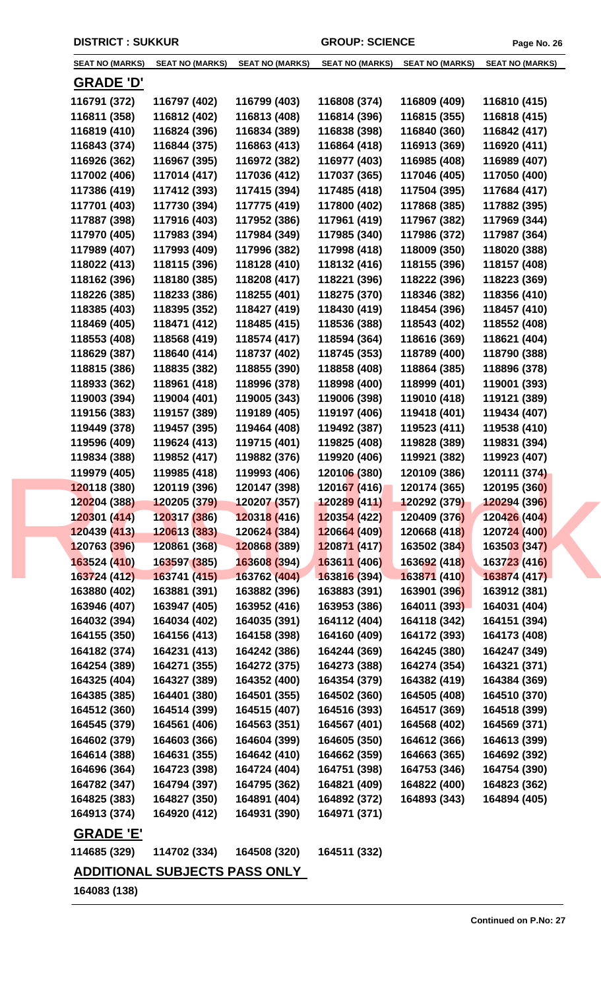| <b>SEAT NO (MARKS)</b> | <b>SEAT NO (MARKS)</b>               | <b>SEAT NO (MARKS)</b>      | <b>SEAT NO (MARKS)</b> | <b>SEAT NO (MARKS)</b> | <b>SEAT NO (MARKS)</b> |
|------------------------|--------------------------------------|-----------------------------|------------------------|------------------------|------------------------|
| <u>GRADE 'D'</u>       |                                      |                             |                        |                        |                        |
| 116791 (372)           | 116797 (402)                         | 116799 (403)                | 116808 (374)           | 116809 (409)           | 116810 (415)           |
| 116811 (358)           | 116812 (402)                         | 116813 (408)                | 116814 (396)           | 116815 (355)           | 116818 (415)           |
| 116819 (410)           | 116824 (396)                         | 116834 (389)                | 116838 (398)           | 116840 (360)           | 116842 (417)           |
| 116843 (374)           | 116844 (375)                         | 116863 (413)                | 116864 (418)           | 116913 (369)           | 116920 (411)           |
| 116926 (362)           | 116967 (395)                         | 116972 (382)                | 116977 (403)           | 116985 (408)           | 116989 (407)           |
| 117002 (406)           | 117014 (417)                         | 117036 (412)                | 117037 (365)           | 117046 (405)           | 117050 (400)           |
| 117386 (419)           | 117412 (393)                         | 117415 (394)                | 117485 (418)           | 117504 (395)           | 117684 (417)           |
| 117701 (403)           | 117730 (394)                         | 117775 (419)                | 117800 (402)           | 117868 (385)           | 117882 (395)           |
| 117887 (398)           | 117916 (403)                         | 117952 (386)                | 117961 (419)           | 117967 (382)           | 117969 (344)           |
| 117970 (405)           | 117983 (394)                         | 117984 (349)                | 117985 (340)           | 117986 (372)           | 117987 (364)           |
| 117989 (407)           | 117993 (409)                         | 117996 (382)                | 117998 (418)           | 118009 (350)           | 118020 (388)           |
| 118022 (413)           | 118115 (396)                         | 118128 (410)                | 118132 (416)           | 118155 (396)           | 118157 (408)           |
| 118162 (396)           | 118180 (385)                         | 118208 (417)                | 118221 (396)           | 118222 (396)           | 118223 (369)           |
| 118226 (385)           | 118233 (386)                         | 118255 (401)                | 118275 (370)           | 118346 (382)           | 118356 (410)           |
| 118385 (403)           | 118395 (352)                         | 118427 (419)                | 118430 (419)           | 118454 (396)           | 118457 (410)           |
| 118469 (405)           | 118471 (412)                         | 118485 (415)                | 118536 (388)           | 118543 (402)           | 118552 (408)           |
| 118553 (408)           | 118568 (419)                         | 118574 (417)                | 118594 (364)           | 118616 (369)           | 118621 (404)           |
| 118629 (387)           | 118640 (414)                         | 118737 (402)                | 118745 (353)           | 118789 (400)           | 118790 (388)           |
| 118815 (386)           | 118835 (382)                         | 118855 (390)                | 118858 (408)           | 118864 (385)           | 118896 (378)           |
| 118933 (362)           | 118961 (418)                         | 118996 (378)                | 118998 (400)           | 118999 (401)           | 119001 (393)           |
| 119003 (394)           | 119004 (401)                         | 119005 (343)                | 119006 (398)           | 119010 (418)           | 119121 (389)           |
| 119156 (383)           | 119157 (389)                         | 119189 (405)                | 119197 (406)           | 119418 (401)           | 119434 (407)           |
| 119449 (378)           | 119457 (395)                         | 119464 (408)                | 119492 (387)           | 119523 (411)           | 119538 (410)           |
| 119596 (409)           | 119624 (413)                         | 119715 (401)                | 119825 (408)           | 119828 (389)           | 119831 (394)           |
| 119834 (388)           | 119852 (417)                         | 119882 (376)                | 119920 (406)           | 119921 (382)           | 119923 (407)           |
| 119979 (405)           | 119985 (418)                         | 119993 (406)                | 120106 (380)           | 120109 (386)           | 120111 (374)           |
| 120118 (380)           | 120119 (396)                         | 120147 (398)                | 120167 (416)           | 120174 (365)           | 120195 (360)           |
| 120204 (388)           | 120205 (379)  120207 (357)           |                             |                        |                        | 120294 (396)           |
| 120301 (414)           | 120317 (386)                         | 120318 (416)                | 120354 (422)           | 120409 (376)           | 120426 (404)           |
| 120439 (413)           | 120613 (383)                         | 12062 <mark>4 (</mark> 384) | 120664 (409)           | 120668 (418)           | 120724 (400)           |
| 120763 (396)           | 120861 (368)                         | 120868 (389)                | 120871 (417)           | 163502 (384)           | 163503 (347)           |
| 163524 (410)           | 163597 (385)                         | 163608 (394)                | 163611 (406)           | 163692 (418)           | 163723 (416)           |
| 163724 (412)           | 163741 (415)                         | 163762 (404)                | 163816 (394)           | 163871 (410)           | 163874 (417)           |
| 163880 (402)           | 163881 (391)                         | 163882 (396)                | 163883 (391)           | 163901 (396)           | 163912 (381)           |
| 163946 (407)           | 163947 (405)                         | 163952 (416)                | 163953 (386)           | 164011 (393)           | 164031 (404)           |
| 164032 (394)           | 164034 (402)                         | 164035 (391)                | 164112 (404)           | 164118 (342)           | 164151 (394)           |
| 164155 (350)           | 164156 (413)                         | 164158 (398)                | 164160 (409)           | 164172 (393)           | 164173 (408)           |
| 164182 (374)           | 164231 (413)                         | 164242 (386)                | 164244 (369)           | 164245 (380)           | 164247 (349)           |
| 164254 (389)           | 164271 (355)                         | 164272 (375)                | 164273 (388)           | 164274 (354)           | 164321 (371)           |
| 164325 (404)           | 164327 (389)                         | 164352 (400)                | 164354 (379)           | 164382 (419)           | 164384 (369)           |
| 164385 (385)           | 164401 (380)                         | 164501 (355)                | 164502 (360)           | 164505 (408)           | 164510 (370)           |
| 164512 (360)           | 164514 (399)                         | 164515 (407)                | 164516 (393)           | 164517 (369)           | 164518 (399)           |
| 164545 (379)           | 164561 (406)                         | 164563 (351)                | 164567 (401)           | 164568 (402)           | 164569 (371)           |
| 164602 (379)           | 164603 (366)                         | 164604 (399)                | 164605 (350)           | 164612 (366)           | 164613 (399)           |
| 164614 (388)           | 164631 (355)                         | 164642 (410)                | 164662 (359)           | 164663 (365)           | 164692 (392)           |
| 164696 (364)           | 164723 (398)                         | 164724 (404)                | 164751 (398)           | 164753 (346)           | 164754 (390)           |
| 164782 (347)           | 164794 (397)                         | 164795 (362)                | 164821 (409)           | 164822 (400)           | 164823 (362)           |
| 164825 (383)           | 164827 (350)                         | 164891 (404)                | 164892 (372)           | 164893 (343)           | 164894 (405)           |
| 164913 (374)           | 164920 (412)                         | 164931 (390)                | 164971 (371)           |                        |                        |
| <b>GRADE 'E'</b>       |                                      |                             |                        |                        |                        |
| 114685 (329)           | 114702 (334)                         | 164508 (320)                | 164511 (332)           |                        |                        |
|                        |                                      |                             |                        |                        |                        |
|                        | <u>ADDITIONAL SUBJECTS PASS ONLY</u> |                             |                        |                        |                        |
| 164083 (138)           |                                      |                             |                        |                        |                        |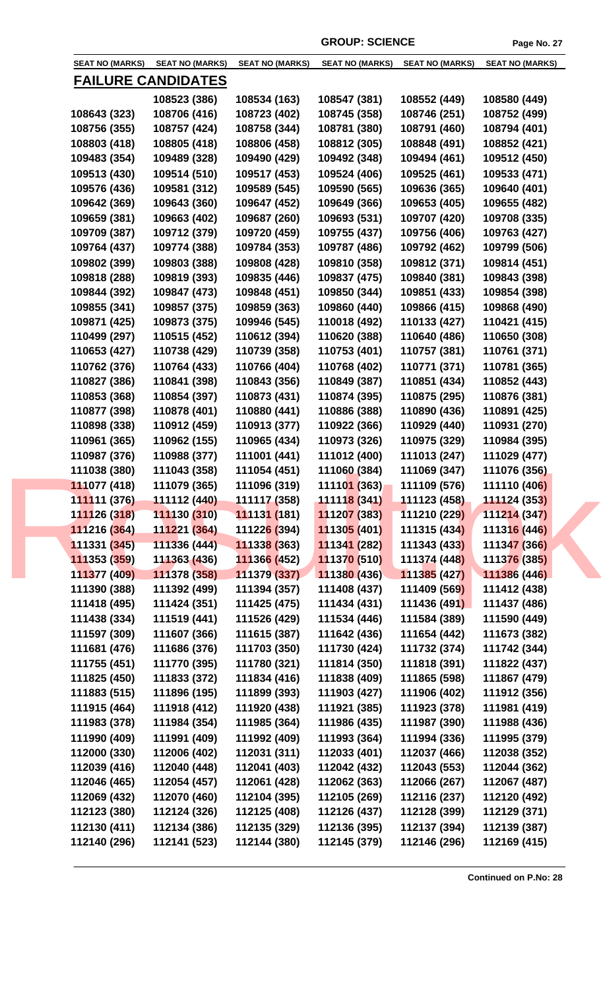|                           | <b>SEAT NO (MARKS)</b> | <b>SEAT NO (MARKS)</b> | <b>SEAT NO (MARKS)</b> | <b>SEAT NO (MARKS)</b> | <b>SEAT NO (MARKS)</b> | <b>SEAT NO (MARKS)</b> |  |
|---------------------------|------------------------|------------------------|------------------------|------------------------|------------------------|------------------------|--|
| <b>FAILURE CANDIDATES</b> |                        |                        |                        |                        |                        |                        |  |
|                           |                        | 108523 (386)           | 108534 (163)           | 108547 (381)           | 108552 (449)           | 108580 (449)           |  |
|                           | 108643 (323)           | 108706 (416)           | 108723 (402)           | 108745 (358)           | 108746 (251)           | 108752 (499)           |  |
|                           | 108756 (355)           | 108757 (424)           | 108758 (344)           | 108781 (380)           | 108791 (460)           | 108794 (401)           |  |
|                           | 108803 (418)           | 108805 (418)           | 108806 (458)           | 108812 (305)           | 108848 (491)           | 108852 (421)           |  |
|                           | 109483 (354)           | 109489 (328)           | 109490 (429)           | 109492 (348)           | 109494 (461)           | 109512 (450)           |  |
|                           | 109513 (430)           | 109514 (510)           | 109517 (453)           | 109524 (406)           | 109525 (461)           | 109533 (471)           |  |
|                           | 109576 (436)           | 109581 (312)           | 109589 (545)           | 109590 (565)           | 109636 (365)           | 109640 (401)           |  |
|                           | 109642 (369)           | 109643 (360)           | 109647 (452)           | 109649 (366)           | 109653 (405)           | 109655 (482)           |  |
|                           | 109659 (381)           | 109663 (402)           | 109687 (260)           | 109693 (531)           | 109707 (420)           | 109708 (335)           |  |
|                           | 109709 (387)           | 109712 (379)           | 109720 (459)           | 109755 (437)           | 109756 (406)           | 109763 (427)           |  |
|                           |                        |                        |                        |                        |                        |                        |  |
|                           | 109764 (437)           | 109774 (388)           | 109784 (353)           | 109787 (486)           | 109792 (462)           | 109799 (506)           |  |
|                           | 109802 (399)           | 109803 (388)           | 109808 (428)           | 109810 (358)           | 109812 (371)           | 109814 (451)           |  |
|                           | 109818 (288)           | 109819 (393)           | 109835 (446)           | 109837 (475)           | 109840 (381)           | 109843 (398)           |  |
|                           | 109844 (392)           | 109847 (473)           | 109848 (451)           | 109850 (344)           | 109851 (433)           | 109854 (398)           |  |
|                           | 109855 (341)           | 109857 (375)           | 109859 (363)           | 109860 (440)           | 109866 (415)           | 109868 (490)           |  |
|                           | 109871 (425)           | 109873 (375)           | 109946 (545)           | 110018 (492)           | 110133 (427)           | 110421 (415)           |  |
|                           | 110499 (297)           | 110515 (452)           | 110612 (394)           | 110620 (388)           | 110640 (486)           | 110650 (308)           |  |
|                           | 110653 (427)           | 110738 (429)           | 110739 (358)           | 110753 (401)           | 110757 (381)           | 110761 (371)           |  |
|                           | 110762 (376)           | 110764 (433)           | 110766 (404)           | 110768 (402)           | 110771 (371)           | 110781 (365)           |  |
|                           | 110827 (386)           | 110841 (398)           | 110843 (356)           | 110849 (387)           | 110851 (434)           | 110852 (443)           |  |
|                           | 110853 (368)           | 110854 (397)           | 110873 (431)           | 110874 (395)           | 110875 (295)           | 110876 (381)           |  |
|                           | 110877 (398)           | 110878 (401)           | 110880 (441)           | 110886 (388)           | 110890 (436)           | 110891 (425)           |  |
|                           | 110898 (338)           | 110912 (459)           | 110913 (377)           | 110922 (366)           | 110929 (440)           | 110931 (270)           |  |
|                           | 110961 (365)           | 110962 (155)           | 110965 (434)           | 110973 (326)           | 110975 (329)           | 110984 (395)           |  |
|                           | 110987 (376)           | 110988 (377)           | 111001 (441)           | 111012 (400)           | 111013 (247)           | 111029 (477)           |  |
|                           | 111038 (380)           | 111043 (358)           | 111054 (451)           | 111060 (384)           | 111069 (347)           | 111076 (356)           |  |
|                           | 111077 (418)           | 111079 (365)           | 111096 (319)           | 111101 (363)           | 111109 (576)           | 111110 (406)           |  |
|                           | 111111 (376)           | 111112 (440)           | 111117 (358)           | 111118 (341)           | 111123 (458)           | 111124 (353)           |  |
|                           | 111126 (318)           | 111130 (310)           | 111131 (181)           | 111207 (383)           | 111210 (229)           | 111214 (347)           |  |
|                           | 111216 (364)           | 111221 (364)           | 111226 (394)           | 111305 (401)           | 111315 (434)           | 111316 (446)           |  |
|                           | 111331 (345)           | 111336 (444)           | 111338 (363)           | 111341 (282)           | 111343 (433)           | 111347 (366)           |  |
|                           | 111353 (359)           | 111363 (436)           | 111366 (452)           | 111370 (510)           | 111374 (448)           | 111376 (385)           |  |
|                           | 111377 (409)           | 111378 (358)           | 111379 (337)           | 111380 (436)           | 111385 (427)           | 111386 (446)           |  |
|                           | 111390 (388)           | 111392 (499)           | 111394 (357)           | 111408 (437)           | 111409 (569)           | 111412 (438)           |  |
|                           | 111418 (495)           | 111424 (351)           | 111425 (475)           | 111434 (431)           | 111436 (491)           | 111437 (486)           |  |
|                           | 111438 (334)           | 111519 (441)           | 111526 (429)           | 111534 (446)           | 111584 (389)           | 111590 (449)           |  |
|                           | 111597 (309)           | 111607 (366)           | 111615 (387)           | 111642 (436)           | 111654 (442)           | 111673 (382)           |  |
|                           | 111681 (476)           | 111686 (376)           | 111703 (350)           | 111730 (424)           | 111732 (374)           | 111742 (344)           |  |
|                           |                        |                        |                        |                        |                        |                        |  |
|                           | 111755 (451)           | 111770 (395)           | 111780 (321)           | 111814 (350)           | 111818 (391)           | 111822 (437)           |  |
|                           | 111825 (450)           | 111833 (372)           | 111834 (416)           | 111838 (409)           | 111865 (598)           | 111867 (479)           |  |
|                           | 111883 (515)           | 111896 (195)           | 111899 (393)           | 111903 (427)           | 111906 (402)           | 111912 (356)           |  |
|                           | 111915 (464)           | 111918 (412)           | 111920 (438)           | 111921 (385)           | 111923 (378)           | 111981 (419)           |  |
|                           | 111983 (378)           | 111984 (354)           | 111985 (364)           | 111986 (435)           | 111987 (390)           | 111988 (436)           |  |
|                           | 111990 (409)           | 111991 (409)           | 111992 (409)           | 111993 (364)           | 111994 (336)           | 111995 (379)           |  |
|                           | 112000 (330)           | 112006 (402)           | 112031 (311)           | 112033 (401)           | 112037 (466)           | 112038 (352)           |  |
|                           | 112039 (416)           | 112040 (448)           | 112041 (403)           | 112042 (432)           | 112043 (553)           | 112044 (362)           |  |
|                           | 112046 (465)           | 112054 (457)           | 112061 (428)           | 112062 (363)           | 112066 (267)           | 112067 (487)           |  |
|                           | 112069 (432)           | 112070 (460)           | 112104 (395)           | 112105 (269)           | 112116 (237)           | 112120 (492)           |  |
|                           | 112123 (380)           | 112124 (326)           | 112125 (408)           | 112126 (437)           | 112128 (399)           | 112129 (371)           |  |
|                           | 112130 (411)           | 112134 (386)           | 112135 (329)           | 112136 (395)           | 112137 (394)           | 112139 (387)           |  |
|                           | 112140 (296)           | 112141 (523)           | 112144 (380)           | 112145 (379)           | 112146 (296)           | 112169 (415)           |  |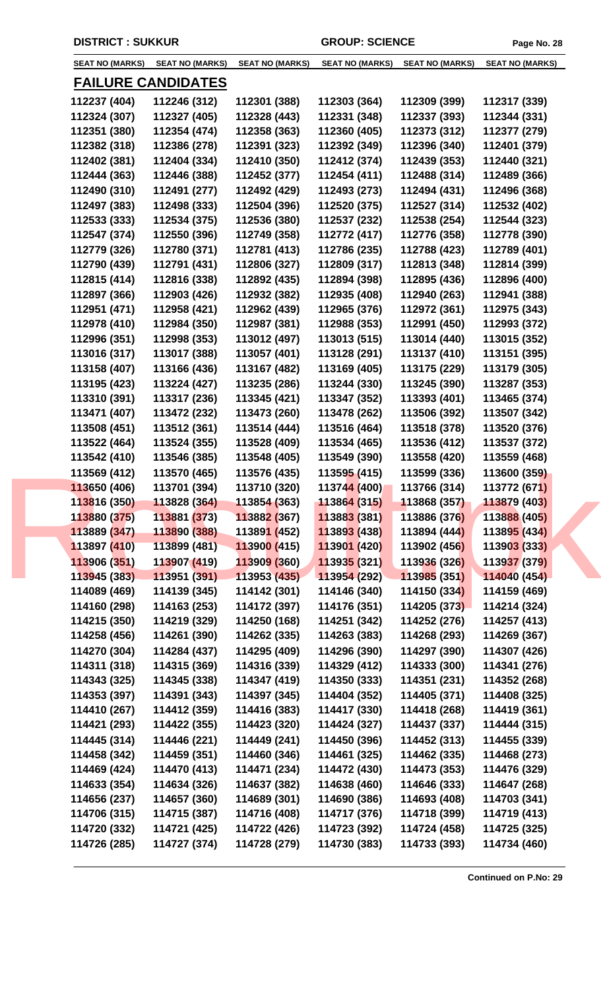|              | SEAT NO (MARKS) SEAT NO (MARKS) | <b>SEAT NO (MARKS)</b> |              | SEAT NO (MARKS) SEAT NO (MARKS) | <b>SEAT NO (MARKS)</b> |
|--------------|---------------------------------|------------------------|--------------|---------------------------------|------------------------|
|              | <b>FAILURE CANDIDATES</b>       |                        |              |                                 |                        |
| 112237 (404) | 112246 (312)                    | 112301 (388)           | 112303 (364) | 112309 (399)                    | 112317 (339)           |
| 112324 (307) | 112327 (405)                    | 112328 (443)           | 112331 (348) | 112337 (393)                    | 112344 (331)           |
| 112351 (380) | 112354 (474)                    | 112358 (363)           | 112360 (405) | 112373 (312)                    | 112377 (279)           |
| 112382 (318) | 112386 (278)                    | 112391 (323)           | 112392 (349) | 112396 (340)                    | 112401 (379)           |
| 112402 (381) | 112404 (334)                    | 112410 (350)           | 112412 (374) | 112439 (353)                    | 112440 (321)           |
| 112444 (363) | 112446 (388)                    | 112452 (377)           | 112454 (411) | 112488 (314)                    | 112489 (366)           |
| 112490 (310) | 112491 (277)                    | 112492 (429)           | 112493 (273) | 112494 (431)                    | 112496 (368)           |
| 112497 (383) | 112498 (333)                    | 112504 (396)           | 112520 (375) | 112527 (314)                    | 112532 (402)           |
| 112533 (333) | 112534 (375)                    | 112536 (380)           | 112537 (232) | 112538 (254)                    | 112544 (323)           |
| 112547 (374) | 112550 (396)                    | 112749 (358)           | 112772 (417) | 112776 (358)                    | 112778 (390)           |
| 112779 (326) | 112780 (371)                    | 112781 (413)           | 112786 (235) | 112788 (423)                    | 112789 (401)           |
| 112790 (439) | 112791 (431)                    | 112806 (327)           | 112809 (317) | 112813 (348)                    | 112814 (399)           |
| 112815 (414) | 112816 (338)                    | 112892 (435)           | 112894 (398) | 112895 (436)                    | 112896 (400)           |
| 112897 (366) | 112903 (426)                    | 112932 (382)           | 112935 (408) | 112940 (263)                    | 112941 (388)           |
| 112951 (471) | 112958 (421)                    | 112962 (439)           | 112965 (376) | 112972 (361)                    | 112975 (343)           |
| 112978 (410) | 112984 (350)                    | 112987 (381)           | 112988 (353) | 112991 (450)                    | 112993 (372)           |
| 112996 (351) | 112998 (353)                    | 113012 (497)           | 113013 (515) | 113014 (440)                    | 113015 (352)           |
| 113016 (317) | 113017 (388)                    | 113057 (401)           | 113128 (291) | 113137 (410)                    | 113151 (395)           |
| 113158 (407) | 113166 (436)                    | 113167 (482)           | 113169 (405) | 113175 (229)                    | 113179 (305)           |
| 113195 (423) | 113224 (427)                    | 113235 (286)           | 113244 (330) | 113245 (390)                    | 113287 (353)           |
| 113310 (391) | 113317 (236)                    | 113345 (421)           | 113347 (352) | 113393 (401)                    | 113465 (374)           |
| 113471 (407) | 113472 (232)                    | 113473 (260)           | 113478 (262) | 113506 (392)                    | 113507 (342)           |
| 113508 (451) | 113512 (361)                    | 113514 (444)           | 113516 (464) | 113518 (378)                    | 113520 (376)           |
| 113522 (464) | 113524 (355)                    | 113528 (409)           | 113534 (465) | 113536 (412)                    | 113537 (372)           |
| 113542 (410) | 113546 (385)                    | 113548 (405)           | 113549 (390) | 113558 (420)                    | 113559 (468)           |
| 113569 (412) | 113570 (465)                    | 113576 (435)           | 113595 (415) | 113599 (336)                    | 113600 (359)           |
| 113650 (406) | 113701 (394)                    | 113710 (320)           | 113744 (400) | 113766 (314)                    | 113772 (671)           |
| 113816 (350) | 113828(364)                     | 113854 (363)           | 113864 (315) | 113868 (357)                    | 113879 (403)           |
| 113880 (375) | 113881 (373)                    | 113882 (367)           | 113883 (381) | 113886 (376)                    | 113888 (405)           |
| 113889 (347) | 113890 (388)                    | 113891 (452)           | 113893 (438) | 113894 (444)                    | 113895 (434)           |
| 113897 (410) | 113899 (481)                    | 113900 (415)           | 113901 (420) | 113902 (456)                    | 113903 (333)           |
| 113906 (351) | 113907 (419)                    | 113909 (360)           | 113935 (321) | 113936 (326)                    | 113937 (379)           |
| 113945 (383) | 113951 (391)                    | 113953 (435)           | 113954 (292) | 113985 (351)                    | 114040 (454)           |
| 114089 (469) | 114139 (345)                    | 114142 (301)           | 114146 (340) | 114150 (334)                    | 114159 (469)           |
| 114160 (298) | 114163 (253)                    | 114172 (397)           | 114176 (351) | 114205 (373)                    | 114214 (324)           |
| 114215 (350) | 114219 (329)                    | 114250 (168)           | 114251 (342) | 114252 (276)                    | 114257 (413)           |
| 114258 (456) | 114261 (390)                    | 114262 (335)           | 114263 (383) | 114268 (293)                    | 114269 (367)           |
| 114270 (304) | 114284 (437)                    | 114295 (409)           | 114296 (390) | 114297 (390)                    | 114307 (426)           |
| 114311 (318) | 114315 (369)                    | 114316 (339)           | 114329 (412) | 114333 (300)                    | 114341 (276)           |
| 114343 (325) | 114345 (338)                    | 114347 (419)           | 114350 (333) | 114351 (231)                    | 114352 (268)           |
| 114353 (397) | 114391 (343)                    | 114397 (345)           | 114404 (352) | 114405 (371)                    | 114408 (325)           |
| 114410 (267) | 114412 (359)                    | 114416 (383)           | 114417 (330) | 114418 (268)                    | 114419 (361)           |
| 114421 (293) | 114422 (355)                    | 114423 (320)           | 114424 (327) | 114437 (337)                    | 114444 (315)           |
| 114445 (314) | 114446 (221)                    | 114449 (241)           | 114450 (396) | 114452 (313)                    | 114455 (339)           |
| 114458 (342) | 114459 (351)                    | 114460 (346)           | 114461 (325) | 114462 (335)                    | 114468 (273)           |
| 114469 (424) | 114470 (413)                    | 114471 (234)           | 114472 (430) | 114473 (353)                    | 114476 (329)           |
| 114633 (354) | 114634 (326)                    | 114637 (382)           | 114638 (460) | 114646 (333)                    | 114647 (268)           |
| 114656 (237) | 114657 (360)                    | 114689 (301)           | 114690 (386) | 114693 (408)                    | 114703 (341)           |
| 114706 (315) | 114715 (387)                    | 114716 (408)           | 114717 (376) | 114718 (399)                    | 114719 (413)           |
| 114720 (332) | 114721 (425)                    | 114722 (426)           | 114723 (392) | 114724 (458)                    | 114725 (325)           |
| 114726 (285) | 114727 (374)                    | 114728 (279)           | 114730 (383) | 114733 (393)                    | 114734 (460)           |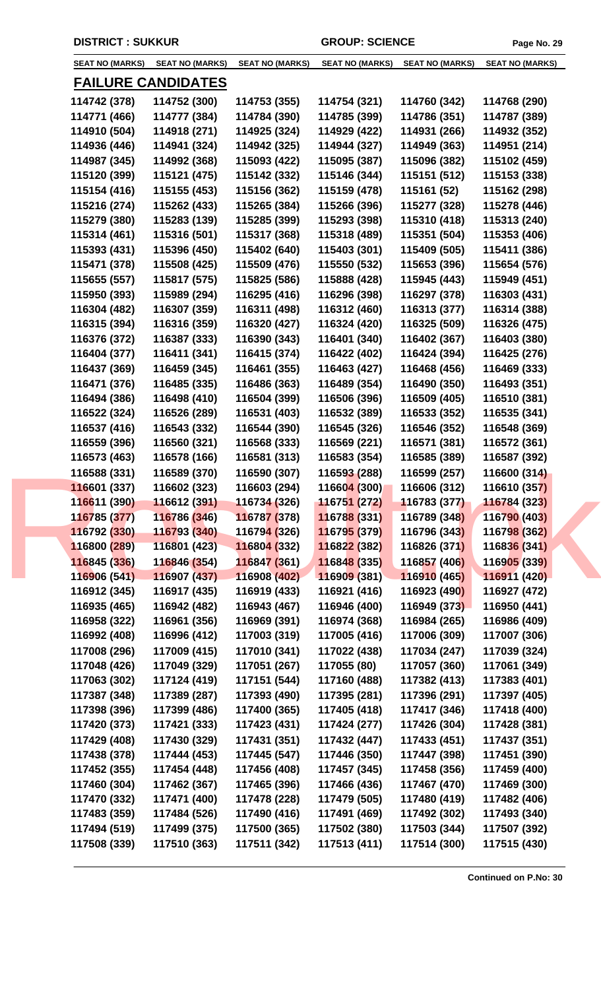| <b>SEAT NO (MARKS)</b>       | <b>SEAT NO (MARKS)</b>      | <b>SEAT NO (MARKS)</b>      | <b>SEAT NO (MARKS)</b>      | <b>SEAT NO (MARKS)</b>       | <b>SEAT NO (MARKS)</b>       |
|------------------------------|-----------------------------|-----------------------------|-----------------------------|------------------------------|------------------------------|
|                              | <b>FAILURE CANDIDATES</b>   |                             |                             |                              |                              |
| 114742 (378)                 | 114752 (300)                | 114753 (355)                | 114754 (321)                | 114760 (342)                 | 114768 (290)                 |
| 114771 (466)                 | 114777 (384)                | 114784 (390)                | 114785 (399)                | 114786 (351)                 | 114787 (389)                 |
| 114910 (504)                 | 114918 (271)                | 114925 (324)                | 114929 (422)                | 114931 (266)                 | 114932 (352)                 |
| 114936 (446)                 | 114941 (324)                | 114942 (325)                | 114944 (327)                | 114949 (363)                 | 114951 (214)                 |
| 114987 (345)                 | 114992 (368)                | 115093 (422)                | 115095 (387)                | 115096 (382)                 | 115102 (459)                 |
| 115120 (399)                 | 115121 (475)                | 115142 (332)                | 115146 (344)                | 115151 (512)                 | 115153 (338)                 |
| 115154 (416)                 | 115155 (453)                | 115156 (362)                | 115159 (478)                | 115161 (52)                  | 115162 (298)                 |
| 115216 (274)                 | 115262 (433)                | 115265 (384)                | 115266 (396)                | 115277 (328)                 | 115278 (446)                 |
| 115279 (380)                 | 115283 (139)                | 115285 (399)                | 115293 (398)                | 115310 (418)                 | 115313 (240)                 |
| 115314 (461)                 | 115316 (501)                | 115317 (368)                | 115318 (489)                | 115351 (504)                 | 115353 (406)                 |
| 115393 (431)                 | 115396 (450)                | 115402 (640)                | 115403 (301)                | 115409 (505)                 | 115411 (386)                 |
|                              |                             |                             | 115550 (532)                |                              |                              |
| 115471 (378)                 | 115508 (425)                | 115509 (476)                |                             | 115653 (396)                 | 115654 (576)                 |
| 115655 (557)                 | 115817 (575)                | 115825 (586)                | 115888 (428)                | 115945 (443)                 | 115949 (451)                 |
| 115950 (393)                 | 115989 (294)                | 116295 (416)                | 116296 (398)                | 116297 (378)                 | 116303 (431)                 |
| 116304 (482)                 | 116307 (359)                | 116311 (498)                | 116312 (460)                | 116313 (377)                 | 116314 (388)                 |
| 116315 (394)                 | 116316 (359)                | 116320 (427)                | 116324 (420)                | 116325 (509)                 | 116326 (475)                 |
| 116376 (372)                 | 116387 (333)                | 116390 (343)                | 116401 (340)                | 116402 (367)                 | 116403 (380)                 |
| 116404 (377)                 | 116411 (341)                | 116415 (374)                | 116422 (402)                | 116424 (394)                 | 116425 (276)                 |
| 116437 (369)                 | 116459 (345)                | 116461 (355)                | 116463 (427)                | 116468 (456)                 | 116469 (333)                 |
| 116471 (376)                 | 116485 (335)                | 116486 (363)                | 116489 (354)                | 116490 (350)                 | 116493 (351)                 |
| 116494 (386)                 | 116498 (410)                | 116504 (399)                | 116506 (396)                | 116509 (405)                 | 116510 (381)                 |
| 116522 (324)                 | 116526 (289)                | 116531 (403)                | 116532 (389)                | 116533 (352)                 | 116535 (341)                 |
| 116537 (416)                 | 116543 (332)                | 116544 (390)                | 116545 (326)                | 116546 (352)                 | 116548 (369)                 |
| 116559 (396)                 | 116560 (321)                | 116568 (333)                | 116569 (221)                | 116571 (381)                 | 116572 (361)                 |
| 116573 (463)                 | 116578 (166)                | 116581 (313)                | 116583 (354)                | 116585 (389)                 | 116587 (392)                 |
| 116588 (331)                 | 116589 (370)                | 116590 (307)                | 116593 (288)                | 116599 (257)                 | 116600 (314)                 |
| 116601 (337)                 | 116602 (323)                | 116603 (294)                | 116604 (300)                | 116606 (312)                 | 116610 (357)                 |
| 116611 (390)                 | $116612(391)$ $116734(326)$ |                             | 11675 <mark>1 (</mark> 272) | 116783 (377)                 | 116784 (323)                 |
| 116785 (377)                 | 116786 (346)                | 116787 (378)                | 116788 (331)                | 116789 (348)                 | 116790 (403)                 |
| 116792 (330)                 | 116793 (340)                | 11679 <mark>4 (</mark> 326) | 116795 (379)                | 116796 (343)                 | 116798 (362)                 |
| 116800 (289)                 | 116801 (423)                | 116804 (332)                | 116822 (382)                | 116826 (371)                 | 116836 (341)                 |
| 116845 (336)                 | 116846 (354)                | 116847 (361)                | 116848 (335)                | 116857 (406)                 | 116905 (339)                 |
| 116906 (541)                 | 116907 (437)                | 116908 (402)                | 116909 (381)                | 116910 (465)                 | 116911 (420)                 |
| 116912 (345)                 | 116917 (435)                | 116919 (433)                | 116921 (416)                | 116923 (490)                 | 116927 (472)                 |
| 116935 (465)                 | 116942 (482)                | 116943 (467)                | 116946 (400)                | 116949 (373)                 | 116950 (441)                 |
| 116958 (322)                 | 116961 (356)                | 116969 (391)                | 116974 (368)                | 116984 (265)                 | 116986 (409)                 |
| 116992 (408)                 | 116996 (412)                | 117003 (319)                | 117005 (416)                | 117006 (309)                 | 117007 (306)                 |
| 117008 (296)                 | 117009 (415)                | 117010 (341)                | 117022 (438)                | 117034 (247)                 | 117039 (324)                 |
| 117048 (426)                 | 117049 (329)                | 117051 (267)                | 117055 (80)                 | 117057 (360)                 | 117061 (349)                 |
| 117063 (302)                 | 117124 (419)                | 117151 (544)                | 117160 (488)                | 117382 (413)                 | 117383 (401)                 |
| 117387 (348)                 | 117389 (287)                | 117393 (490)                | 117395 (281)                | 117396 (291)                 | 117397 (405)                 |
| 117398 (396)                 | 117399 (486)                | 117400 (365)                | 117405 (418)                | 117417 (346)                 | 117418 (400)                 |
| 117420 (373)                 | 117421 (333)                | 117423 (431)                | 117424 (277)                | 117426 (304)                 | 117428 (381)                 |
| 117429 (408)                 | 117430 (329)                | 117431 (351)                | 117432 (447)                | 117433 (451)                 | 117437 (351)                 |
| 117438 (378)                 | 117444 (453)                | 117445 (547)                | 117446 (350)                | 117447 (398)                 | 117451 (390)                 |
| 117452 (355)                 | 117454 (448)                | 117456 (408)                | 117457 (345)                | 117458 (356)                 | 117459 (400)                 |
| 117460 (304)                 | 117462 (367)                | 117465 (396)                | 117466 (436)                | 117467 (470)                 | 117469 (300)                 |
| 117470 (332)                 | 117471 (400)                | 117478 (228)                | 117479 (505)                | 117480 (419)                 | 117482 (406)                 |
|                              |                             |                             |                             |                              |                              |
| 117483 (359)<br>117494 (519) | 117484 (526)                | 117490 (416)                | 117491 (469)                | 117492 (302)<br>117503 (344) | 117493 (340)<br>117507 (392) |
|                              | 117499 (375)                | 117500 (365)                | 117502 (380)                |                              |                              |
| 117508 (339)                 | 117510 (363)                | 117511 (342)                | 117513 (411)                | 117514 (300)                 | 117515 (430)                 |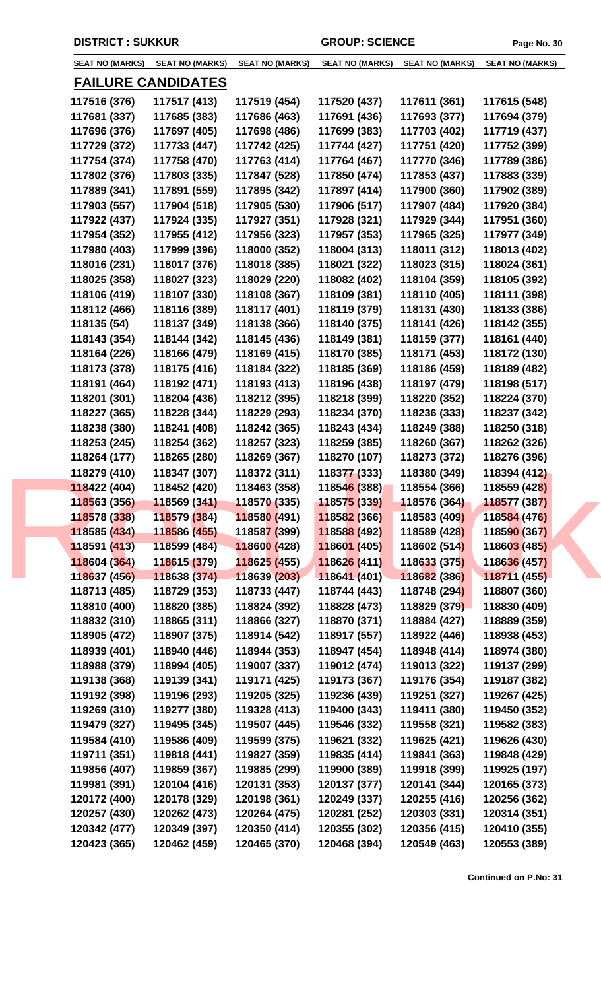| <b>SEAT NO (MARKS)</b> | <b>SEAT NO (MARKS)</b>       | <b>SEAT NO (MARKS)</b>       | <b>SEAT NO (MARKS)</b> | <b>SEAT NO (MARKS)</b>       | <b>SEAT NO (MARKS)</b> |
|------------------------|------------------------------|------------------------------|------------------------|------------------------------|------------------------|
|                        | <u>FAILURE CANDIDATES</u>    |                              |                        |                              |                        |
| 117516 (376)           | 117517 (413)                 | 117519 (454)                 | 117520 (437)           | 117611 (361)                 | 117615 (548)           |
| 117681 (337)           | 117685 (383)                 | 117686 (463)                 | 117691 (436)           | 117693 (377)                 | 117694 (379)           |
| 117696 (376)           | 117697 (405)                 | 117698 (486)                 | 117699 (383)           | 117703 (402)                 | 117719 (437)           |
| 117729 (372)           | 117733 (447)                 | 117742 (425)                 | 117744 (427)           | 117751 (420)                 | 117752 (399)           |
| 117754 (374)           | 117758 (470)                 | 117763 (414)                 | 117764 (467)           | 117770 (346)                 | 117789 (386)           |
| 117802 (376)           | 117803 (335)                 | 117847 (528)                 | 117850 (474)           | 117853 (437)                 | 117883 (339)           |
| 117889 (341)           | 117891 (559)                 | 117895 (342)                 | 117897 (414)           | 117900 (360)                 | 117902 (389)           |
| 117903 (557)           | 117904 (518)                 | 117905 (530)                 | 117906 (517)           | 117907 (484)                 | 117920 (384)           |
| 117922 (437)           | 117924 (335)                 | 117927 (351)                 | 117928 (321)           | 117929 (344)                 | 117951 (360)           |
| 117954 (352)           | 117955 (412)                 | 117956 (323)                 | 117957 (353)           | 117965 (325)                 | 117977 (349)           |
| 117980 (403)           | 117999 (396)                 | 118000 (352)                 | 118004 (313)           | 118011 (312)                 | 118013 (402)           |
| 118016 (231)           | 118017 (376)                 | 118018 (385)                 | 118021 (322)           | 118023 (315)                 | 118024 (361)           |
| 118025 (358)           | 118027 (323)                 | 118029 (220)                 | 118082 (402)           | 118104 (359)                 | 118105 (392)           |
| 118106 (419)           | 118107 (330)                 | 118108 (367)                 | 118109 (381)           | 118110 (405)                 | 118111 (398)           |
| 118112 (466)           | 118116 (389)                 | 118117 (401)                 | 118119 (379)           | 118131 (430)                 | 118133 (386)           |
| 118135 (54)            | 118137 (349)                 | 118138 (366)                 | 118140 (375)           | 118141 (426)                 | 118142 (355)           |
| 118143 (354)           | 118144 (342)                 | 118145 (436)                 | 118149 (381)           | 118159 (377)                 | 118161 (440)           |
| 118164 (226)           | 118166 (479)                 | 118169 (415)                 | 118170 (385)           | 118171 (453)                 | 118172 (130)           |
| 118173 (378)           | 118175 (416)                 | 118184 (322)                 | 118185 (369)           | 118186 (459)                 | 118189 (482)           |
| 118191 (464)           | 118192 (471)                 | 118193 (413)                 | 118196 (438)           | 118197 (479)                 | 118198 (517)           |
| 118201 (301)           | 118204 (436)                 | 118212 (395)                 | 118218 (399)           | 118220 (352)                 | 118224 (370)           |
| 118227 (365)           | 118228 (344)                 | 118229 (293)                 | 118234 (370)           | 118236 (333)                 | 118237 (342)           |
| 118238 (380)           | 118241 (408)                 | 118242 (365)                 | 118243 (434)           | 118249 (388)                 | 118250 (318)           |
| 118253 (245)           | 118254 (362)                 | 118257 (323)                 | 118259 (385)           | 118260 (367)                 | 118262 (326)           |
| 118264 (177)           | 118265 (280)                 | 118269 (367)                 | 118270 (107)           | 118273 (372)                 | 118276 (396)           |
| 118279 (410)           | 118347 (307)                 | 118372 (311)                 | 118377 (333)           | 118380 (349)                 | 118394 (412)           |
| 118422 (404)           | 118452 (420)                 | 118463 (358)                 | 118546 (388)           | 118554 (366)                 | 118559 (428)           |
| 118563 (356)           | 118569 (341)                 | 118570(335)                  | 118575 (339)           | 118576 (364)                 | 118577 (387)           |
| 118578 (338)           | 118579 (384)                 | 118580 (491)                 | 118582 (366)           | 118583 (409)                 | 118584 (476)           |
| 118585 (434)           | 118586 (455)                 | 11858 <mark>7 (</mark> 399)  | 118588 (492)           | 118589 (428)                 | 118590 (367)           |
| 118591 (413)           | 118599 (484)                 | 118600 (428)                 | 118601 (405)           | 118602 (514)                 | 118603 (485)           |
| 118604 (364)           | 118615 (379)                 | 118625 (455)                 | 118626 (411)           | 118633 (375)                 | 118636 (457)           |
| 118637 (456)           | 118638 (374)                 | 118639 (203)                 | 118641 (401)           | 118682 (386)                 | 118711 (455)           |
| 118713 (485)           | 118729 (353)                 | 118733 (447)                 | 118744 (443)           | 118748 (294)                 | 118807 (360)           |
| 118810 (400)           | 118820 (385)                 | 118824 (392)                 | 118828 (473)           | 118829 (379)                 | 118830 (409)           |
| 118832 (310)           | 118865 (311)                 | 118866 (327)                 | 118870 (371)           | 118884 (427)                 | 118889 (359)           |
| 118905 (472)           | 118907 (375)                 | 118914 (542)                 | 118917 (557)           | 118922 (446)                 | 118938 (453)           |
| 118939 (401)           | 118940 (446)                 | 118944 (353)                 | 118947 (454)           | 118948 (414)                 | 118974 (380)           |
| 118988 (379)           | 118994 (405)                 | 119007 (337)                 | 119012 (474)           | 119013 (322)                 | 119137 (299)           |
| 119138 (368)           | 119139 (341)                 | 119171 (425)                 | 119173 (367)           | 119176 (354)                 | 119187 (382)           |
| 119192 (398)           | 119196 (293)                 | 119205 (325)                 | 119236 (439)           | 119251 (327)                 | 119267 (425)           |
| 119269 (310)           | 119277 (380)                 | 119328 (413)                 | 119400 (343)           | 119411 (380)                 | 119450 (352)           |
| 119479 (327)           | 119495 (345)                 | 119507 (445)                 | 119546 (332)           | 119558 (321)                 | 119582 (383)           |
| 119584 (410)           | 119586 (409)                 | 119599 (375)                 | 119621 (332)           | 119625 (421)                 | 119626 (430)           |
| 119711 (351)           | 119818 (441)                 | 119827 (359)                 | 119835 (414)           | 119841 (363)                 | 119848 (429)           |
| 119856 (407)           | 119859 (367)                 | 119885 (299)                 | 119900 (389)           | 119918 (399)                 | 119925 (197)           |
| 119981 (391)           | 120104 (416)                 | 120131 (353)                 | 120137 (377)           | 120141 (344)                 | 120165 (373)           |
|                        |                              | 120198 (361)                 |                        |                              |                        |
| 120172 (400)           | 120178 (329)                 |                              | 120249 (337)           | 120255 (416)<br>120303 (331) | 120256 (362)           |
| 120257 (430)           | 120262 (473)<br>120349 (397) | 120264 (475)<br>120350 (414) | 120281 (252)           |                              | 120314 (351)           |
| 120342 (477)           |                              |                              | 120355 (302)           | 120356 (415)                 | 120410 (355)           |
| 120423 (365)           | 120462 (459)                 | 120465 (370)                 | 120468 (394)           | 120549 (463)                 | 120553 (389)           |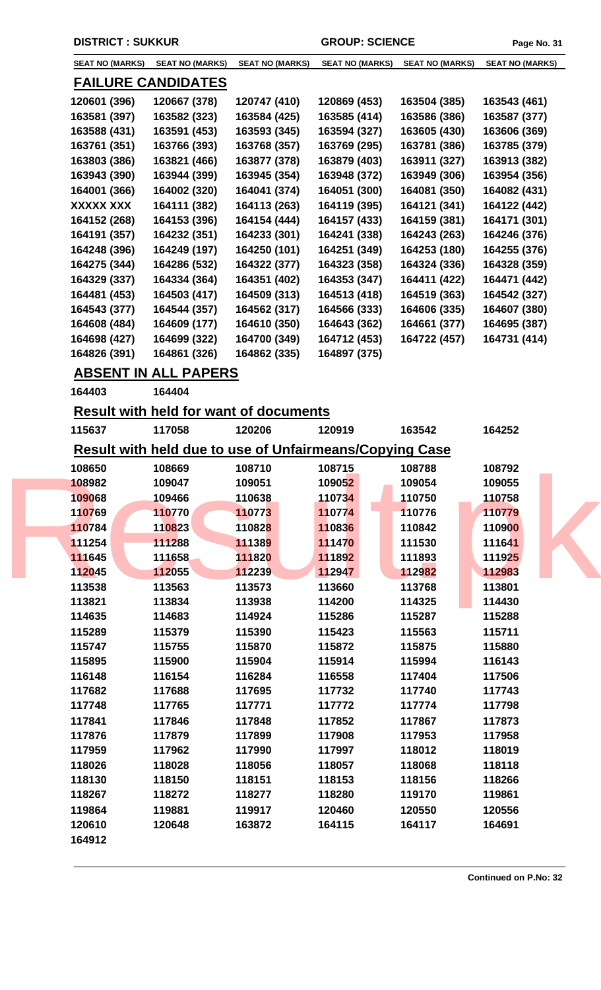| <b>SEAT NO (MARKS)</b> | <b>SEAT NO (MARKS)</b>    | <b>SEAT NO (MARKS)</b> | <b>SEAT NO (MARKS)</b> | <b>SEAT NO (MARKS)</b> | <b>SEAT NO (MARKS)</b> |
|------------------------|---------------------------|------------------------|------------------------|------------------------|------------------------|
|                        | <b>FAILURE CANDIDATES</b> |                        |                        |                        |                        |
| 120601 (396)           | 120667 (378)              | 120747 (410)           | 120869 (453)           | 163504 (385)           | 163543 (461)           |
| 163581 (397)           | 163582 (323)              | 163584 (425)           | 163585 (414)           | 163586 (386)           | 163587 (377)           |
| 163588 (431)           | 163591 (453)              | 163593 (345)           | 163594 (327)           | 163605 (430)           | 163606 (369)           |
| 163761 (351)           | 163766 (393)              | 163768 (357)           | 163769 (295)           | 163781 (386)           | 163785 (379)           |
| 163803 (386)           | 163821 (466)              | 163877 (378)           | 163879 (403)           | 163911 (327)           | 163913 (382)           |
| 163943 (390)           | 163944 (399)              | 163945 (354)           | 163948 (372)           | 163949 (306)           | 163954 (356)           |
| 164001 (366)           | 164002 (320)              | 164041 (374)           | 164051 (300)           | 164081 (350)           | 164082 (431)           |
| XXXXX XXX              | 164111 (382)              | 164113 (263)           | 164119 (395)           | 164121 (341)           | 164122 (442)           |
| 164152 (268)           | 164153 (396)              | 164154 (444)           | 164157 (433)           | 164159 (381)           | 164171 (301)           |
| 164191 (357)           | 164232 (351)              | 164233 (301)           | 164241 (338)           | 164243 (263)           | 164246 (376)           |
| 164248 (396)           | 164249 (197)              | 164250 (101)           | 164251 (349)           | 164253 (180)           | 164255 (376)           |
| 164275 (344)           | 164286 (532)              | 164322 (377)           | 164323 (358)           | 164324 (336)           | 164328 (359)           |
| 164329 (337)           | 164334 (364)              | 164351 (402)           | 164353 (347)           | 164411 (422)           | 164471 (442)           |
| 164481 (453)           | 164503 (417)              | 164509 (313)           | 164513 (418)           | 164519 (363)           | 164542 (327)           |
| 164543 (377)           | 164544 (357)              | 164562 (317)           | 164566 (333)           | 164606 (335)           | 164607 (380)           |
| 164608 (484)           | 164609 (177)              | 164610 (350)           | 164643 (362)           | 164661 (377)           | 164695 (387)           |
| 164698 (427)           | 164699 (322)              | 164700 (349)           | 164712 (453)           | 164722 (457)           | 164731 (414)           |
| 164826 (391)           | 164861 (326)              | 164862 (335)           | 164897 (375)           |                        |                        |
|                        |                           |                        |                        |                        |                        |

## **ABSENT IN ALL PAPERS**

**164403 164404** 

**Result with held for want of documents**

| 115637 | 117058                                                  | 120206 | 120919 | 163542 | 164252 |  |
|--------|---------------------------------------------------------|--------|--------|--------|--------|--|
|        | Result with held due to use of Unfairmeans/Copying Case |        |        |        |        |  |
| 108650 | 108669                                                  | 108710 | 108715 | 108788 | 108792 |  |
| 108982 | 109047                                                  | 109051 | 109052 | 109054 | 109055 |  |
| 109068 | 109466                                                  | 110638 | 110734 | 110750 | 110758 |  |
| 110769 | 110770                                                  | 110773 | 110774 | 110776 | 110779 |  |
| 110784 | 110823                                                  | 110828 | 110836 | 110842 | 110900 |  |
| 111254 | 111288                                                  | 111389 | 111470 | 111530 | 111641 |  |
| 111645 | 111658                                                  | 111820 | 111892 | 111893 | 111925 |  |
| 112045 | 112055                                                  | 112239 | 112947 | 112982 | 112983 |  |
| 113538 | 113563                                                  | 113573 | 113660 | 113768 | 113801 |  |
| 113821 | 113834                                                  | 113938 | 114200 | 114325 | 114430 |  |
| 114635 | 114683                                                  | 114924 | 115286 | 115287 | 115288 |  |
| 115289 | 115379                                                  | 115390 | 115423 | 115563 | 115711 |  |
| 115747 | 115755                                                  | 115870 | 115872 | 115875 | 115880 |  |
| 115895 | 115900                                                  | 115904 | 115914 | 115994 | 116143 |  |
| 116148 | 116154                                                  | 116284 | 116558 | 117404 | 117506 |  |
| 117682 | 117688                                                  | 117695 | 117732 | 117740 | 117743 |  |
| 117748 | 117765                                                  | 117771 | 117772 | 117774 | 117798 |  |
| 117841 | 117846                                                  | 117848 | 117852 | 117867 | 117873 |  |
| 117876 | 117879                                                  | 117899 | 117908 | 117953 | 117958 |  |
| 117959 | 117962                                                  | 117990 | 117997 | 118012 | 118019 |  |
| 118026 | 118028                                                  | 118056 | 118057 | 118068 | 118118 |  |
| 118130 | 118150                                                  | 118151 | 118153 | 118156 | 118266 |  |
| 118267 | 118272                                                  | 118277 | 118280 | 119170 | 119861 |  |
| 119864 | 119881                                                  | 119917 | 120460 | 120550 | 120556 |  |
| 120610 | 120648                                                  | 163872 | 164115 | 164117 | 164691 |  |
| 164912 |                                                         |        |        |        |        |  |
|        |                                                         |        |        |        |        |  |